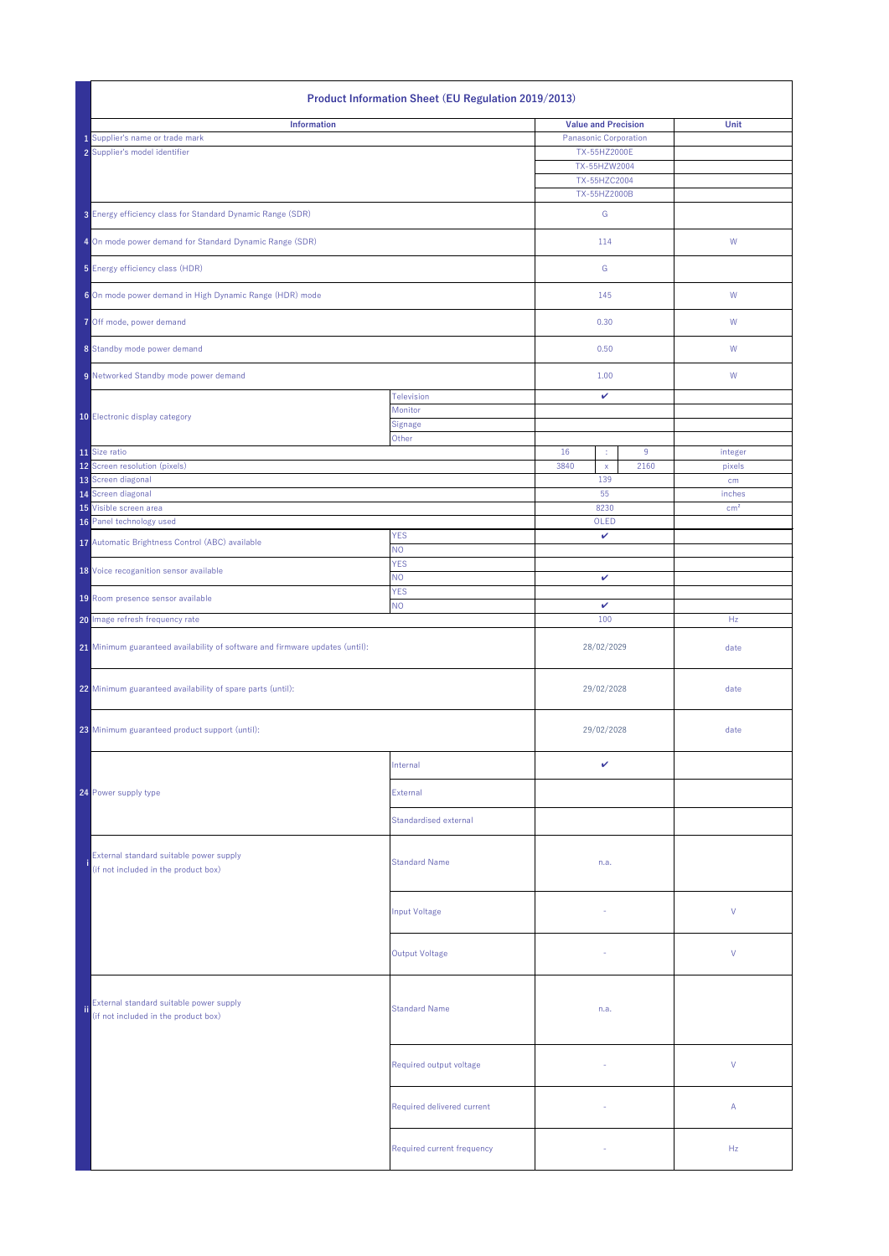|                                                                              | <b>Product Information Sheet (EU Regulation 2019/2013)</b>                             |                                         |                                                            |                                              |           |                   |  |  |
|------------------------------------------------------------------------------|----------------------------------------------------------------------------------------|-----------------------------------------|------------------------------------------------------------|----------------------------------------------|-----------|-------------------|--|--|
|                                                                              | <b>Information</b><br>1 Supplier's name or trade mark<br>2 Supplier's model identifier |                                         | <b>Value and Precision</b><br><b>Panasonic Corporation</b> | TX-55HZ2000E<br>TX-55HZW2004<br>TX-55HZC2004 |           | <b>Unit</b>       |  |  |
|                                                                              | 3 Energy efficiency class for Standard Dynamic Range (SDR)                             |                                         |                                                            | TX-55HZ2000B<br>G                            |           |                   |  |  |
|                                                                              |                                                                                        |                                         |                                                            | 114                                          |           | W                 |  |  |
|                                                                              | 4 On mode power demand for Standard Dynamic Range (SDR)                                |                                         |                                                            |                                              |           |                   |  |  |
|                                                                              | 5 Energy efficiency class (HDR)                                                        |                                         |                                                            | G                                            |           |                   |  |  |
|                                                                              | 6 On mode power demand in High Dynamic Range (HDR) mode                                |                                         |                                                            | 145                                          |           | W                 |  |  |
|                                                                              | 7 Off mode, power demand                                                               |                                         |                                                            | 0.30                                         |           | W                 |  |  |
|                                                                              | 8 Standby mode power demand                                                            |                                         |                                                            | 0.50                                         |           | W                 |  |  |
|                                                                              | 9 Networked Standby mode power demand<br>10 Electronic display category                | <b>Television</b><br>Monitor<br>Signage |                                                            | 1.00<br>$\mathbf{v}$                         |           | W                 |  |  |
|                                                                              |                                                                                        | Other                                   |                                                            |                                              |           |                   |  |  |
|                                                                              | 11 Size ratio<br>12 Screen resolution (pixels)                                         |                                         | 16<br>3840                                                 | ÷.<br>$\mathsf{X}$                           | 9<br>2160 | integer<br>pixels |  |  |
|                                                                              | 13 Screen diagonal<br>14 Screen diagonal                                               |                                         |                                                            | 139<br>55                                    |           | cm<br>inches      |  |  |
|                                                                              | 15 Visible screen area                                                                 |                                         |                                                            | 8230                                         |           | cm <sup>2</sup>   |  |  |
|                                                                              | 16 Panel technology used<br>17 Automatic Brightness Control (ABC) available            | <b>YES</b>                              | OLED<br>$\checkmark$                                       |                                              |           |                   |  |  |
|                                                                              |                                                                                        | <b>NO</b><br><b>YES</b>                 |                                                            |                                              |           |                   |  |  |
|                                                                              | 18 Voice recoganition sensor available                                                 | <b>NO</b><br><b>YES</b>                 | $\checkmark$                                               |                                              |           |                   |  |  |
|                                                                              | 19 Room presence sensor available                                                      | <b>NO</b>                               | $\checkmark$                                               |                                              |           |                   |  |  |
|                                                                              | 20 Image refresh frequency rate                                                        |                                         | 100                                                        |                                              |           | Hz                |  |  |
| 21 Minimum guaranteed availability of software and firmware updates (until): |                                                                                        |                                         | 28/02/2029                                                 |                                              |           | date              |  |  |
|                                                                              | 22 Minimum guaranteed availability of spare parts (until):                             |                                         | 29/02/2028                                                 |                                              |           | date              |  |  |
|                                                                              | 23 Minimum guaranteed product support (until):                                         |                                         |                                                            | 29/02/2028                                   |           | date              |  |  |
|                                                                              |                                                                                        | Internal                                |                                                            | $\checkmark$                                 |           |                   |  |  |
|                                                                              | 24 Power supply type                                                                   | External                                |                                                            |                                              |           |                   |  |  |
|                                                                              |                                                                                        | Standardised external                   |                                                            |                                              |           |                   |  |  |
|                                                                              | External standard suitable power supply<br>(if not included in the product box)        | <b>Standard Name</b>                    |                                                            | n.a.                                         |           |                   |  |  |
|                                                                              |                                                                                        | Input Voltage                           |                                                            |                                              |           | $\vee$            |  |  |
|                                                                              |                                                                                        | Output Voltage                          |                                                            |                                              |           | $\vee$            |  |  |
| ii.                                                                          | External standard suitable power supply<br>(if not included in the product box)        | <b>Standard Name</b>                    | n.a.                                                       |                                              |           |                   |  |  |
|                                                                              |                                                                                        | Required output voltage                 |                                                            | $\sim$                                       |           | V                 |  |  |
|                                                                              |                                                                                        | Required delivered current              |                                                            |                                              |           | $\mathsf{A}$      |  |  |
|                                                                              |                                                                                        | Required current frequency              |                                                            |                                              |           | Hz                |  |  |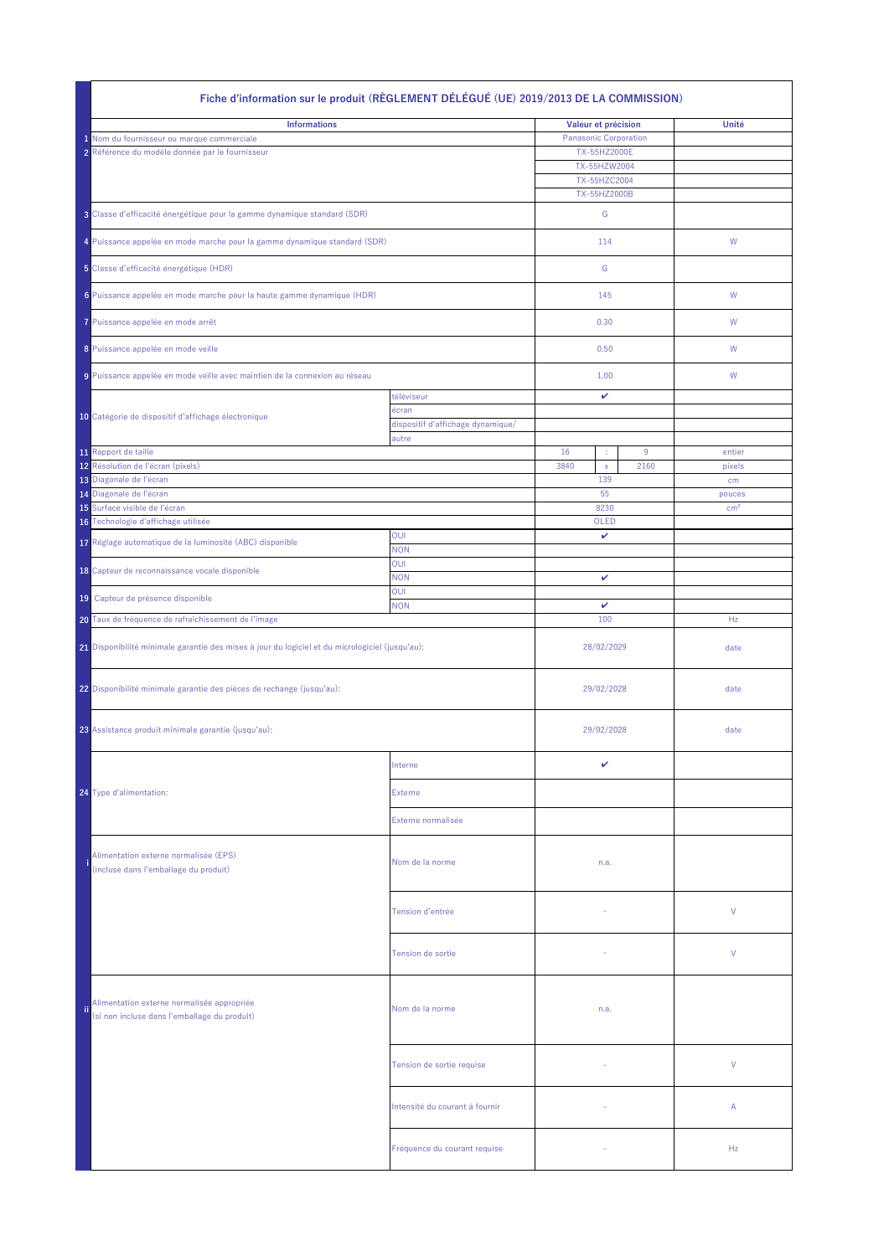| Fiche d'information sur le produit (RÈGLEMENT DÉLÉGUÉ (UE) 2019/2013 DE LA COMMISSION) |                                                                                                 |                                            |                              |                 |  |  |
|----------------------------------------------------------------------------------------|-------------------------------------------------------------------------------------------------|--------------------------------------------|------------------------------|-----------------|--|--|
|                                                                                        | <b>Informations</b>                                                                             | Valeur et précision                        | Unité                        |                 |  |  |
|                                                                                        | 1 Nom du fournisseur ou marque commerciale                                                      |                                            | <b>Panasonic Corporation</b> |                 |  |  |
|                                                                                        | 2 Référence du modèle donnée par le fournisseur                                                 |                                            | TX-55HZ2000E                 |                 |  |  |
|                                                                                        |                                                                                                 |                                            | TX-55HZW2004                 |                 |  |  |
|                                                                                        |                                                                                                 |                                            | TX-55HZC2004<br>TX-55HZ2000B |                 |  |  |
|                                                                                        | 3 Classe d'efficacité énergétique pour la gamme dynamique standard (SDR)                        |                                            | G                            |                 |  |  |
|                                                                                        | 4 Puissance appelée en mode marche pour la gamme dynamique standard (SDR)                       |                                            | 114                          | W               |  |  |
|                                                                                        | 5 Classe d'efficacité énergétique (HDR)                                                         |                                            | G                            |                 |  |  |
|                                                                                        | 6 Puissance appelée en mode marche pour la haute gamme dynamique (HDR)                          |                                            | 145                          | W               |  |  |
|                                                                                        | 7 Puissance appelée en mode arrêt                                                               |                                            | 0.30                         | W               |  |  |
|                                                                                        | 8 Puissance appelée en mode veille                                                              |                                            | 0.50                         | W               |  |  |
|                                                                                        | 9 Puissance appelée en mode veille avec maintien de la connexion au réseau                      |                                            | 1.00                         | W               |  |  |
|                                                                                        | 10 Catégorie de dispositif d'affichage électronique                                             | téléviseur<br>écran                        | $\mathbf v$                  |                 |  |  |
|                                                                                        |                                                                                                 | dispositif d'affichage dynamique/<br>autre |                              |                 |  |  |
|                                                                                        | 11 Rapport de taille                                                                            |                                            | 16<br>9                      | entier          |  |  |
|                                                                                        | 12 Résolution de l'écran (pixels)                                                               |                                            | 3840<br>2160<br>$\mathsf{X}$ | pixels          |  |  |
|                                                                                        | 13 Diagonale de l'écran                                                                         |                                            | 139                          | cm              |  |  |
|                                                                                        | 14 Diagonale de l'écran                                                                         |                                            | 55                           | pouces          |  |  |
|                                                                                        | 15 Surface visible de l'écran                                                                   |                                            | 8230                         | cm <sup>2</sup> |  |  |
|                                                                                        | 16 Technologie d'affichage utilisée                                                             |                                            | OLED                         |                 |  |  |
|                                                                                        | 17 Réglage automatique de la luminosité (ABC) disponible                                        | <b>OUI</b>                                 | $\mathbf v$                  |                 |  |  |
|                                                                                        |                                                                                                 | <b>NON</b>                                 |                              |                 |  |  |
|                                                                                        | 18 Capteur de reconnaissance vocale disponible                                                  | OUI<br><b>NON</b>                          | $\mathbf v$                  |                 |  |  |
|                                                                                        | 19 Capteur de présence disponible                                                               | <b>OUI</b><br><b>NON</b>                   | $\checkmark$                 |                 |  |  |
|                                                                                        | 20 Taux de fréquence de rafraîchissement de l'image                                             |                                            | 100                          | Hz              |  |  |
|                                                                                        | 21 Disponibilité minimale garantie des mises à jour du logiciel et du micrologiciel (jusqu'au): |                                            | 28/02/2029                   | date            |  |  |
|                                                                                        | 22 Disponibilité minimale garantie des pièces de rechange (jusqu'au):                           |                                            | 29/02/2028                   | date            |  |  |
|                                                                                        | 23 Assistance produit minimale garantie (jusqu'au):                                             |                                            | 29/02/2028                   | date            |  |  |
|                                                                                        |                                                                                                 | Interne                                    | $\checkmark$                 |                 |  |  |
|                                                                                        | <b>24</b> Type d'alimentation:                                                                  | <b>Externe</b>                             |                              |                 |  |  |
|                                                                                        |                                                                                                 | Externe normalisée                         |                              |                 |  |  |
|                                                                                        | Alimentation externe normalisée (EPS)<br>(incluse dans l'emballage du produit)                  | Nom de la norme                            | n.a.                         |                 |  |  |
|                                                                                        |                                                                                                 | Tension d'entrée                           |                              | $\vee$          |  |  |
|                                                                                        |                                                                                                 | Tension de sortie                          |                              | $\vee$          |  |  |
| ii.                                                                                    | Alimentation externe normalisée appropriée<br>(si non incluse dans l'emballage du produit)      | Nom de la norme                            | n.a.                         |                 |  |  |
|                                                                                        |                                                                                                 | Tension de sortie requise                  |                              | V               |  |  |
|                                                                                        |                                                                                                 | Intensité du courant à fournir             |                              | $\mathsf{A}$    |  |  |
|                                                                                        |                                                                                                 | Fréquence du courant requise               | $\sim$                       | Hz              |  |  |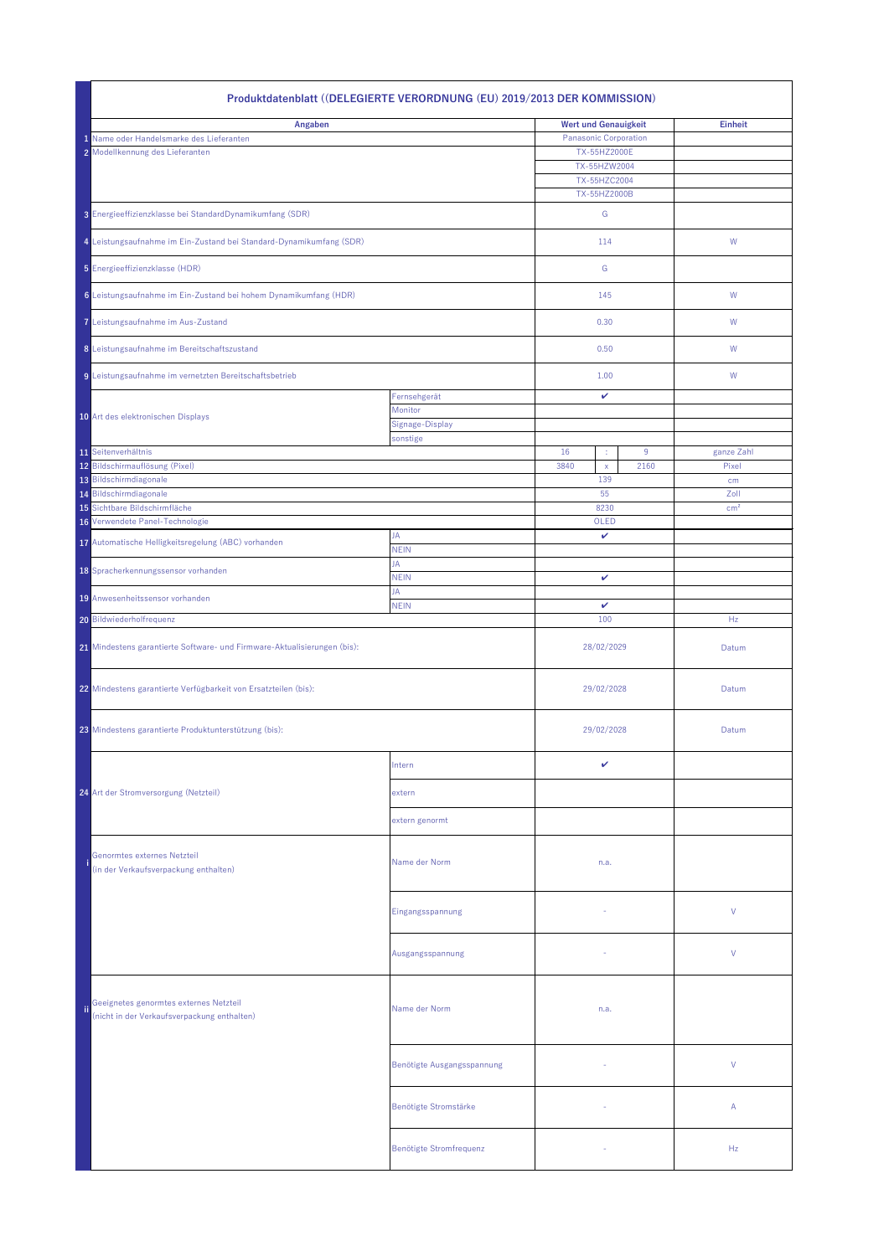|                                | Produktdatenblatt ((DELEGIERTE VERORDNUNG (EU) 2019/2013 DER KOMMISSION)              |                            |                                     |                 |  |  |  |  |
|--------------------------------|---------------------------------------------------------------------------------------|----------------------------|-------------------------------------|-----------------|--|--|--|--|
| Angaben                        |                                                                                       |                            | <b>Wert und Genauigkeit</b>         | <b>Einheit</b>  |  |  |  |  |
|                                | 1 Name oder Handelsmarke des Lieferanten                                              |                            | <b>Panasonic Corporation</b>        |                 |  |  |  |  |
|                                | 2 Modellkennung des Lieferanten                                                       |                            | TX-55HZ2000E                        |                 |  |  |  |  |
|                                |                                                                                       |                            | TX-55HZW2004<br>TX-55HZC2004        |                 |  |  |  |  |
|                                |                                                                                       |                            | TX-55HZ2000B                        |                 |  |  |  |  |
|                                | 3 Energieeffizienzklasse bei StandardDynamikumfang (SDR)                              |                            | G                                   |                 |  |  |  |  |
|                                | 4 Leistungsaufnahme im Ein-Zustand bei Standard-Dynamikumfang (SDR)                   |                            | 114                                 | W               |  |  |  |  |
| 5 Energieeffizienzklasse (HDR) |                                                                                       |                            | G                                   |                 |  |  |  |  |
|                                | 6 Leistungsaufnahme im Ein-Zustand bei hohem Dynamikumfang (HDR)                      |                            | 145                                 | W               |  |  |  |  |
|                                | 7 Leistungsaufnahme im Aus-Zustand                                                    |                            | 0.30                                | W               |  |  |  |  |
|                                | 8 Leistungsaufnahme im Bereitschaftszustand                                           |                            | 0.50                                | W               |  |  |  |  |
|                                | 9 Leistungsaufnahme im vernetzten Bereitschaftsbetrieb                                |                            | 1.00                                | W               |  |  |  |  |
|                                |                                                                                       | Fernsehgerät<br>Monitor    | ✓                                   |                 |  |  |  |  |
|                                | 10 Art des elektronischen Displays                                                    | Signage-Display            |                                     |                 |  |  |  |  |
|                                |                                                                                       | sonstige                   |                                     |                 |  |  |  |  |
|                                | 11 Seitenverhältnis                                                                   |                            | 16<br>9<br>÷                        | ganze Zahl      |  |  |  |  |
|                                | 12 Bildschirmauflösung (Pixel)<br>13 Bildschirmdiagonale                              |                            | 2160<br>3840<br>$\mathsf{X}$<br>139 | Pixel           |  |  |  |  |
|                                | 14 Bildschirmdiagonale                                                                |                            | 55                                  | cm<br>Zoll      |  |  |  |  |
|                                | 15 Sichtbare Bildschirmfläche                                                         |                            | 8230                                | cm <sup>2</sup> |  |  |  |  |
|                                | 16 Verwendete Panel-Technologie                                                       |                            | OLED                                |                 |  |  |  |  |
|                                | 17 Automatische Helligkeitsregelung (ABC) vorhanden                                   | JA                         | $\checkmark$                        |                 |  |  |  |  |
|                                |                                                                                       | <b>NEIN</b><br>JA          |                                     |                 |  |  |  |  |
|                                | 18 Spracherkennungssensor vorhanden                                                   | <b>NEIN</b>                | $\checkmark$                        |                 |  |  |  |  |
|                                | 19 Anwesenheitssensor vorhanden                                                       | JA                         |                                     |                 |  |  |  |  |
|                                |                                                                                       | <b>NEIN</b>                | $\checkmark$                        |                 |  |  |  |  |
|                                | 20 Bildwiederholfrequenz                                                              |                            | 100                                 | Hz              |  |  |  |  |
|                                | 21 Mindestens garantierte Software- und Firmware-Aktualisierungen (bis):              |                            | 28/02/2029                          | Datum           |  |  |  |  |
|                                | 22 Mindestens garantierte Verfügbarkeit von Ersatzteilen (bis):                       |                            | 29/02/2028                          | Datum           |  |  |  |  |
|                                | 23 Mindestens garantierte Produktunterstützung (bis):                                 |                            | 29/02/2028                          | Datum           |  |  |  |  |
|                                |                                                                                       | Intern                     | $\checkmark$                        |                 |  |  |  |  |
|                                | 24 Art der Stromversorgung (Netzteil)                                                 | extern                     |                                     |                 |  |  |  |  |
|                                |                                                                                       | extern genormt             |                                     |                 |  |  |  |  |
|                                | Genormtes externes Netzteil<br>(in der Verkaufsverpackung enthalten)                  | Name der Norm              | n.a.                                |                 |  |  |  |  |
|                                |                                                                                       | Eingangsspannung           | $\sim$                              | $\vee$          |  |  |  |  |
|                                |                                                                                       | Ausgangsspannung           |                                     | $\vee$          |  |  |  |  |
| ii.                            | Geeignetes genormtes externes Netzteil<br>(nicht in der Verkaufsverpackung enthalten) | Name der Norm              | n.a.                                |                 |  |  |  |  |
|                                |                                                                                       | Benötigte Ausgangsspannung |                                     | $\vee$          |  |  |  |  |
|                                |                                                                                       | Benötigte Stromstärke      |                                     | $\mathsf{A}$    |  |  |  |  |
|                                |                                                                                       | Benötigte Stromfrequenz    |                                     | Hz              |  |  |  |  |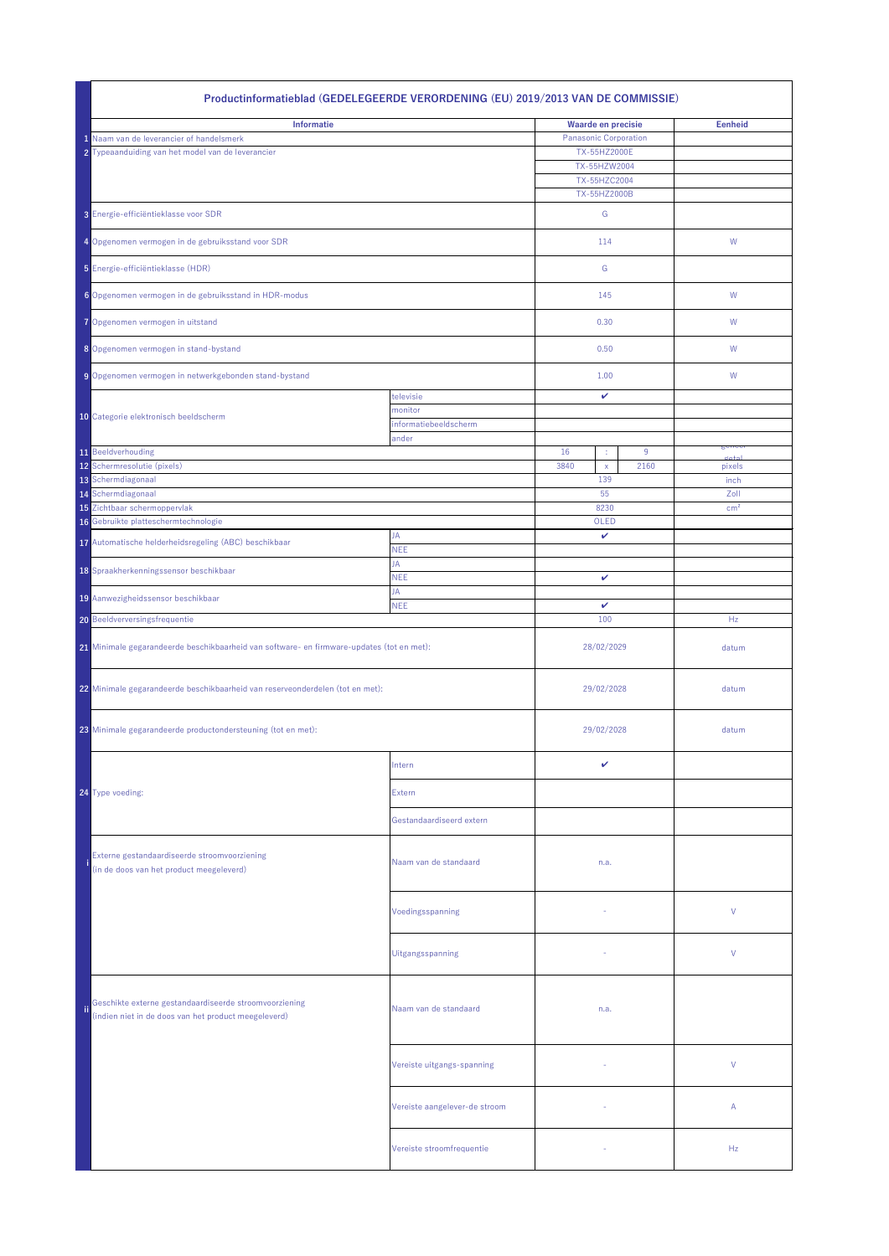|     | Productinformatieblad (GEDELEGEERDE VERORDENING (EU) 2019/2013 VAN DE COMMISSIE)                               |                                |              |                              |                         |  |  |
|-----|----------------------------------------------------------------------------------------------------------------|--------------------------------|--------------|------------------------------|-------------------------|--|--|
|     | <b>Informatie</b>                                                                                              | <b>Waarde en precisie</b>      |              | <b>Eenheid</b>               |                         |  |  |
|     | 1 Naam van de leverancier of handelsmerk                                                                       |                                | TX-55HZ2000E | <b>Panasonic Corporation</b> |                         |  |  |
|     | 2 Typeaanduiding van het model van de leverancier                                                              |                                | TX-55HZW2004 |                              |                         |  |  |
|     |                                                                                                                |                                | TX-55HZC2004 |                              |                         |  |  |
|     |                                                                                                                |                                | TX-55HZ2000B |                              |                         |  |  |
|     | 3 Energie-efficiëntieklasse voor SDR                                                                           |                                |              | G                            |                         |  |  |
|     | 4 Opgenomen vermogen in de gebruiksstand voor SDR                                                              |                                |              | 114                          | W                       |  |  |
|     | 5 Energie-efficiëntieklasse (HDR)                                                                              |                                | G            |                              |                         |  |  |
|     | 6 Opgenomen vermogen in de gebruiksstand in HDR-modus                                                          |                                |              | 145                          | W                       |  |  |
|     | 7 Opgenomen vermogen in uitstand                                                                               |                                | 0.30         |                              | W                       |  |  |
|     | 8 Opgenomen vermogen in stand-bystand                                                                          |                                | 0.50         |                              | W                       |  |  |
|     | 9 Opgenomen vermogen in netwerkgebonden stand-bystand                                                          |                                | 1.00         |                              | W                       |  |  |
|     |                                                                                                                | televisie                      |              | $\mathbf{v}$                 |                         |  |  |
|     | 10 Categorie elektronisch beeldscherm                                                                          | monitor                        |              |                              |                         |  |  |
|     |                                                                                                                | informatiebeeldscherm<br>ander |              |                              |                         |  |  |
|     | 11 Beeldverhouding                                                                                             |                                | 16           | 9<br>×                       | genee<br>$x \wedge y$   |  |  |
|     | 12 Schermresolutie (pixels)                                                                                    |                                | 3840         | 2160<br>$\mathsf{X}$         | pixels                  |  |  |
|     | 13 Schermdiagonaal                                                                                             |                                | 139          |                              | inch                    |  |  |
|     | 14 Schermdiagonaal<br>15 Zichtbaar schermoppervlak                                                             |                                | 55<br>8230   |                              | Zoll<br>cm <sup>2</sup> |  |  |
|     | 16 Gebruikte platteschermtechnologie                                                                           |                                | OLED         |                              |                         |  |  |
|     | 17 Automatische helderheidsregeling (ABC) beschikbaar                                                          | JA                             |              | $\mathbf v$                  |                         |  |  |
|     |                                                                                                                | <b>NEE</b><br>JA               |              |                              |                         |  |  |
|     | 18 Spraakherkenningssensor beschikbaar                                                                         | <b>NEE</b><br>JA               | $\checkmark$ |                              |                         |  |  |
|     | 19 Aanwezigheidssensor beschikbaar                                                                             | <b>NEE</b>                     | $\mathbf v$  |                              |                         |  |  |
|     | <b>20</b> Beeldverversingsfrequentie                                                                           |                                | 100          |                              | Hz                      |  |  |
|     | 21 Minimale gegarandeerde beschikbaarheid van software- en firmware-updates (tot en met):                      |                                | 28/02/2029   |                              | datum                   |  |  |
|     | 22 Minimale gegarandeerde beschikbaarheid van reserveonderdelen (tot en met):                                  |                                | 29/02/2028   |                              | datum                   |  |  |
|     | 23 Minimale gegarandeerde productondersteuning (tot en met):                                                   |                                | 29/02/2028   |                              | datum                   |  |  |
|     |                                                                                                                |                                |              |                              |                         |  |  |
|     |                                                                                                                | Intern                         |              | $\checkmark$                 |                         |  |  |
|     | 24 Type voeding:                                                                                               | Extern                         |              |                              |                         |  |  |
|     |                                                                                                                | Gestandaardiseerd extern       |              |                              |                         |  |  |
|     | Externe gestandaardiseerde stroomvoorziening<br>(in de doos van het product meegeleverd)                       | Naam van de standaard          | n.a.         |                              |                         |  |  |
|     |                                                                                                                | Voedingsspanning               |              |                              | V                       |  |  |
|     |                                                                                                                | Uitgangsspanning               |              |                              | $\vee$                  |  |  |
| ii. | Geschikte externe gestandaardiseerde stroomvoorziening<br>(indien niet in de doos van het product meegeleverd) | Naam van de standaard          | n.a.         |                              |                         |  |  |
|     |                                                                                                                | Vereiste uitgangs-spanning     |              |                              | V                       |  |  |
|     |                                                                                                                | Vereiste aangelever-de stroom  |              |                              | $\mathsf{A}$            |  |  |
|     |                                                                                                                | Vereiste stroomfrequentie      |              |                              | Hz                      |  |  |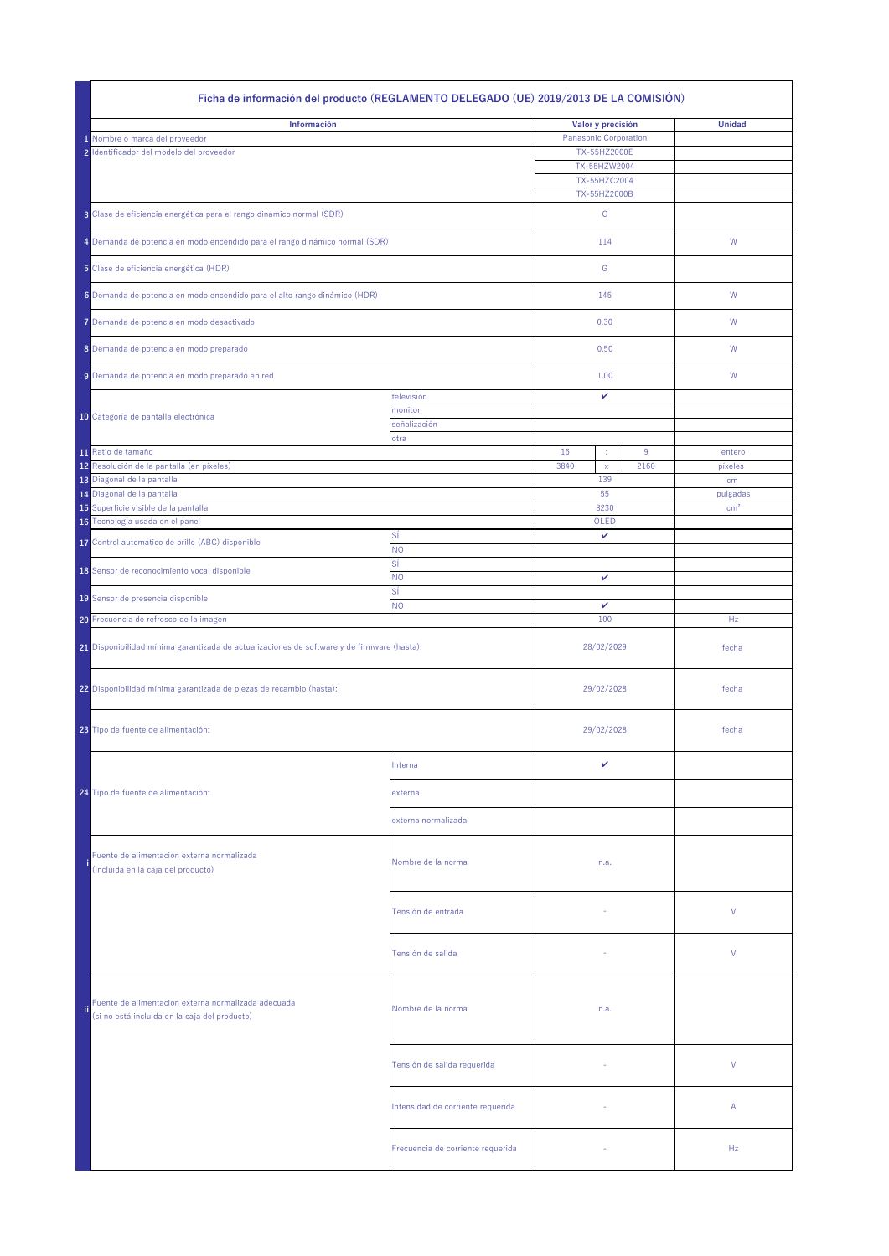| Información<br>Valor y precisión<br><b>Unidad</b><br><b>Panasonic Corporation</b><br>1 Nombre o marca del proveedor<br>2 Identificador del modelo del proveedor<br>TX-55HZ2000E<br>TX-55HZW2004<br>TX-55HZC2004<br>TX-55HZ2000B<br>3 Clase de eficiencia energética para el rango dinámico normal (SDR)<br>G<br>4 Demanda de potencia en modo encendido para el rango dinámico normal (SDR)<br>114<br>W<br>5 Clase de eficiencia energética (HDR)<br>G<br>6 Demanda de potencia en modo encendido para el alto rango dinámico (HDR)<br>145<br>W<br>7 Demanda de potencia en modo desactivado<br>0.30<br>W<br>8 Demanda de potencia en modo preparado<br>0.50<br>W<br>1.00<br>9 Demanda de potencia en modo preparado en red<br>W<br>televisión<br>$\checkmark$<br>monitor<br>10 Categoría de pantalla electrónica<br>señalización<br>otra<br>11 Ratio de tamaño<br>16<br>9<br>entero<br>÷<br>12 Resolución de la pantalla (en píxeles)<br>3840<br>2160<br>píxeles<br>$\mathsf{X}$<br>13 Diagonal de la pantalla<br>139<br>cm<br>14 Diagonal de la pantalla<br>55<br>pulgadas<br>15 Superficie visible de la pantalla<br>8230<br>cm <sup>2</sup><br>16 Tecnología usada en el panel<br>OLED<br>Sİ<br>$\checkmark$<br>17 Control automático de brillo (ABC) disponible<br><b>NO</b><br>SÍ<br>18 Sensor de reconocimiento vocal disponible<br><b>NO</b><br>$\checkmark$<br>SÍ<br>19 Sensor de presencia disponible<br><b>NO</b><br>$\mathbf v$<br>20 Frecuencia de refresco de la imagen<br>100<br>Hz<br>21 Disponibilidad mínima garantizada de actualizaciones de software y de firmware (hasta):<br>28/02/2029<br>fecha<br>22 Disponibilidad mínima garantizada de piezas de recambio (hasta):<br>29/02/2028<br>fecha<br>23 Tipo de fuente de alimentación:<br>29/02/2028<br>fecha<br>$\mathbf{v}$<br>Interna<br>24 Tipo de fuente de alimentación:<br>externa<br>externa normalizada<br>Fuente de alimentación externa normalizada<br>Nombre de la norma<br>n.a.<br>(incluida en la caja del producto)<br>$\vee$<br>Tensión de entrada<br>V<br>Tensión de salida<br>Fuente de alimentación externa normalizada adecuada<br>fii l<br>Nombre de la norma<br>n.a.<br>(si no está incluida en la caja del producto)<br>V<br>Tensión de salida requerida<br>Intensidad de corriente requerida<br>$\mathsf{A}$<br>$\sim$<br>Hz<br>Frecuencia de corriente requerida | Ficha de información del producto (REGLAMENTO DELEGADO (UE) 2019/2013 DE LA COMISIÓN) |  |  |  |  |  |  |
|----------------------------------------------------------------------------------------------------------------------------------------------------------------------------------------------------------------------------------------------------------------------------------------------------------------------------------------------------------------------------------------------------------------------------------------------------------------------------------------------------------------------------------------------------------------------------------------------------------------------------------------------------------------------------------------------------------------------------------------------------------------------------------------------------------------------------------------------------------------------------------------------------------------------------------------------------------------------------------------------------------------------------------------------------------------------------------------------------------------------------------------------------------------------------------------------------------------------------------------------------------------------------------------------------------------------------------------------------------------------------------------------------------------------------------------------------------------------------------------------------------------------------------------------------------------------------------------------------------------------------------------------------------------------------------------------------------------------------------------------------------------------------------------------------------------------------------------------------------------------------------------------------------------------------------------------------------------------------------------------------------------------------------------------------------------------------------------------------------------------------------------------------------------------------------------------------------------------------------------------------------------------------------------------------------------------------------------------------------------|---------------------------------------------------------------------------------------|--|--|--|--|--|--|
|                                                                                                                                                                                                                                                                                                                                                                                                                                                                                                                                                                                                                                                                                                                                                                                                                                                                                                                                                                                                                                                                                                                                                                                                                                                                                                                                                                                                                                                                                                                                                                                                                                                                                                                                                                                                                                                                                                                                                                                                                                                                                                                                                                                                                                                                                                                                                                |                                                                                       |  |  |  |  |  |  |
|                                                                                                                                                                                                                                                                                                                                                                                                                                                                                                                                                                                                                                                                                                                                                                                                                                                                                                                                                                                                                                                                                                                                                                                                                                                                                                                                                                                                                                                                                                                                                                                                                                                                                                                                                                                                                                                                                                                                                                                                                                                                                                                                                                                                                                                                                                                                                                |                                                                                       |  |  |  |  |  |  |
|                                                                                                                                                                                                                                                                                                                                                                                                                                                                                                                                                                                                                                                                                                                                                                                                                                                                                                                                                                                                                                                                                                                                                                                                                                                                                                                                                                                                                                                                                                                                                                                                                                                                                                                                                                                                                                                                                                                                                                                                                                                                                                                                                                                                                                                                                                                                                                |                                                                                       |  |  |  |  |  |  |
|                                                                                                                                                                                                                                                                                                                                                                                                                                                                                                                                                                                                                                                                                                                                                                                                                                                                                                                                                                                                                                                                                                                                                                                                                                                                                                                                                                                                                                                                                                                                                                                                                                                                                                                                                                                                                                                                                                                                                                                                                                                                                                                                                                                                                                                                                                                                                                |                                                                                       |  |  |  |  |  |  |
|                                                                                                                                                                                                                                                                                                                                                                                                                                                                                                                                                                                                                                                                                                                                                                                                                                                                                                                                                                                                                                                                                                                                                                                                                                                                                                                                                                                                                                                                                                                                                                                                                                                                                                                                                                                                                                                                                                                                                                                                                                                                                                                                                                                                                                                                                                                                                                |                                                                                       |  |  |  |  |  |  |
|                                                                                                                                                                                                                                                                                                                                                                                                                                                                                                                                                                                                                                                                                                                                                                                                                                                                                                                                                                                                                                                                                                                                                                                                                                                                                                                                                                                                                                                                                                                                                                                                                                                                                                                                                                                                                                                                                                                                                                                                                                                                                                                                                                                                                                                                                                                                                                |                                                                                       |  |  |  |  |  |  |
|                                                                                                                                                                                                                                                                                                                                                                                                                                                                                                                                                                                                                                                                                                                                                                                                                                                                                                                                                                                                                                                                                                                                                                                                                                                                                                                                                                                                                                                                                                                                                                                                                                                                                                                                                                                                                                                                                                                                                                                                                                                                                                                                                                                                                                                                                                                                                                |                                                                                       |  |  |  |  |  |  |
|                                                                                                                                                                                                                                                                                                                                                                                                                                                                                                                                                                                                                                                                                                                                                                                                                                                                                                                                                                                                                                                                                                                                                                                                                                                                                                                                                                                                                                                                                                                                                                                                                                                                                                                                                                                                                                                                                                                                                                                                                                                                                                                                                                                                                                                                                                                                                                |                                                                                       |  |  |  |  |  |  |
|                                                                                                                                                                                                                                                                                                                                                                                                                                                                                                                                                                                                                                                                                                                                                                                                                                                                                                                                                                                                                                                                                                                                                                                                                                                                                                                                                                                                                                                                                                                                                                                                                                                                                                                                                                                                                                                                                                                                                                                                                                                                                                                                                                                                                                                                                                                                                                |                                                                                       |  |  |  |  |  |  |
|                                                                                                                                                                                                                                                                                                                                                                                                                                                                                                                                                                                                                                                                                                                                                                                                                                                                                                                                                                                                                                                                                                                                                                                                                                                                                                                                                                                                                                                                                                                                                                                                                                                                                                                                                                                                                                                                                                                                                                                                                                                                                                                                                                                                                                                                                                                                                                |                                                                                       |  |  |  |  |  |  |
|                                                                                                                                                                                                                                                                                                                                                                                                                                                                                                                                                                                                                                                                                                                                                                                                                                                                                                                                                                                                                                                                                                                                                                                                                                                                                                                                                                                                                                                                                                                                                                                                                                                                                                                                                                                                                                                                                                                                                                                                                                                                                                                                                                                                                                                                                                                                                                |                                                                                       |  |  |  |  |  |  |
|                                                                                                                                                                                                                                                                                                                                                                                                                                                                                                                                                                                                                                                                                                                                                                                                                                                                                                                                                                                                                                                                                                                                                                                                                                                                                                                                                                                                                                                                                                                                                                                                                                                                                                                                                                                                                                                                                                                                                                                                                                                                                                                                                                                                                                                                                                                                                                |                                                                                       |  |  |  |  |  |  |
|                                                                                                                                                                                                                                                                                                                                                                                                                                                                                                                                                                                                                                                                                                                                                                                                                                                                                                                                                                                                                                                                                                                                                                                                                                                                                                                                                                                                                                                                                                                                                                                                                                                                                                                                                                                                                                                                                                                                                                                                                                                                                                                                                                                                                                                                                                                                                                |                                                                                       |  |  |  |  |  |  |
|                                                                                                                                                                                                                                                                                                                                                                                                                                                                                                                                                                                                                                                                                                                                                                                                                                                                                                                                                                                                                                                                                                                                                                                                                                                                                                                                                                                                                                                                                                                                                                                                                                                                                                                                                                                                                                                                                                                                                                                                                                                                                                                                                                                                                                                                                                                                                                |                                                                                       |  |  |  |  |  |  |
|                                                                                                                                                                                                                                                                                                                                                                                                                                                                                                                                                                                                                                                                                                                                                                                                                                                                                                                                                                                                                                                                                                                                                                                                                                                                                                                                                                                                                                                                                                                                                                                                                                                                                                                                                                                                                                                                                                                                                                                                                                                                                                                                                                                                                                                                                                                                                                |                                                                                       |  |  |  |  |  |  |
|                                                                                                                                                                                                                                                                                                                                                                                                                                                                                                                                                                                                                                                                                                                                                                                                                                                                                                                                                                                                                                                                                                                                                                                                                                                                                                                                                                                                                                                                                                                                                                                                                                                                                                                                                                                                                                                                                                                                                                                                                                                                                                                                                                                                                                                                                                                                                                |                                                                                       |  |  |  |  |  |  |
|                                                                                                                                                                                                                                                                                                                                                                                                                                                                                                                                                                                                                                                                                                                                                                                                                                                                                                                                                                                                                                                                                                                                                                                                                                                                                                                                                                                                                                                                                                                                                                                                                                                                                                                                                                                                                                                                                                                                                                                                                                                                                                                                                                                                                                                                                                                                                                |                                                                                       |  |  |  |  |  |  |
|                                                                                                                                                                                                                                                                                                                                                                                                                                                                                                                                                                                                                                                                                                                                                                                                                                                                                                                                                                                                                                                                                                                                                                                                                                                                                                                                                                                                                                                                                                                                                                                                                                                                                                                                                                                                                                                                                                                                                                                                                                                                                                                                                                                                                                                                                                                                                                |                                                                                       |  |  |  |  |  |  |
|                                                                                                                                                                                                                                                                                                                                                                                                                                                                                                                                                                                                                                                                                                                                                                                                                                                                                                                                                                                                                                                                                                                                                                                                                                                                                                                                                                                                                                                                                                                                                                                                                                                                                                                                                                                                                                                                                                                                                                                                                                                                                                                                                                                                                                                                                                                                                                |                                                                                       |  |  |  |  |  |  |
|                                                                                                                                                                                                                                                                                                                                                                                                                                                                                                                                                                                                                                                                                                                                                                                                                                                                                                                                                                                                                                                                                                                                                                                                                                                                                                                                                                                                                                                                                                                                                                                                                                                                                                                                                                                                                                                                                                                                                                                                                                                                                                                                                                                                                                                                                                                                                                |                                                                                       |  |  |  |  |  |  |
|                                                                                                                                                                                                                                                                                                                                                                                                                                                                                                                                                                                                                                                                                                                                                                                                                                                                                                                                                                                                                                                                                                                                                                                                                                                                                                                                                                                                                                                                                                                                                                                                                                                                                                                                                                                                                                                                                                                                                                                                                                                                                                                                                                                                                                                                                                                                                                |                                                                                       |  |  |  |  |  |  |
|                                                                                                                                                                                                                                                                                                                                                                                                                                                                                                                                                                                                                                                                                                                                                                                                                                                                                                                                                                                                                                                                                                                                                                                                                                                                                                                                                                                                                                                                                                                                                                                                                                                                                                                                                                                                                                                                                                                                                                                                                                                                                                                                                                                                                                                                                                                                                                |                                                                                       |  |  |  |  |  |  |
|                                                                                                                                                                                                                                                                                                                                                                                                                                                                                                                                                                                                                                                                                                                                                                                                                                                                                                                                                                                                                                                                                                                                                                                                                                                                                                                                                                                                                                                                                                                                                                                                                                                                                                                                                                                                                                                                                                                                                                                                                                                                                                                                                                                                                                                                                                                                                                |                                                                                       |  |  |  |  |  |  |
|                                                                                                                                                                                                                                                                                                                                                                                                                                                                                                                                                                                                                                                                                                                                                                                                                                                                                                                                                                                                                                                                                                                                                                                                                                                                                                                                                                                                                                                                                                                                                                                                                                                                                                                                                                                                                                                                                                                                                                                                                                                                                                                                                                                                                                                                                                                                                                |                                                                                       |  |  |  |  |  |  |
|                                                                                                                                                                                                                                                                                                                                                                                                                                                                                                                                                                                                                                                                                                                                                                                                                                                                                                                                                                                                                                                                                                                                                                                                                                                                                                                                                                                                                                                                                                                                                                                                                                                                                                                                                                                                                                                                                                                                                                                                                                                                                                                                                                                                                                                                                                                                                                |                                                                                       |  |  |  |  |  |  |
|                                                                                                                                                                                                                                                                                                                                                                                                                                                                                                                                                                                                                                                                                                                                                                                                                                                                                                                                                                                                                                                                                                                                                                                                                                                                                                                                                                                                                                                                                                                                                                                                                                                                                                                                                                                                                                                                                                                                                                                                                                                                                                                                                                                                                                                                                                                                                                |                                                                                       |  |  |  |  |  |  |
|                                                                                                                                                                                                                                                                                                                                                                                                                                                                                                                                                                                                                                                                                                                                                                                                                                                                                                                                                                                                                                                                                                                                                                                                                                                                                                                                                                                                                                                                                                                                                                                                                                                                                                                                                                                                                                                                                                                                                                                                                                                                                                                                                                                                                                                                                                                                                                |                                                                                       |  |  |  |  |  |  |
|                                                                                                                                                                                                                                                                                                                                                                                                                                                                                                                                                                                                                                                                                                                                                                                                                                                                                                                                                                                                                                                                                                                                                                                                                                                                                                                                                                                                                                                                                                                                                                                                                                                                                                                                                                                                                                                                                                                                                                                                                                                                                                                                                                                                                                                                                                                                                                |                                                                                       |  |  |  |  |  |  |
|                                                                                                                                                                                                                                                                                                                                                                                                                                                                                                                                                                                                                                                                                                                                                                                                                                                                                                                                                                                                                                                                                                                                                                                                                                                                                                                                                                                                                                                                                                                                                                                                                                                                                                                                                                                                                                                                                                                                                                                                                                                                                                                                                                                                                                                                                                                                                                |                                                                                       |  |  |  |  |  |  |
|                                                                                                                                                                                                                                                                                                                                                                                                                                                                                                                                                                                                                                                                                                                                                                                                                                                                                                                                                                                                                                                                                                                                                                                                                                                                                                                                                                                                                                                                                                                                                                                                                                                                                                                                                                                                                                                                                                                                                                                                                                                                                                                                                                                                                                                                                                                                                                |                                                                                       |  |  |  |  |  |  |
|                                                                                                                                                                                                                                                                                                                                                                                                                                                                                                                                                                                                                                                                                                                                                                                                                                                                                                                                                                                                                                                                                                                                                                                                                                                                                                                                                                                                                                                                                                                                                                                                                                                                                                                                                                                                                                                                                                                                                                                                                                                                                                                                                                                                                                                                                                                                                                |                                                                                       |  |  |  |  |  |  |
|                                                                                                                                                                                                                                                                                                                                                                                                                                                                                                                                                                                                                                                                                                                                                                                                                                                                                                                                                                                                                                                                                                                                                                                                                                                                                                                                                                                                                                                                                                                                                                                                                                                                                                                                                                                                                                                                                                                                                                                                                                                                                                                                                                                                                                                                                                                                                                |                                                                                       |  |  |  |  |  |  |
|                                                                                                                                                                                                                                                                                                                                                                                                                                                                                                                                                                                                                                                                                                                                                                                                                                                                                                                                                                                                                                                                                                                                                                                                                                                                                                                                                                                                                                                                                                                                                                                                                                                                                                                                                                                                                                                                                                                                                                                                                                                                                                                                                                                                                                                                                                                                                                |                                                                                       |  |  |  |  |  |  |
|                                                                                                                                                                                                                                                                                                                                                                                                                                                                                                                                                                                                                                                                                                                                                                                                                                                                                                                                                                                                                                                                                                                                                                                                                                                                                                                                                                                                                                                                                                                                                                                                                                                                                                                                                                                                                                                                                                                                                                                                                                                                                                                                                                                                                                                                                                                                                                |                                                                                       |  |  |  |  |  |  |
|                                                                                                                                                                                                                                                                                                                                                                                                                                                                                                                                                                                                                                                                                                                                                                                                                                                                                                                                                                                                                                                                                                                                                                                                                                                                                                                                                                                                                                                                                                                                                                                                                                                                                                                                                                                                                                                                                                                                                                                                                                                                                                                                                                                                                                                                                                                                                                |                                                                                       |  |  |  |  |  |  |
|                                                                                                                                                                                                                                                                                                                                                                                                                                                                                                                                                                                                                                                                                                                                                                                                                                                                                                                                                                                                                                                                                                                                                                                                                                                                                                                                                                                                                                                                                                                                                                                                                                                                                                                                                                                                                                                                                                                                                                                                                                                                                                                                                                                                                                                                                                                                                                |                                                                                       |  |  |  |  |  |  |
|                                                                                                                                                                                                                                                                                                                                                                                                                                                                                                                                                                                                                                                                                                                                                                                                                                                                                                                                                                                                                                                                                                                                                                                                                                                                                                                                                                                                                                                                                                                                                                                                                                                                                                                                                                                                                                                                                                                                                                                                                                                                                                                                                                                                                                                                                                                                                                |                                                                                       |  |  |  |  |  |  |
|                                                                                                                                                                                                                                                                                                                                                                                                                                                                                                                                                                                                                                                                                                                                                                                                                                                                                                                                                                                                                                                                                                                                                                                                                                                                                                                                                                                                                                                                                                                                                                                                                                                                                                                                                                                                                                                                                                                                                                                                                                                                                                                                                                                                                                                                                                                                                                |                                                                                       |  |  |  |  |  |  |
|                                                                                                                                                                                                                                                                                                                                                                                                                                                                                                                                                                                                                                                                                                                                                                                                                                                                                                                                                                                                                                                                                                                                                                                                                                                                                                                                                                                                                                                                                                                                                                                                                                                                                                                                                                                                                                                                                                                                                                                                                                                                                                                                                                                                                                                                                                                                                                |                                                                                       |  |  |  |  |  |  |
|                                                                                                                                                                                                                                                                                                                                                                                                                                                                                                                                                                                                                                                                                                                                                                                                                                                                                                                                                                                                                                                                                                                                                                                                                                                                                                                                                                                                                                                                                                                                                                                                                                                                                                                                                                                                                                                                                                                                                                                                                                                                                                                                                                                                                                                                                                                                                                |                                                                                       |  |  |  |  |  |  |
|                                                                                                                                                                                                                                                                                                                                                                                                                                                                                                                                                                                                                                                                                                                                                                                                                                                                                                                                                                                                                                                                                                                                                                                                                                                                                                                                                                                                                                                                                                                                                                                                                                                                                                                                                                                                                                                                                                                                                                                                                                                                                                                                                                                                                                                                                                                                                                |                                                                                       |  |  |  |  |  |  |
|                                                                                                                                                                                                                                                                                                                                                                                                                                                                                                                                                                                                                                                                                                                                                                                                                                                                                                                                                                                                                                                                                                                                                                                                                                                                                                                                                                                                                                                                                                                                                                                                                                                                                                                                                                                                                                                                                                                                                                                                                                                                                                                                                                                                                                                                                                                                                                |                                                                                       |  |  |  |  |  |  |
|                                                                                                                                                                                                                                                                                                                                                                                                                                                                                                                                                                                                                                                                                                                                                                                                                                                                                                                                                                                                                                                                                                                                                                                                                                                                                                                                                                                                                                                                                                                                                                                                                                                                                                                                                                                                                                                                                                                                                                                                                                                                                                                                                                                                                                                                                                                                                                |                                                                                       |  |  |  |  |  |  |
|                                                                                                                                                                                                                                                                                                                                                                                                                                                                                                                                                                                                                                                                                                                                                                                                                                                                                                                                                                                                                                                                                                                                                                                                                                                                                                                                                                                                                                                                                                                                                                                                                                                                                                                                                                                                                                                                                                                                                                                                                                                                                                                                                                                                                                                                                                                                                                |                                                                                       |  |  |  |  |  |  |
|                                                                                                                                                                                                                                                                                                                                                                                                                                                                                                                                                                                                                                                                                                                                                                                                                                                                                                                                                                                                                                                                                                                                                                                                                                                                                                                                                                                                                                                                                                                                                                                                                                                                                                                                                                                                                                                                                                                                                                                                                                                                                                                                                                                                                                                                                                                                                                |                                                                                       |  |  |  |  |  |  |
|                                                                                                                                                                                                                                                                                                                                                                                                                                                                                                                                                                                                                                                                                                                                                                                                                                                                                                                                                                                                                                                                                                                                                                                                                                                                                                                                                                                                                                                                                                                                                                                                                                                                                                                                                                                                                                                                                                                                                                                                                                                                                                                                                                                                                                                                                                                                                                |                                                                                       |  |  |  |  |  |  |
|                                                                                                                                                                                                                                                                                                                                                                                                                                                                                                                                                                                                                                                                                                                                                                                                                                                                                                                                                                                                                                                                                                                                                                                                                                                                                                                                                                                                                                                                                                                                                                                                                                                                                                                                                                                                                                                                                                                                                                                                                                                                                                                                                                                                                                                                                                                                                                |                                                                                       |  |  |  |  |  |  |
|                                                                                                                                                                                                                                                                                                                                                                                                                                                                                                                                                                                                                                                                                                                                                                                                                                                                                                                                                                                                                                                                                                                                                                                                                                                                                                                                                                                                                                                                                                                                                                                                                                                                                                                                                                                                                                                                                                                                                                                                                                                                                                                                                                                                                                                                                                                                                                |                                                                                       |  |  |  |  |  |  |
|                                                                                                                                                                                                                                                                                                                                                                                                                                                                                                                                                                                                                                                                                                                                                                                                                                                                                                                                                                                                                                                                                                                                                                                                                                                                                                                                                                                                                                                                                                                                                                                                                                                                                                                                                                                                                                                                                                                                                                                                                                                                                                                                                                                                                                                                                                                                                                |                                                                                       |  |  |  |  |  |  |
|                                                                                                                                                                                                                                                                                                                                                                                                                                                                                                                                                                                                                                                                                                                                                                                                                                                                                                                                                                                                                                                                                                                                                                                                                                                                                                                                                                                                                                                                                                                                                                                                                                                                                                                                                                                                                                                                                                                                                                                                                                                                                                                                                                                                                                                                                                                                                                |                                                                                       |  |  |  |  |  |  |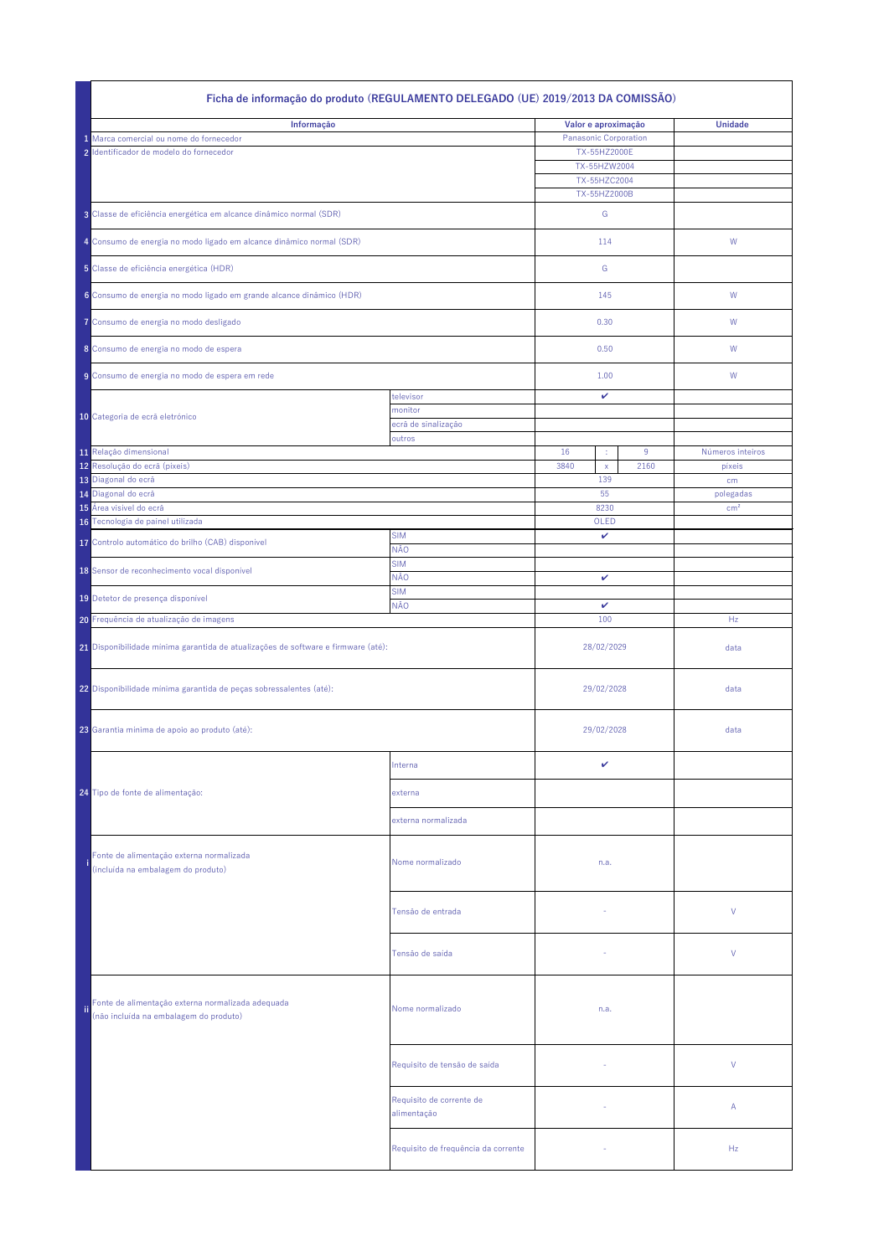| Ficha de informação do produto (REGULAMENTO DELEGADO (UE) 2019/2013 DA COMISSÃO) |                                                                                             |                                         |                              |                              |      |                  |
|----------------------------------------------------------------------------------|---------------------------------------------------------------------------------------------|-----------------------------------------|------------------------------|------------------------------|------|------------------|
|                                                                                  | Informação                                                                                  |                                         | Valor e aproximação          |                              |      | <b>Unidade</b>   |
|                                                                                  | 1 Marca comercial ou nome do fornecedor                                                     |                                         | <b>Panasonic Corporation</b> |                              |      |                  |
|                                                                                  | 2 Identificador de modelo do fornecedor                                                     |                                         |                              | TX-55HZ2000E<br>TX-55HZW2004 |      |                  |
|                                                                                  |                                                                                             |                                         |                              | TX-55HZC2004                 |      |                  |
|                                                                                  |                                                                                             |                                         |                              | TX-55HZ2000B                 |      |                  |
|                                                                                  | 3 Classe de eficiência energética em alcance dinâmico normal (SDR)                          |                                         |                              | G                            |      |                  |
|                                                                                  | 4 Consumo de energia no modo ligado em alcance dinâmico normal (SDR)                        |                                         | 114                          |                              |      | W                |
|                                                                                  | 5 Classe de eficiência energética (HDR)                                                     |                                         |                              | G                            |      |                  |
|                                                                                  | 6 Consumo de energia no modo ligado em grande alcance dinâmico (HDR)                        |                                         |                              | 145                          |      | W                |
|                                                                                  | 7 Consumo de energia no modo desligado                                                      |                                         |                              | 0.30                         |      | W                |
|                                                                                  | 8 Consumo de energia no modo de espera                                                      |                                         |                              | 0.50                         |      | W                |
|                                                                                  | 9 Consumo de energia no modo de espera em rede                                              |                                         |                              | 1.00                         |      | W                |
|                                                                                  |                                                                                             | televisor                               |                              | $\mathbf{v}$                 |      |                  |
|                                                                                  | 10 Categoria de ecrã eletrónico                                                             | monitor<br>ecrã de sinalização          |                              |                              |      |                  |
|                                                                                  |                                                                                             | outros                                  |                              |                              |      |                  |
|                                                                                  | 11 Relação dimensional                                                                      |                                         | 16                           | ÷                            | 9    | Números inteiros |
|                                                                                  | 12 Resolução do ecrã (píxeis)                                                               |                                         | 3840                         | $\mathsf{X}$<br>139          | 2160 | píxeis           |
|                                                                                  | 13 Diagonal do ecrã<br>14 Diagonal do ecrã                                                  |                                         |                              | 55                           |      | cm<br>polegadas  |
|                                                                                  | 15 Área visível do ecrã                                                                     |                                         |                              | 8230                         |      | cm <sup>2</sup>  |
|                                                                                  | 16 Tecnologia de painel utilizada                                                           |                                         |                              | OLED                         |      |                  |
|                                                                                  | 17 Controlo automático do brilho (CAB) disponível                                           | <b>SIM</b><br>NÃO                       |                              | $\mathbf v$                  |      |                  |
|                                                                                  | 18 Sensor de reconhecimento vocal disponível                                                | <b>SIM</b>                              |                              |                              |      |                  |
|                                                                                  |                                                                                             | NÃO<br><b>SIM</b>                       | $\mathbf{v}$                 |                              |      |                  |
|                                                                                  | 19 Detetor de presença disponível                                                           | <b>NÃO</b>                              |                              | $\mathbf v$                  |      |                  |
|                                                                                  | 20 Frequência de atualização de imagens                                                     |                                         | 100                          |                              |      | Hz               |
|                                                                                  | 21 Disponibilidade mínima garantida de atualizações de software e firmware (até):           |                                         |                              | 28/02/2029                   |      | data             |
|                                                                                  | 22 Disponibilidade mínima garantida de peças sobressalentes (até):                          |                                         |                              | 29/02/2028                   |      | data             |
|                                                                                  | 23 Garantia mínima de apoio ao produto (até):                                               |                                         | 29/02/2028                   |                              |      | data             |
|                                                                                  |                                                                                             |                                         |                              |                              |      |                  |
|                                                                                  |                                                                                             | Interna                                 |                              | ✓                            |      |                  |
|                                                                                  | 24 Tipo de fonte de alimentação:                                                            | externa                                 |                              |                              |      |                  |
|                                                                                  |                                                                                             | externa normalizada                     |                              |                              |      |                  |
|                                                                                  | Fonte de alimentação externa normalizada<br>(incluída na embalagem do produto)              | Nome normalizado                        |                              | n.a.                         |      |                  |
|                                                                                  |                                                                                             | Tensão de entrada                       |                              |                              |      | $\vee$           |
|                                                                                  |                                                                                             | Tensão de saída                         |                              |                              |      | $\vee$           |
| ii.                                                                              | Fonte de alimentação externa normalizada adequada<br>(não incluída na embalagem do produto) | Nome normalizado                        |                              | n.a.                         |      |                  |
|                                                                                  |                                                                                             | Requisito de tensão de saída            |                              |                              |      | V                |
|                                                                                  |                                                                                             | Requisito de corrente de<br>alimentação |                              | $\overline{\phantom{a}}$     |      | $\mathsf{A}$     |
|                                                                                  |                                                                                             | Requisito de frequência da corrente     |                              | $\sim$                       |      | Hz               |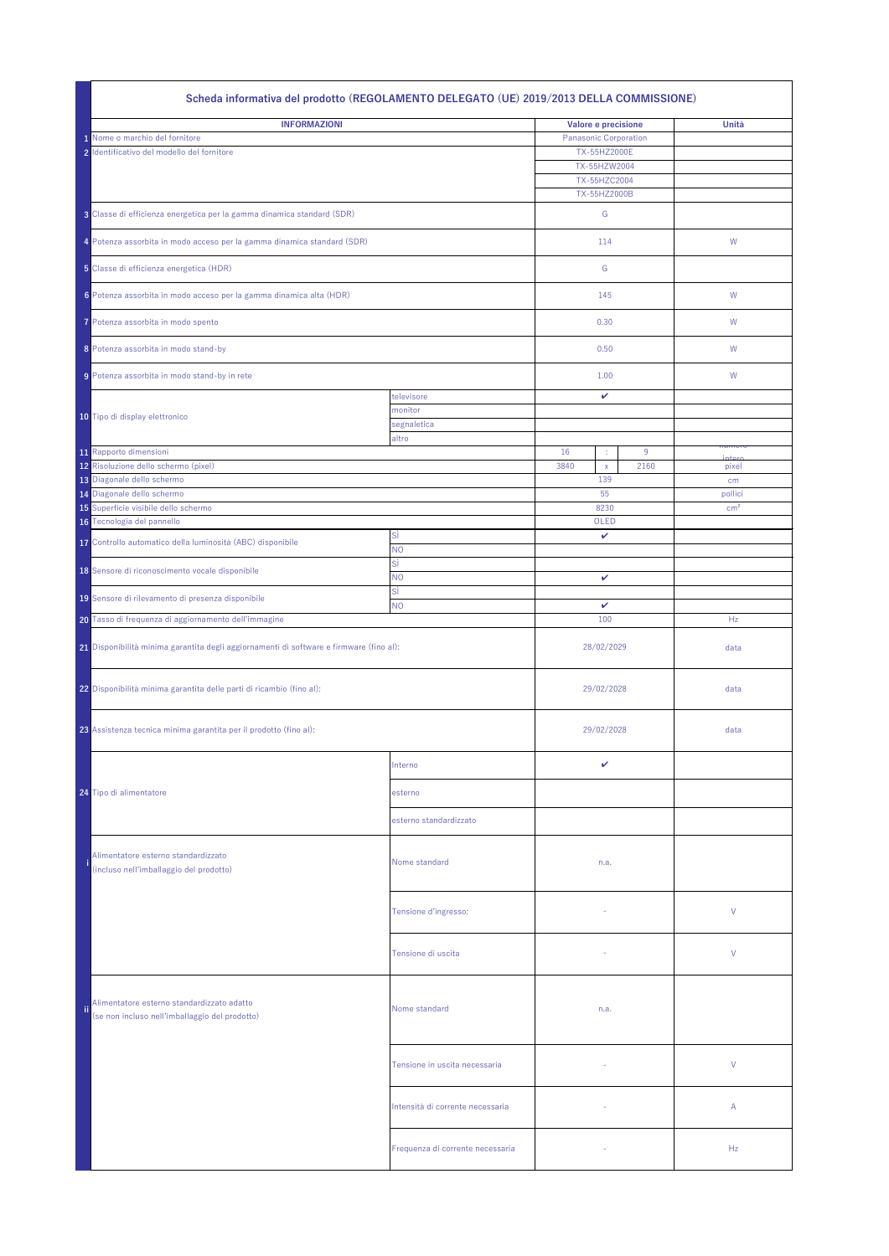|                                                                        | Scheda informativa del prodotto (REGOLAMENTO DELEGATO (UE) 2019/2013 DELLA COMMISSIONE)      |                                  |                              |                              |      |                |                 |
|------------------------------------------------------------------------|----------------------------------------------------------------------------------------------|----------------------------------|------------------------------|------------------------------|------|----------------|-----------------|
|                                                                        | <b>INFORMAZIONI</b>                                                                          |                                  | Valore e precisione          |                              |      |                | Unità           |
|                                                                        | 1 Nome o marchio del fornitore                                                               |                                  | <b>Panasonic Corporation</b> |                              |      |                |                 |
|                                                                        | 2 Identificativo del modello del fornitore                                                   |                                  |                              | TX-55HZ2000E                 |      |                |                 |
|                                                                        |                                                                                              |                                  |                              | TX-55HZW2004                 |      |                |                 |
|                                                                        |                                                                                              |                                  |                              | TX-55HZC2004<br>TX-55HZ2000B |      |                |                 |
|                                                                        |                                                                                              |                                  |                              |                              |      |                |                 |
| 3 Classe di efficienza energetica per la gamma dinamica standard (SDR) |                                                                                              |                                  |                              | G                            |      |                |                 |
|                                                                        | 4 Potenza assorbita in modo acceso per la gamma dinamica standard (SDR)                      |                                  |                              | 114                          |      | W              |                 |
|                                                                        | 5 Classe di efficienza energetica (HDR)                                                      |                                  |                              | G                            |      |                |                 |
|                                                                        | 6 Potenza assorbita in modo acceso per la gamma dinamica alta (HDR)                          |                                  | 145                          |                              |      | W              |                 |
|                                                                        | 7 Potenza assorbita in modo spento                                                           |                                  |                              | 0.30                         |      | W              |                 |
|                                                                        | 8 Potenza assorbita in modo stand-by                                                         |                                  |                              | 0.50                         |      | W              |                 |
|                                                                        | 9 Potenza assorbita in modo stand-by in rete                                                 |                                  | 1.00                         |                              |      | W              |                 |
|                                                                        |                                                                                              | televisore                       |                              | ✓                            |      |                |                 |
|                                                                        | 10 Tipo di display elettronico                                                               | monitor                          |                              |                              |      |                |                 |
|                                                                        |                                                                                              | segnaletica                      |                              |                              |      |                |                 |
|                                                                        | 11 Rapporto dimensioni                                                                       | altro                            | 16                           |                              | 9    | пишск          |                 |
|                                                                        | 12 Risoluzione dello schermo (pixel)                                                         |                                  | 3840                         | ÷<br>$\mathsf{X}$            | 2160 | intor<br>pixel |                 |
|                                                                        | 13 Diagonale dello schermo                                                                   |                                  |                              | 139                          |      | cm             |                 |
|                                                                        | 14 Diagonale dello schermo                                                                   |                                  |                              | 55                           |      | pollici        |                 |
|                                                                        | 15 Superficie visibile dello schermo                                                         |                                  |                              | 8230                         |      |                | cm <sup>2</sup> |
|                                                                        | 16 Tecnologia del pannello                                                                   |                                  |                              | OLED                         |      |                |                 |
|                                                                        | 17 Controllo automatico della luminosità (ABC) disponibile                                   | <b>SI</b>                        |                              | $\mathbf{v}$                 |      |                |                 |
|                                                                        |                                                                                              | <b>NO</b><br>SÌ                  |                              |                              |      |                |                 |
|                                                                        | 18 Sensore di riconoscimento vocale disponibile                                              | <b>NO</b>                        | V                            |                              |      |                |                 |
|                                                                        | 19 Sensore di rilevamento di presenza disponibile                                            | Sİ<br><b>NO</b>                  | $\mathbf v$                  |                              |      |                |                 |
|                                                                        | 20 Tasso di frequenza di aggiornamento dell'immagine                                         |                                  |                              | 100                          |      | Hz             |                 |
|                                                                        | 21 Disponibilità minima garantita degli aggiornamenti di software e firmware (fino al):      |                                  |                              | 28/02/2029                   |      | data           |                 |
|                                                                        | 22 Disponibilità minima garantita delle parti di ricambio (fino al):                         |                                  | 29/02/2028                   |                              | data |                |                 |
|                                                                        | 23 Assistenza tecnica minima garantita per il prodotto (fino al):                            |                                  | 29/02/2028                   |                              |      | data           |                 |
|                                                                        |                                                                                              | Interno                          |                              | V                            |      |                |                 |
|                                                                        | 24 Tipo di alimentatore                                                                      | esterno                          |                              |                              |      |                |                 |
|                                                                        |                                                                                              | esterno standardizzato           |                              |                              |      |                |                 |
|                                                                        | Alimentatore esterno standardizzato                                                          |                                  |                              |                              |      |                |                 |
|                                                                        | (incluso nell'imballaggio del prodotto)                                                      | Nome standard                    |                              | n.a.                         |      |                |                 |
|                                                                        |                                                                                              |                                  |                              |                              |      |                |                 |
|                                                                        |                                                                                              | Tensione d'ingresso:             |                              |                              |      |                | $\vee$          |
|                                                                        |                                                                                              | Tensione di uscita               |                              |                              |      |                | V               |
| ii.                                                                    | Alimentatore esterno standardizzato adatto<br>(se non incluso nell'imballaggio del prodotto) | Nome standard                    |                              | n.a.                         |      |                |                 |
|                                                                        |                                                                                              | Tensione in uscita necessaria    |                              |                              |      |                | V               |
|                                                                        |                                                                                              | Intensità di corrente necessaria |                              |                              |      |                | $\mathsf{A}$    |
|                                                                        |                                                                                              | Frequenza di corrente necessaria |                              |                              |      |                | Hz              |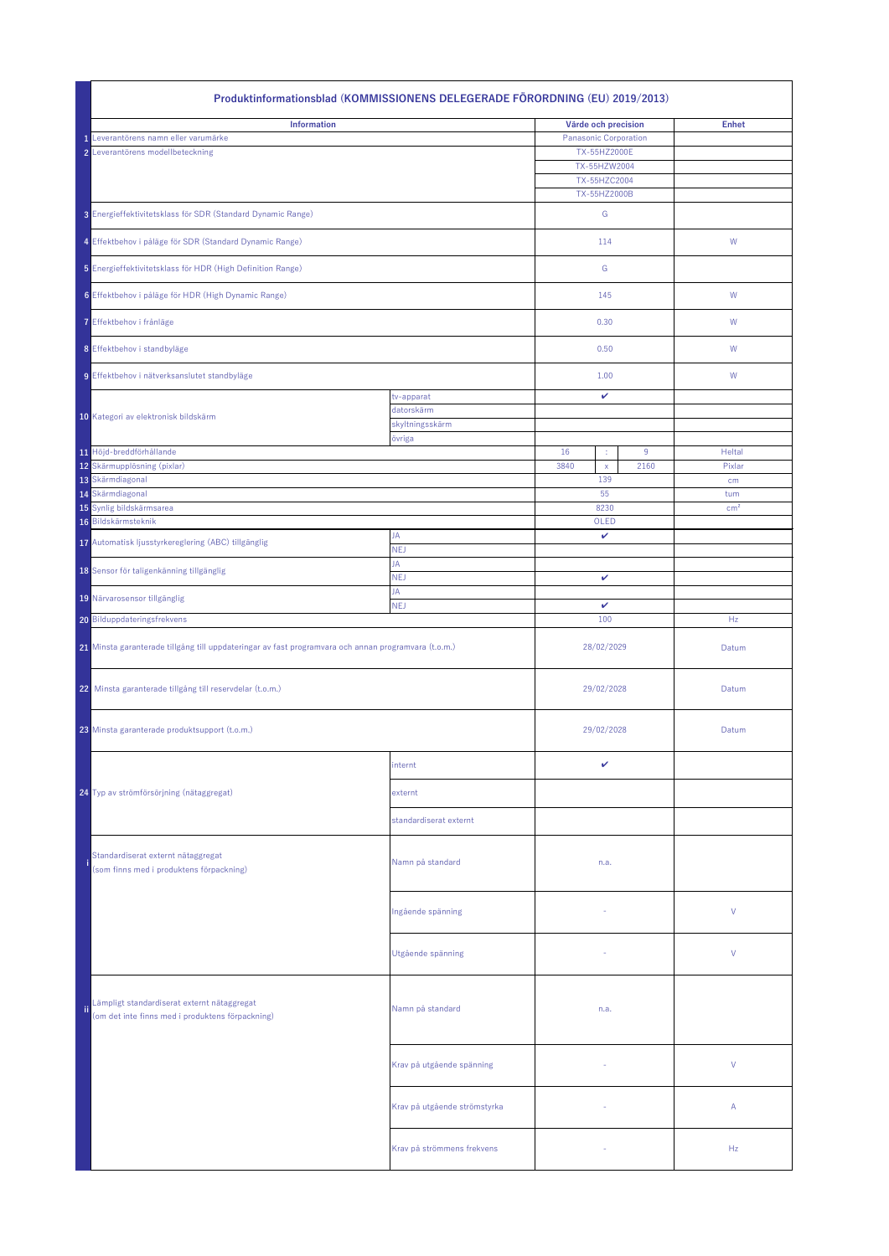|                                                     | Produktinformationsblad (KOMMISSIONENS DELEGERADE FÖRORDNING (EU) 2019/2013)                         |                              |                              |      |                        |  |  |
|-----------------------------------------------------|------------------------------------------------------------------------------------------------------|------------------------------|------------------------------|------|------------------------|--|--|
|                                                     | <b>Information</b>                                                                                   |                              | Värde och precision          |      | <b>Enhet</b>           |  |  |
|                                                     | 1 Leverantörens namn eller varumärke                                                                 | <b>Panasonic Corporation</b> |                              |      |                        |  |  |
|                                                     | 2 Leverantörens modellbeteckning                                                                     |                              | TX-55HZ2000E                 |      |                        |  |  |
|                                                     |                                                                                                      |                              | TX-55HZW2004<br>TX-55HZC2004 |      |                        |  |  |
|                                                     |                                                                                                      |                              | TX-55HZ2000B                 |      |                        |  |  |
|                                                     | 3 Energieffektivitetsklass för SDR (Standard Dynamic Range)                                          |                              | G                            |      |                        |  |  |
|                                                     | 4 Effektbehov i påläge för SDR (Standard Dynamic Range)                                              |                              | 114                          |      | W                      |  |  |
|                                                     | 5 Energieffektivitetsklass för HDR (High Definition Range)                                           |                              | G                            |      |                        |  |  |
| 6 Effektbehov i påläge för HDR (High Dynamic Range) |                                                                                                      |                              | 145                          |      | W                      |  |  |
|                                                     | 7 Effektbehov i frånläge                                                                             |                              | 0.30                         |      | W                      |  |  |
|                                                     | 8 Effektbehov i standbyläge                                                                          |                              | 0.50                         |      | W                      |  |  |
|                                                     | 9 Effektbehov i nätverksanslutet standbyläge                                                         |                              | 1.00                         |      | W                      |  |  |
|                                                     |                                                                                                      | tv-apparat                   | $\mathbf{v}$                 |      |                        |  |  |
|                                                     | 10 Kategori av elektronisk bildskärm                                                                 | datorskärm                   |                              |      |                        |  |  |
|                                                     |                                                                                                      | skyltningsskärm<br>övriga    |                              |      |                        |  |  |
|                                                     | 11 Höjd-breddförhållande                                                                             |                              | 16<br>÷                      | 9    | Heltal                 |  |  |
|                                                     | 12 Skärmupplösning (pixlar)                                                                          |                              | 3840<br>$\mathsf{X}$         | 2160 | Pixlar                 |  |  |
|                                                     | 13 Skärmdiagonal                                                                                     |                              | 139                          |      | cm                     |  |  |
|                                                     | 14 Skärmdiagonal<br>15 Synlig bildskärmsarea                                                         |                              | 55<br>8230                   |      | tum<br>cm <sup>2</sup> |  |  |
|                                                     | 16 Bildskärmsteknik                                                                                  |                              | OLED                         |      |                        |  |  |
|                                                     | 17 Automatisk ljusstyrkereglering (ABC) tillgänglig                                                  | JA                           | $\mathbf{v}$                 |      |                        |  |  |
|                                                     |                                                                                                      | <b>NEJ</b><br>JA             |                              |      |                        |  |  |
|                                                     | 18 Sensor för taligenkänning tillgänglig                                                             | <b>NEJ</b>                   | $\mathbf{v}$                 |      |                        |  |  |
|                                                     | 19 Närvarosensor tillgänglig                                                                         | JA<br><b>NEJ</b>             | $\mathbf{v}$                 |      |                        |  |  |
|                                                     | 20 Bilduppdateringsfrekvens                                                                          |                              | 100                          |      | Hz                     |  |  |
|                                                     | 21 Minsta garanterade tillgång till uppdateringar av fast programvara och annan programvara (t.o.m.) |                              | 28/02/2029                   |      | Datum                  |  |  |
|                                                     | 22 Minsta garanterade tillgång till reservdelar (t.o.m.)                                             |                              | 29/02/2028                   |      | Datum                  |  |  |
|                                                     | 23 Minsta garanterade produktsupport (t.o.m.)                                                        |                              | 29/02/2028                   |      | Datum                  |  |  |
|                                                     |                                                                                                      | internt                      | ✓                            |      |                        |  |  |
|                                                     | 24 Typ av strömförsörjning (nätaggregat)                                                             | externt                      |                              |      |                        |  |  |
|                                                     |                                                                                                      | standardiserat externt       |                              |      |                        |  |  |
|                                                     | Standardiserat externt nätaggregat<br>(som finns med i produktens förpackning)                       | Namn på standard             | n.a.                         |      |                        |  |  |
|                                                     |                                                                                                      | Ingående spänning            |                              |      | $\vee$                 |  |  |
|                                                     |                                                                                                      | Utgående spänning            |                              |      | V                      |  |  |
|                                                     | Lämpligt standardiserat externt nätaggregat<br>(om det inte finns med i produktens förpackning)      | Namn på standard             | n.a.                         |      |                        |  |  |
|                                                     |                                                                                                      | Krav på utgående spänning    |                              |      | V                      |  |  |
|                                                     |                                                                                                      | Krav på utgående strömstyrka |                              |      | $\mathsf{A}$           |  |  |
|                                                     |                                                                                                      | Krav på strömmens frekvens   | $\overline{\phantom{a}}$     |      | Hz                     |  |  |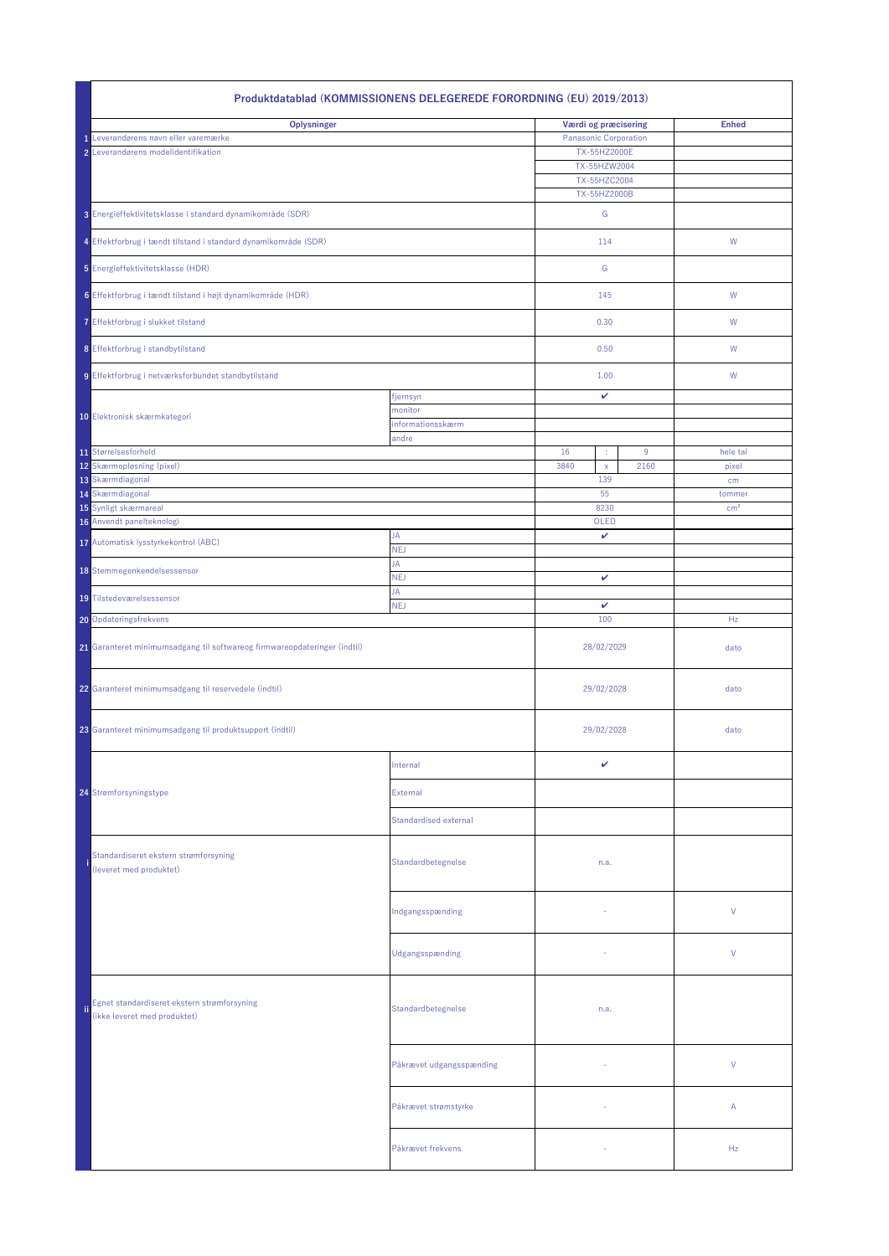| Produktdatablad (KOMMISSIONENS DELEGEREDE FORORDNING (EU) 2019/2013)        |                          |                                     |                 |  |  |  |  |
|-----------------------------------------------------------------------------|--------------------------|-------------------------------------|-----------------|--|--|--|--|
| <b>Oplysninger</b>                                                          |                          | Værdi og præcisering                | <b>Enhed</b>    |  |  |  |  |
| Leverandørens navn eller varemærke                                          |                          | <b>Panasonic Corporation</b>        |                 |  |  |  |  |
| 2 Leverandørens modelidentifikation                                         |                          | TX-55HZ2000E                        |                 |  |  |  |  |
|                                                                             |                          | TX-55HZW2004                        |                 |  |  |  |  |
|                                                                             |                          | TX-55HZC2004<br>TX-55HZ2000B        |                 |  |  |  |  |
| 3 Energieffektivitetsklasse i standard dynamikområde (SDR)                  |                          | G                                   |                 |  |  |  |  |
| 4 Effektforbrug i tændt tilstand i standard dynamikområde (SDR)             |                          | 114                                 | W               |  |  |  |  |
| 5 Energieffektivitetsklasse (HDR)                                           |                          | G                                   |                 |  |  |  |  |
| 6 Effektforbrug i tændt tilstand i højt dynamikområde (HDR)                 |                          | 145                                 | W               |  |  |  |  |
| 7 Effektforbrug i slukket tilstand                                          |                          | 0.30                                | W               |  |  |  |  |
| 8 Effektforbrug i standbytilstand                                           |                          | 0.50                                | W               |  |  |  |  |
| 9 Effektforbrug i netværksforbundet standbytilstand                         |                          | 1.00                                | W               |  |  |  |  |
|                                                                             | fjernsyn                 | $\checkmark$                        |                 |  |  |  |  |
| 10 Elektronisk skærmkategori                                                | monitor                  |                                     |                 |  |  |  |  |
|                                                                             | informationsskærm        |                                     |                 |  |  |  |  |
| 11 Størrelsesforhold                                                        | andre                    | 16<br>9<br>÷                        | hele tal        |  |  |  |  |
| 12 Skærmopløsning (pixel)<br>13 Skærmdiagonal                               |                          | 3840<br>2160<br>$\mathsf{X}$<br>139 | pixel<br>cm     |  |  |  |  |
| 14 Skærmdiagonal                                                            |                          | 55                                  | tommer          |  |  |  |  |
| 15 Synligt skærmareal                                                       |                          | 8230                                | cm <sup>2</sup> |  |  |  |  |
| 16 Anvendt panelteknologi                                                   |                          | OLED                                |                 |  |  |  |  |
| 17 Automatisk lysstyrkekontrol (ABC)                                        | JA                       | $\checkmark$                        |                 |  |  |  |  |
|                                                                             | <b>NEJ</b>               |                                     |                 |  |  |  |  |
| 18 Stemmegenkendelsessensor                                                 | JA<br><b>NEJ</b>         | $\checkmark$                        |                 |  |  |  |  |
| 19 Tilstedeværelsessensor                                                   | JA<br><b>NEJ</b>         | $\mathbf v$                         |                 |  |  |  |  |
| 20 Opdateringsfrekvens                                                      |                          | 100                                 | Hz              |  |  |  |  |
| 21 Garanteret minimumsadgang til softwareog firmwareopdateringer (indtil)   |                          | 28/02/2029                          | dato            |  |  |  |  |
| 22 Garanteret minimumsadgang til reservedele (indtil)                       |                          | 29/02/2028                          | dato            |  |  |  |  |
| 23 Garanteret minimumsadgang til produktsupport (indtil)                    |                          | 29/02/2028                          | dato            |  |  |  |  |
|                                                                             | Internal                 | $\checkmark$                        |                 |  |  |  |  |
| 24 Strømforsyningstype                                                      | External                 |                                     |                 |  |  |  |  |
|                                                                             | Standardised external    |                                     |                 |  |  |  |  |
| Standardiseret ekstern strømforsyning<br>(leveret med produktet)            | Standardbetegnelse       | n.a.                                |                 |  |  |  |  |
|                                                                             | Indgangsspænding         | $\overline{\phantom{a}}$            | $\vee$          |  |  |  |  |
|                                                                             | Udgangsspænding          |                                     | $\vee$          |  |  |  |  |
| Egnet standardiseret ekstern strømforsyning<br>(ikke leveret med produktet) | Standardbetegnelse       | n.a.                                |                 |  |  |  |  |
|                                                                             | Påkrævet udgangsspænding | $\sim$                              | $\vee$          |  |  |  |  |
|                                                                             | Påkrævet strømstyrke     | $\sim$                              | $\mathsf{A}$    |  |  |  |  |
|                                                                             | Påkrævet frekvens        |                                     | Hz              |  |  |  |  |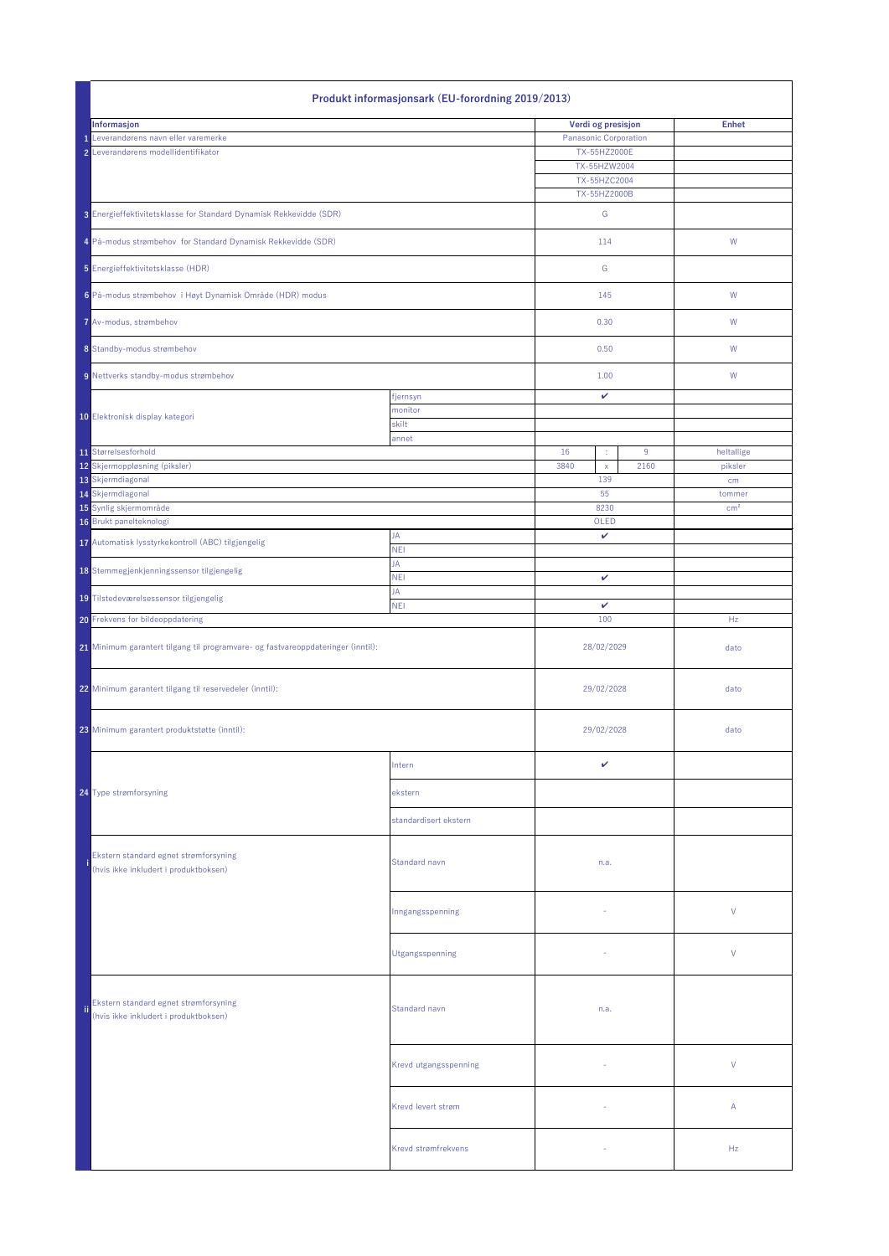| <b>Produkt informasjonsark (EU-forordning 2019/2013)</b>                         |                       |                       |                    |      |                       |  |
|----------------------------------------------------------------------------------|-----------------------|-----------------------|--------------------|------|-----------------------|--|
| Informasjon                                                                      |                       |                       | Verdi og presisjon |      | <b>Enhet</b>          |  |
| Leverandørens navn eller varemerke                                               |                       | Panasonic Corporation |                    |      |                       |  |
| 2 Leverandørens modellidentifikator                                              |                       |                       | TX-55HZ2000E       |      |                       |  |
|                                                                                  |                       |                       | TX-55HZW2004       |      |                       |  |
|                                                                                  |                       |                       | TX-55HZC2004       |      |                       |  |
|                                                                                  |                       |                       | TX-55HZ2000B       |      |                       |  |
| 3 Energieffektivitetsklasse for Standard Dynamisk Rekkevidde (SDR)               |                       |                       | G                  |      |                       |  |
| 4 På-modus strømbehov for Standard Dynamisk Rekkevidde (SDR)                     |                       | 114                   |                    |      | W                     |  |
| 5 Energieffektivitetsklasse (HDR)                                                |                       |                       | G                  |      |                       |  |
| 6 På-modus strømbehov i Høyt Dynamisk Område (HDR) modus                         |                       |                       | 145                |      | W                     |  |
| 7 Av-modus, strømbehov                                                           |                       |                       | 0.30               |      | W                     |  |
| 8 Standby-modus strømbehov                                                       |                       |                       | 0.50               |      | W                     |  |
| 9 Nettverks standby-modus strømbehov                                             |                       | 1.00                  |                    |      | W                     |  |
|                                                                                  | fjernsyn              |                       | $\checkmark$       |      |                       |  |
| 10 Elektronisk display kategori                                                  | monitor               |                       |                    |      |                       |  |
|                                                                                  | skilt                 |                       |                    |      |                       |  |
| 11 Størrelsesforhold                                                             | annet                 | 16                    |                    | 9    |                       |  |
| 12 Skjermoppløsning (piksler)                                                    |                       | 3840                  | ÷,<br>$\mathsf{X}$ | 2160 | heltallige<br>piksler |  |
| 13 Skjermdiagonal                                                                |                       |                       | 139                |      | cm                    |  |
| 14 Skjermdiagonal                                                                |                       |                       | 55                 |      | tommer                |  |
| 15 Synlig skjermområde                                                           |                       |                       | 8230               |      | cm <sup>2</sup>       |  |
| 16 Brukt panelteknologi                                                          |                       |                       | OLED               |      |                       |  |
| 17 Automatisk lysstyrkekontroll (ABC) tilgjengelig                               | JA<br><b>NEI</b>      | $\checkmark$          |                    |      |                       |  |
|                                                                                  | JA                    |                       |                    |      |                       |  |
| 18 Stemmegjenkjenningssensor tilgjengelig                                        | <b>NEI</b><br>JA      |                       | $\checkmark$       |      |                       |  |
| 19 Tilstedeværelsessensor tilgjengelig                                           | <b>NEI</b>            | $\mathbf{v}$          |                    |      |                       |  |
| 20 Frekvens for bildeoppdatering                                                 |                       | 100                   |                    |      | Hz                    |  |
| 21 Minimum garantert tilgang til programvare- og fastvareoppdateringer (inntil): |                       | 28/02/2029            |                    |      | dato                  |  |
| 22 Minimum garantert tilgang til reservedeler (inntil):                          |                       |                       | 29/02/2028         |      | dato                  |  |
| 23 Minimum garantert produktstøtte (inntil):                                     |                       |                       | 29/02/2028         |      | dato                  |  |
|                                                                                  | Intern                |                       | $\mathbf{v}$       |      |                       |  |
| 24 Type strømforsyning                                                           | ekstern               |                       |                    |      |                       |  |
|                                                                                  | standardisert ekstern |                       |                    |      |                       |  |
| Ekstern standard egnet strømforsyning<br>(hvis ikke inkludert i produktboksen)   | Standard navn         |                       | n.a.               |      |                       |  |
|                                                                                  | Inngangsspenning      |                       |                    |      | $\vee$                |  |
|                                                                                  | Utgangsspenning       |                       |                    |      | $\vee$                |  |
| Ekstern standard egnet strømforsyning<br>(hvis ikke inkludert i produktboksen)   | Standard navn         |                       | n.a.               |      |                       |  |
|                                                                                  | Krevd utgangsspenning |                       |                    |      | $\vee$                |  |
|                                                                                  | Krevd levert strøm    |                       |                    |      | $\mathsf{A}$          |  |
|                                                                                  | Krevd strømfrekvens   |                       |                    |      | Hz                    |  |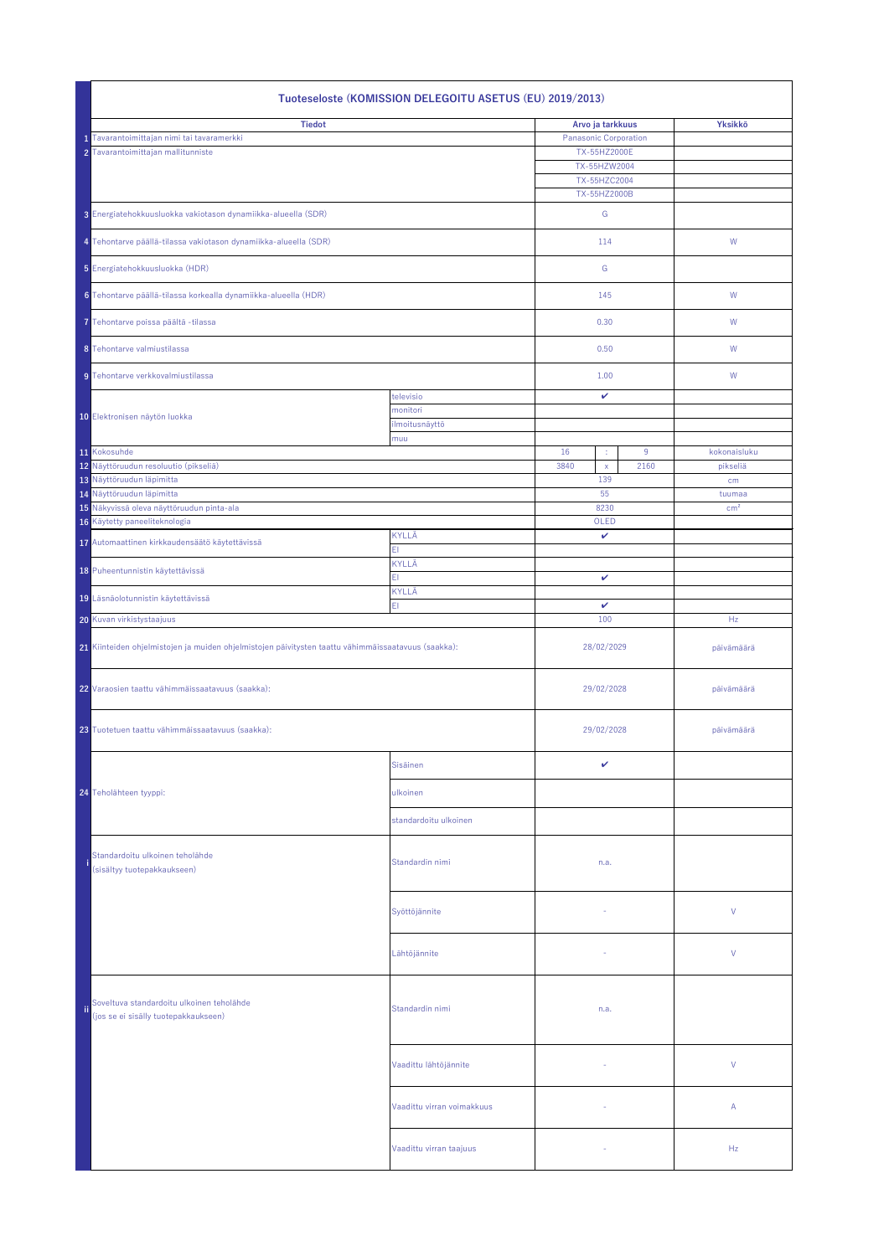|     | Tuoteseloste (KOMISSION DELEGOITU ASETUS (EU) 2019/2013)                                            |                            |                              |                                              |      |                 |  |  |
|-----|-----------------------------------------------------------------------------------------------------|----------------------------|------------------------------|----------------------------------------------|------|-----------------|--|--|
|     | <b>Tiedot</b><br>Tavarantoimittajan nimi tai tavaramerkki<br>2 Tavarantoimittajan mallitunniste     |                            | <b>Panasonic Corporation</b> | Arvo ja tarkkuus<br>TX-55HZ2000E             |      | Yksikkö         |  |  |
|     |                                                                                                     |                            |                              | TX-55HZW2004<br>TX-55HZC2004<br>TX-55HZ2000B |      |                 |  |  |
|     | 3 Energiatehokkuusluokka vakiotason dynamiikka-alueella (SDR)                                       |                            | G                            |                                              |      |                 |  |  |
|     | 4 Tehontarve päällä-tilassa vakiotason dynamiikka-alueella (SDR)                                    |                            |                              | 114                                          |      | W               |  |  |
|     | 5 Energiatehokkuusluokka (HDR)                                                                      |                            |                              | G                                            |      |                 |  |  |
|     | 6 Tehontarve päällä-tilassa korkealla dynamiikka-alueella (HDR)                                     |                            |                              | 145                                          |      | W               |  |  |
|     | 7 Tehontarve poissa päältä -tilassa                                                                 |                            |                              | 0.30                                         |      | W               |  |  |
|     | 8 Tehontarve valmiustilassa                                                                         |                            | 0.50                         |                                              |      | W               |  |  |
|     | 9 Tehontarve verkkovalmiustilassa                                                                   |                            | 1.00                         |                                              |      | W               |  |  |
|     |                                                                                                     | televisio<br>monitori      |                              | $\mathbf{v}$                                 |      |                 |  |  |
|     | 10 Elektronisen näytön luokka                                                                       | ilmoitusnäyttö<br>muu      |                              |                                              |      |                 |  |  |
|     | 11 Kokosuhde                                                                                        |                            | 16                           |                                              | 9    | kokonaisluku    |  |  |
|     | 12 Näyttöruudun resoluutio (pikseliä)                                                               |                            | 3840                         | $\mathsf{X}$                                 | 2160 | pikseliä        |  |  |
|     | 13 Näyttöruudun läpimitta                                                                           |                            |                              | 139                                          |      | cm              |  |  |
|     | 14 Näyttöruudun läpimitta                                                                           |                            |                              | 55                                           |      | tuumaa          |  |  |
|     | 15 Näkyvissä oleva näyttöruudun pinta-ala<br>16 Käytetty paneeliteknologia                          |                            |                              | 8230<br>OLED                                 |      | cm <sup>2</sup> |  |  |
|     |                                                                                                     | KYLLÄ                      |                              | $\mathbf v$                                  |      |                 |  |  |
|     | 17 Automaattinen kirkkaudensäätö käytettävissä                                                      | EI                         |                              |                                              |      |                 |  |  |
|     | 18 Puheentunnistin käytettävissä                                                                    | KYLLÄ<br>F.                | $\checkmark$                 |                                              |      |                 |  |  |
|     | 19 Läsnäolotunnistin käytettävissä                                                                  | <b>KYLLÄ</b><br>EI         |                              |                                              |      |                 |  |  |
|     | 20 Kuvan virkistystaajuus                                                                           |                            | $\mathbf v$<br>100           |                                              |      | Hz              |  |  |
|     | 21 Kiinteiden ohjelmistojen ja muiden ohjelmistojen päivitysten taattu vähimmäissaatavuus (saakka): |                            | 28/02/2029                   |                                              |      | päivämäärä      |  |  |
|     | 22 Varaosien taattu vähimmäissaatavuus (saakka):                                                    |                            | 29/02/2028                   |                                              |      | päivämäärä      |  |  |
|     | 23 Tuotetuen taattu vähimmäissaatavuus (saakka):                                                    |                            |                              | 29/02/2028                                   |      | päivämäärä      |  |  |
|     |                                                                                                     | Sisäinen                   |                              | $\checkmark$                                 |      |                 |  |  |
|     | 24 Teholähteen tyyppi:                                                                              | ulkoinen                   |                              |                                              |      |                 |  |  |
|     |                                                                                                     | standardoitu ulkoinen      |                              |                                              |      |                 |  |  |
|     | Standardoitu ulkoinen teholähde<br>(sisältyy tuotepakkaukseen)                                      | Standardin nimi            |                              | n.a.                                         |      |                 |  |  |
|     |                                                                                                     | Syöttöjännite              |                              |                                              |      | $\vee$          |  |  |
|     |                                                                                                     | Lähtöjännite               |                              |                                              |      | $\vee$          |  |  |
| ji. | Soveltuva standardoitu ulkoinen teholähde<br>(jos se ei sisälly tuotepakkaukseen)                   | Standardin nimi            | n.a.                         |                                              |      |                 |  |  |
|     |                                                                                                     | Vaadittu lähtöjännite      |                              |                                              |      | $\vee$          |  |  |
|     |                                                                                                     | Vaadittu virran voimakkuus |                              | $\sim$                                       |      | $\mathsf{A}$    |  |  |
|     |                                                                                                     | Vaadittu virran taajuus    |                              | $\overline{\phantom{a}}$                     |      | Hz              |  |  |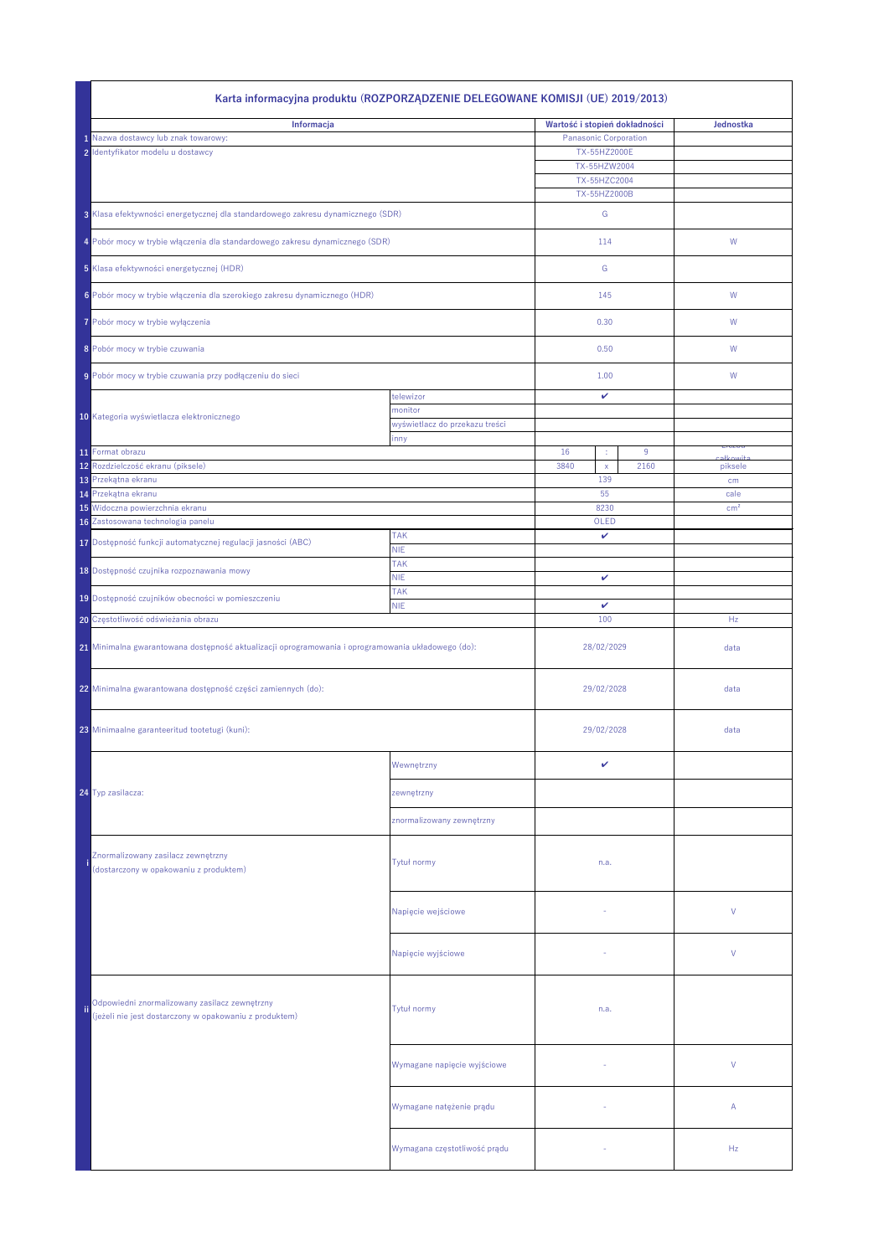| Karta informacyjna produktu (ROZPORZĄDZENIE DELEGOWANE KOMISJI (UE) 2019/2013) |                                                                                                         |                                           |                               |                              |      |                    |
|--------------------------------------------------------------------------------|---------------------------------------------------------------------------------------------------------|-------------------------------------------|-------------------------------|------------------------------|------|--------------------|
| Informacja                                                                     |                                                                                                         |                                           | Wartość i stopień dokładności |                              |      | Jednostka          |
|                                                                                | 1 Nazwa dostawcy lub znak towarowy:                                                                     |                                           | <b>Panasonic Corporation</b>  |                              |      |                    |
|                                                                                | 2 Identyfikator modelu u dostawcy                                                                       |                                           |                               | TX-55HZ2000E                 |      |                    |
|                                                                                |                                                                                                         |                                           |                               | TX-55HZW2004<br>TX-55HZC2004 |      |                    |
|                                                                                |                                                                                                         |                                           |                               | TX-55HZ2000B                 |      |                    |
|                                                                                | 3 Klasa efektywności energetycznej dla standardowego zakresu dynamicznego (SDR)                         |                                           |                               | G                            |      |                    |
|                                                                                | 4 Pobór mocy w trybie włączenia dla standardowego zakresu dynamicznego (SDR)                            |                                           |                               | 114                          |      | W                  |
| 5 Klasa efektywności energetycznej (HDR)                                       |                                                                                                         |                                           |                               | G                            |      |                    |
| 6 Pobór mocy w trybie włączenia dla szerokiego zakresu dynamicznego (HDR)      |                                                                                                         |                                           |                               | 145                          |      | W                  |
|                                                                                | 7 Pobór mocy w trybie wyłączenia                                                                        |                                           |                               | 0.30<br>0.50                 |      | W                  |
|                                                                                | 8 Pobór mocy w trybie czuwania                                                                          |                                           |                               |                              |      | W                  |
|                                                                                | 9 Pobór mocy w trybie czuwania przy podłączeniu do sieci                                                |                                           |                               | 1.00                         |      | W                  |
|                                                                                |                                                                                                         | telewizor                                 |                               | $\mathbf v$                  |      |                    |
|                                                                                | 10 Kategoria wyświetlacza elektronicznego                                                               | monitor<br>wyświetlacz do przekazu treści |                               |                              |      |                    |
|                                                                                |                                                                                                         | inny                                      |                               |                              |      |                    |
|                                                                                | 11 Format obrazu                                                                                        |                                           | 16                            | ÷                            | 9    | LICZDa<br>okkowitc |
|                                                                                | 12 Rozdzielczość ekranu (piksele)                                                                       |                                           | 3840                          | $\mathsf{X}$<br>139          | 2160 | piksele            |
|                                                                                | 13 Przekątna ekranu<br>14 Przekątna ekranu                                                              |                                           |                               | 55                           |      | cm<br>cale         |
|                                                                                | 15 Widoczna powierzchnia ekranu                                                                         |                                           |                               | 8230                         |      | cm <sup>2</sup>    |
|                                                                                | 16 Zastosowana technologia panelu                                                                       |                                           |                               | OLED                         |      |                    |
|                                                                                | 17 Dostępność funkcji automatycznej regulacji jasności (ABC)                                            | <b>TAK</b><br><b>NIE</b>                  | $\checkmark$                  |                              |      |                    |
|                                                                                |                                                                                                         | <b>TAK</b>                                |                               |                              |      |                    |
|                                                                                | 18 Dostępność czujnika rozpoznawania mowy                                                               | <b>NIE</b>                                |                               | $\checkmark$                 |      |                    |
|                                                                                | 19 Dostępność czujników obecności w pomieszczeniu                                                       | <b>TAK</b><br><b>NIE</b>                  | $\mathbf v$                   |                              |      |                    |
|                                                                                | 20 Częstotliwość odświeżania obrazu                                                                     |                                           | 100                           |                              |      | Hz                 |
|                                                                                | 21 Minimalna gwarantowana dostępność aktualizacji oprogramowania i oprogramowania układowego (do):      |                                           | 28/02/2029                    |                              | data |                    |
|                                                                                | 22 Minimalna gwarantowana dostępność części zamiennych (do):                                            |                                           | 29/02/2028                    |                              |      | data               |
|                                                                                | 23 Minimaalne garanteeritud tootetugi (kuni):                                                           |                                           |                               | 29/02/2028                   |      | data               |
|                                                                                |                                                                                                         | Wewnętrzny                                |                               | ✓                            |      |                    |
|                                                                                | 24 Typ zasilacza:                                                                                       | zewnętrzny                                |                               |                              |      |                    |
|                                                                                |                                                                                                         | znormalizowany zewnętrzny                 |                               |                              |      |                    |
|                                                                                | Znormalizowany zasilacz zewnętrzny<br>(dostarczony w opakowaniu z produktem)                            | Tytuł normy                               |                               | n.a.                         |      |                    |
|                                                                                |                                                                                                         | Napięcie wejściowe                        |                               |                              |      | $\vee$             |
|                                                                                |                                                                                                         | Napięcie wyjściowe                        |                               |                              |      | V                  |
| ii.                                                                            | Odpowiedni znormalizowany zasilacz zewnętrzny<br>(jeżeli nie jest dostarczony w opakowaniu z produktem) | Tytuł normy                               |                               | n.a.                         |      |                    |
|                                                                                |                                                                                                         | Wymagane napięcie wyjściowe               |                               |                              |      | $\vee$             |
|                                                                                |                                                                                                         | Wymagane natężenie prądu                  |                               |                              |      | $\mathsf{A}$       |
|                                                                                |                                                                                                         | Wymagana częstotliwość prądu              |                               | $\sim$                       |      | Hz                 |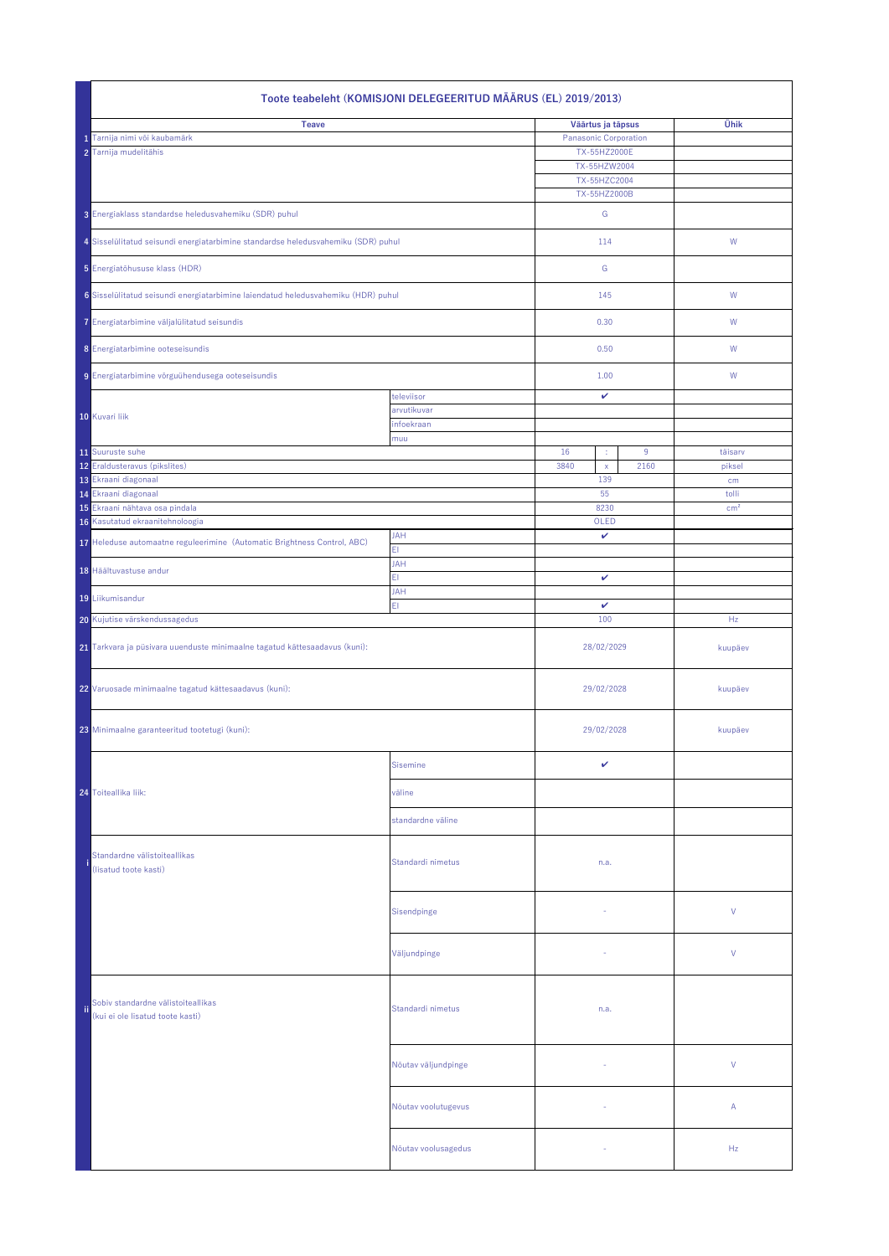| Toote teabeleht (KOMISJONI DELEGEERITUD MÄÄRUS (EL) 2019/2013)                    |                     |                              |                          |  |  |  |
|-----------------------------------------------------------------------------------|---------------------|------------------------------|--------------------------|--|--|--|
| <b>Teave</b>                                                                      |                     | Väärtus ja täpsus            | Ühik                     |  |  |  |
| Tarnija nimi või kaubamärk                                                        |                     | <b>Panasonic Corporation</b> |                          |  |  |  |
| 2 Tarnija mudelitähis                                                             |                     | TX-55HZ2000E                 |                          |  |  |  |
|                                                                                   |                     | TX-55HZW2004<br>TX-55HZC2004 |                          |  |  |  |
|                                                                                   |                     | TX-55HZ2000B                 |                          |  |  |  |
|                                                                                   |                     |                              |                          |  |  |  |
| 3 Energiaklass standardse heledusvahemiku (SDR) puhul                             |                     | G                            |                          |  |  |  |
| 4 Sisselülitatud seisundi energiatarbimine standardse heledusvahemiku (SDR) puhul |                     | 114                          | W                        |  |  |  |
|                                                                                   |                     |                              |                          |  |  |  |
| 5 Energiatõhususe klass (HDR)                                                     |                     | G                            |                          |  |  |  |
| 6 Sisselülitatud seisundi energiatarbimine laiendatud heledusvahemiku (HDR) puhul |                     | 145                          | W                        |  |  |  |
|                                                                                   |                     |                              |                          |  |  |  |
| 7 Energiatarbimine väljalülitatud seisundis                                       |                     | 0.30                         | W                        |  |  |  |
| 8 Energiatarbimine ooteseisundis                                                  |                     | 0.50                         | W                        |  |  |  |
|                                                                                   |                     |                              |                          |  |  |  |
| 9 Energiatarbimine võrguühendusega ooteseisundis                                  |                     | 1.00                         | W                        |  |  |  |
|                                                                                   | televiisor          | $\checkmark$                 |                          |  |  |  |
| 10 Kuvari liik                                                                    | arvutikuvar         |                              |                          |  |  |  |
|                                                                                   | infoekraan<br>muu   |                              |                          |  |  |  |
| 11 Suuruste suhe                                                                  |                     | 16<br>9<br>¢                 | täisarv                  |  |  |  |
| 12 Eraldusteravus (pikslites)                                                     |                     | 3840<br>2160<br>$\mathsf{X}$ | piksel                   |  |  |  |
| 13 Ekraani diagonaal                                                              |                     | 139                          | cm                       |  |  |  |
| 14 Ekraani diagonaal<br>15 Ekraani nähtava osa pindala                            |                     | 55<br>8230                   | tolli<br>cm <sup>2</sup> |  |  |  |
| 16 Kasutatud ekraanitehnoloogia                                                   |                     | OLED                         |                          |  |  |  |
| 17 Heleduse automaatne reguleerimine (Automatic Brightness Control, ABC)          | <b>JAH</b>          | $\mathbf v$                  |                          |  |  |  |
|                                                                                   | EI                  |                              |                          |  |  |  |
| 18 Häältuvastuse andur                                                            | <b>JAH</b>          | $\mathbf v$                  |                          |  |  |  |
|                                                                                   | EI<br><b>JAH</b>    |                              |                          |  |  |  |
| 19 Liikumisandur                                                                  | EI                  | $\checkmark$                 |                          |  |  |  |
| 20 Kujutise värskendussagedus                                                     |                     | 100                          | Hz                       |  |  |  |
|                                                                                   |                     |                              |                          |  |  |  |
| 21 Tarkvara ja püsivara uuenduste minimaalne tagatud kättesaadavus (kuni):        |                     | 28/02/2029                   | kuupäev                  |  |  |  |
|                                                                                   |                     |                              |                          |  |  |  |
| 22 Varuosade minimaalne tagatud kättesaadavus (kuni):                             |                     | 29/02/2028                   | kuupäev                  |  |  |  |
|                                                                                   |                     |                              |                          |  |  |  |
| 23 Minimaalne garanteeritud tootetugi (kuni):                                     |                     | 29/02/2028                   | kuupäev                  |  |  |  |
|                                                                                   |                     |                              |                          |  |  |  |
|                                                                                   | Sisemine            | $\checkmark$                 |                          |  |  |  |
|                                                                                   |                     |                              |                          |  |  |  |
| 24 Toiteallika liik:                                                              | väline              |                              |                          |  |  |  |
|                                                                                   | standardne väline   |                              |                          |  |  |  |
|                                                                                   |                     |                              |                          |  |  |  |
| Standardne välistoiteallikas                                                      |                     |                              |                          |  |  |  |
| (lisatud toote kasti)                                                             | Standardi nimetus   | n.a.                         |                          |  |  |  |
|                                                                                   |                     |                              |                          |  |  |  |
|                                                                                   | Sisendpinge         | $\overline{\phantom{a}}$     | V                        |  |  |  |
|                                                                                   |                     |                              |                          |  |  |  |
|                                                                                   |                     |                              |                          |  |  |  |
|                                                                                   | Väljundpinge        | $\overline{\phantom{a}}$     | $\vee$                   |  |  |  |
|                                                                                   |                     |                              |                          |  |  |  |
|                                                                                   |                     |                              |                          |  |  |  |
| Sobiv standardne välistoiteallikas<br>(kui ei ole lisatud toote kasti)            | Standardi nimetus   | n.a.                         |                          |  |  |  |
|                                                                                   |                     |                              |                          |  |  |  |
|                                                                                   |                     |                              |                          |  |  |  |
|                                                                                   | Nõutav väljundpinge | $\sim$                       | V                        |  |  |  |
|                                                                                   |                     |                              |                          |  |  |  |
|                                                                                   |                     |                              |                          |  |  |  |
|                                                                                   | Nõutav voolutugevus | $\sim$                       | A                        |  |  |  |
|                                                                                   |                     |                              |                          |  |  |  |
|                                                                                   | Nõutav voolusagedus |                              | Hz                       |  |  |  |
|                                                                                   |                     |                              |                          |  |  |  |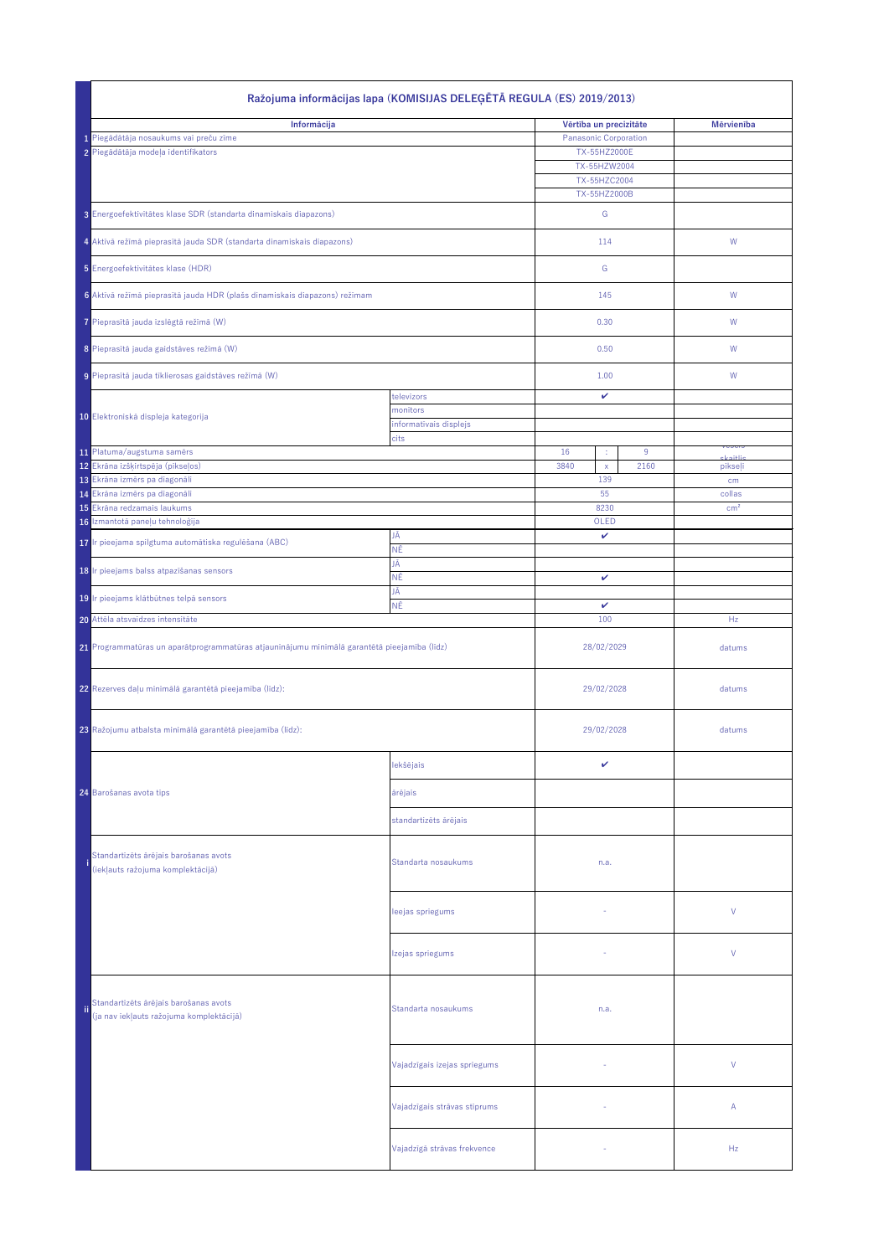|             | Ražojuma informācijas lapa (KOMISIJAS DELEĢĒTĀ REGULA (ES) 2019/2013)                        |                                |                              |                           |  |  |  |
|-------------|----------------------------------------------------------------------------------------------|--------------------------------|------------------------------|---------------------------|--|--|--|
| Informācija |                                                                                              |                                | Vērtība un precizitāte       | <b>Mērvienība</b>         |  |  |  |
|             | 1 Piegādātāja nosaukums vai preču zīme                                                       |                                | <b>Panasonic Corporation</b> |                           |  |  |  |
|             | 2 Piegādātāja modeļa identifikators                                                          |                                | TX-55HZ2000E                 |                           |  |  |  |
|             |                                                                                              |                                | TX-55HZW2004<br>TX-55HZC2004 |                           |  |  |  |
|             |                                                                                              |                                | TX-55HZ2000B                 |                           |  |  |  |
|             | 3 Energoefektivitātes klase SDR (standarta dinamiskais diapazons)                            |                                | G                            |                           |  |  |  |
|             | 4 Aktīvā režīmā pieprasītā jauda SDR (standarta dinamiskais diapazons)                       |                                | 114                          | W                         |  |  |  |
|             | 5 Energoefektivitātes klase (HDR)                                                            |                                | G                            |                           |  |  |  |
|             | 6 Aktīvā režīmā pieprasītā jauda HDR (plašs dinamiskais diapazons) režīmam                   |                                | 145                          | W                         |  |  |  |
|             | 7 Pieprasītā jauda izslēgtā režīmā (W)                                                       |                                | 0.30                         | W                         |  |  |  |
|             | 8 Pieprasītā jauda gaidstāves režīmā (W)                                                     |                                | 0.50                         | W                         |  |  |  |
|             | 9 Pieprasītā jauda tīklierosas gaidstāves režīmā (W)                                         |                                | 1.00                         | W                         |  |  |  |
|             |                                                                                              | televizors                     | $\checkmark$                 |                           |  |  |  |
|             | 10 Elektroniskā displeja kategorija                                                          | monitors                       |                              |                           |  |  |  |
|             |                                                                                              | informatīvais displejs<br>cits |                              |                           |  |  |  |
|             | 11 Platuma/augstuma samērs                                                                   |                                | 16<br>9<br>÷                 | <u>Nepels</u><br>عنائفهاه |  |  |  |
|             | 12 Ekrāna izšķirtspēja (pikseļos)                                                            |                                | 3840<br>2160<br>$\mathsf{X}$ | pikseļi                   |  |  |  |
|             | 13 Ekrāna izmērs pa diagonāli                                                                |                                | 139<br>55                    | cm                        |  |  |  |
|             | 14 Ekrāna izmērs pa diagonāli<br>15 Ekrāna redzamais laukums                                 |                                | 8230                         | collas<br>cm <sup>2</sup> |  |  |  |
|             | 16 Izmantotā paneļu tehnoloģija                                                              |                                | OLED                         |                           |  |  |  |
|             | 17 Ir pieejama spilgtuma automātiska regulēšana (ABC)                                        | JĀ                             | $\checkmark$                 |                           |  |  |  |
|             |                                                                                              | ΝĒ                             |                              |                           |  |  |  |
|             | 18 r pieejams balss atpazīšanas sensors                                                      | JĀ<br>NĒ                       | $\mathbf v$                  |                           |  |  |  |
|             | 19 Ir pieejams klātbūtnes telpā sensors                                                      | ۱Ā<br>NĒ                       | $\mathbf v$                  |                           |  |  |  |
|             | 20 Attēla atsvaidzes intensitāte                                                             |                                | 100                          | Hz                        |  |  |  |
|             | 21 Programmatūras un aparātprogrammatūras atjauninājumu minimālā garantētā pieejamība (līdz) |                                | 28/02/2029                   | datums                    |  |  |  |
|             |                                                                                              |                                |                              |                           |  |  |  |
|             | 22 Rezerves daļu minimālā garantētā pieejamība (līdz):                                       |                                | 29/02/2028                   | datums                    |  |  |  |
|             | 23 Ražojumu atbalsta minimālā garantētā pieejamība (līdz):                                   |                                | 29/02/2028                   | datums                    |  |  |  |
|             |                                                                                              | lekšējais                      | $\checkmark$                 |                           |  |  |  |
|             |                                                                                              |                                |                              |                           |  |  |  |
|             | 24 Barošanas avota tips                                                                      | ārējais                        |                              |                           |  |  |  |
|             |                                                                                              | standartizēts ārējais          |                              |                           |  |  |  |
|             | Standartizēts ārējais barošanas avots<br>(iekļauts ražojuma komplektācijā)                   | Standarta nosaukums            | n.a.                         |                           |  |  |  |
|             |                                                                                              | leejas spriegums               | $\sim$                       | $\vee$                    |  |  |  |
|             |                                                                                              | Izejas spriegums               |                              | $\vee$                    |  |  |  |
| <b>ii</b>   | Standartizēts ārējais barošanas avots<br>(ja nav iekļauts ražojuma komplektācijā)            | Standarta nosaukums            | n.a.                         |                           |  |  |  |
|             |                                                                                              | Vajadzīgais izejas spriegums   |                              | $\vee$                    |  |  |  |
|             |                                                                                              | Vajadzīgais strāvas stiprums   |                              | $\mathsf{A}$              |  |  |  |
|             |                                                                                              | Vajadzīgā strāvas frekvence    |                              | Hz                        |  |  |  |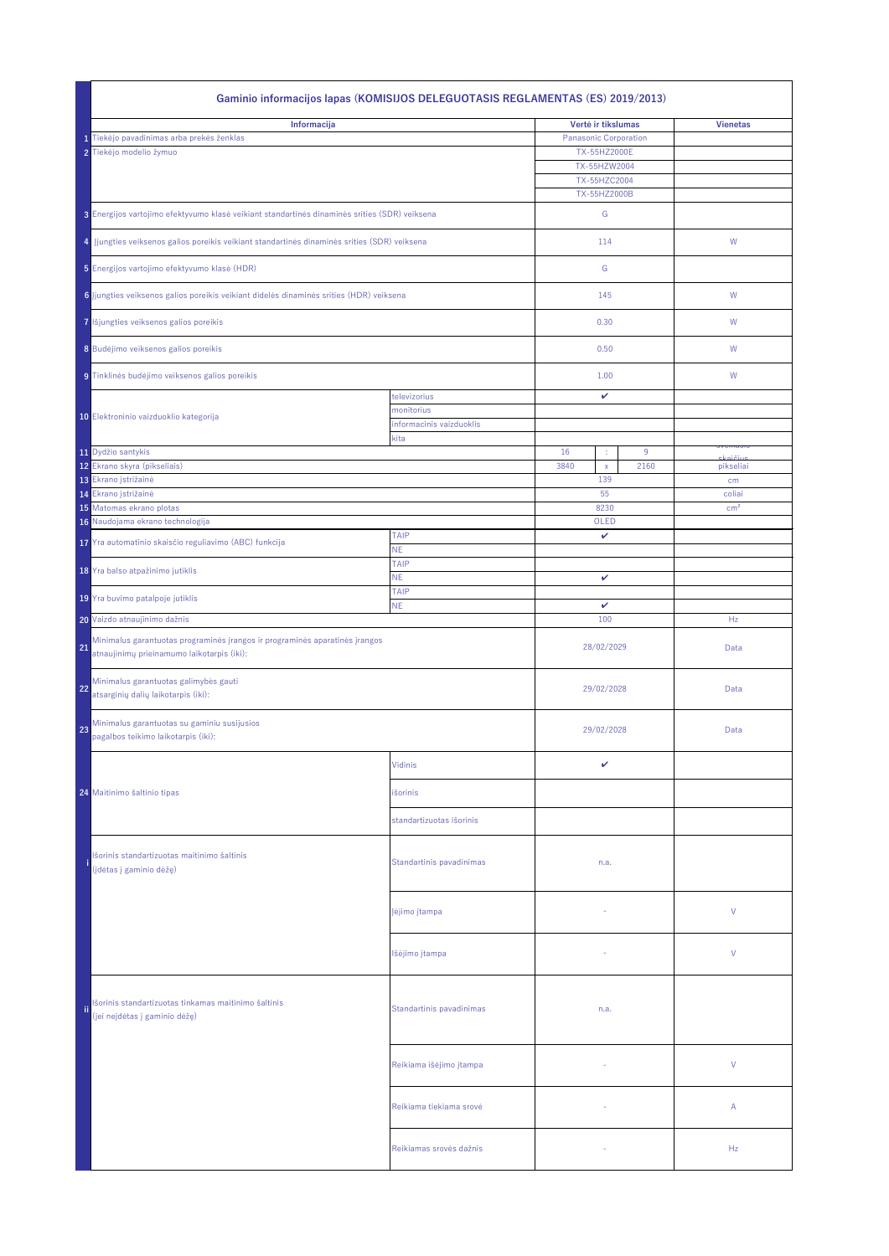|                                                                                                                                              | Gaminio informacijos lapas (KOMISIJOS DELEGUOTASIS REGLAMENTAS (ES) 2019/2013)                                            |                                        |                              |                             |  |  |  |
|----------------------------------------------------------------------------------------------------------------------------------------------|---------------------------------------------------------------------------------------------------------------------------|----------------------------------------|------------------------------|-----------------------------|--|--|--|
| Informacija                                                                                                                                  |                                                                                                                           |                                        | Vertė ir tikslumas           | <b>Vienetas</b>             |  |  |  |
|                                                                                                                                              | 1 Tiekėjo pavadinimas arba prekės ženklas                                                                                 |                                        | <b>Panasonic Corporation</b> |                             |  |  |  |
|                                                                                                                                              | 2 Tiekėjo modelio žymuo                                                                                                   |                                        | TX-55HZ2000E                 |                             |  |  |  |
|                                                                                                                                              |                                                                                                                           |                                        | TX-55HZW2004<br>TX-55HZC2004 |                             |  |  |  |
|                                                                                                                                              |                                                                                                                           |                                        | TX-55HZ2000B                 |                             |  |  |  |
|                                                                                                                                              |                                                                                                                           |                                        |                              |                             |  |  |  |
|                                                                                                                                              | 3 Energijos vartojimo efektyvumo klasė veikiant standartinės dinaminės srities (SDR) veiksena                             |                                        | G                            |                             |  |  |  |
| 4 Jjungties veiksenos galios poreikis veikiant standartinės dinaminės srities (SDR) veiksena<br>5 Energijos vartojimo efektyvumo klasė (HDR) |                                                                                                                           |                                        | 114                          | W                           |  |  |  |
| 6 ljungties veiksenos galios poreikis veikiant didelės dinaminės srities (HDR) veiksena                                                      |                                                                                                                           |                                        | G                            |                             |  |  |  |
|                                                                                                                                              |                                                                                                                           |                                        | 145                          | W                           |  |  |  |
|                                                                                                                                              | 7 lšjungties veiksenos galios poreikis                                                                                    |                                        | 0.30                         | W                           |  |  |  |
|                                                                                                                                              | 8 Budėjimo veiksenos galios poreikis                                                                                      |                                        | 0.50                         | W                           |  |  |  |
|                                                                                                                                              | 9 Tinklinės budėjimo veiksenos galios poreikis                                                                            |                                        | 1.00                         | W                           |  |  |  |
|                                                                                                                                              |                                                                                                                           | televizorius                           | $\checkmark$                 |                             |  |  |  |
|                                                                                                                                              | 10 Elektroninio vaizduoklio kategorija                                                                                    | monitorius<br>informacinis vaizduoklis |                              |                             |  |  |  |
|                                                                                                                                              |                                                                                                                           | kita                                   |                              |                             |  |  |  |
|                                                                                                                                              | 11 Dydžio santykis                                                                                                        |                                        | 16<br>9<br>÷                 | <u>sveinasi:</u><br>سنۆزمەك |  |  |  |
|                                                                                                                                              | 12 Ekrano skyra (pikseliais)                                                                                              |                                        | 3840<br>2160<br>$\mathsf{X}$ | pikseliai                   |  |  |  |
|                                                                                                                                              | 13 Ekrano įstrižainė                                                                                                      |                                        | 139                          | cm                          |  |  |  |
|                                                                                                                                              | 14 Ekrano įstrižainė<br>15 Matomas ekrano plotas                                                                          |                                        | 55<br>8230                   | coliai<br>cm <sup>2</sup>   |  |  |  |
|                                                                                                                                              | 16 Naudojama ekrano technologija                                                                                          |                                        | OLED                         |                             |  |  |  |
|                                                                                                                                              | 17 Yra automatinio skaisčio reguliavimo (ABC) funkcija                                                                    | <b>TAIP</b>                            | $\mathbf{v}$                 |                             |  |  |  |
|                                                                                                                                              |                                                                                                                           | <b>NE</b><br><b>TAIP</b>               |                              |                             |  |  |  |
|                                                                                                                                              | 18 Yra balso atpažinimo jutiklis                                                                                          | <b>NE</b>                              | $\checkmark$                 |                             |  |  |  |
|                                                                                                                                              | 19 Yra buvimo patalpoje jutiklis                                                                                          | <b>TAIP</b>                            |                              |                             |  |  |  |
|                                                                                                                                              | 20 Vaizdo atnaujinimo dažnis                                                                                              | <b>NE</b>                              | $\checkmark$<br>100          | Hz                          |  |  |  |
|                                                                                                                                              |                                                                                                                           |                                        |                              |                             |  |  |  |
| 21                                                                                                                                           | Minimalus garantuotas programinės įrangos ir programinės aparatinės įrangos<br>atnaujinimų prieinamumo laikotarpis (iki): |                                        | 28/02/2029                   | Data                        |  |  |  |
| 22                                                                                                                                           | Minimalus garantuotas galimybės gauti<br>atsarginių dalių laikotarpis (iki):                                              |                                        | 29/02/2028                   | Data                        |  |  |  |
| 23                                                                                                                                           | Minimalus garantuotas su gaminiu susijusios<br>pagalbos teikimo laikotarpis (iki):                                        |                                        | 29/02/2028                   | Data                        |  |  |  |
|                                                                                                                                              |                                                                                                                           | <b>Vidinis</b>                         | V                            |                             |  |  |  |
|                                                                                                                                              | 24 Maitinimo šaltinio tipas                                                                                               | išorinis                               |                              |                             |  |  |  |
|                                                                                                                                              |                                                                                                                           | standartizuotas išorinis               |                              |                             |  |  |  |
|                                                                                                                                              | Išorinis standartizuotas maitinimo šaltinis<br>(įdėtas į gaminio dėžę)                                                    | Standartinis pavadinimas               | n.a.                         |                             |  |  |  |
|                                                                                                                                              |                                                                                                                           | Įėjimo įtampa                          |                              | $\vee$                      |  |  |  |
|                                                                                                                                              |                                                                                                                           | Išėjimo įtampa                         |                              | $\vee$                      |  |  |  |
| ii.                                                                                                                                          | Išorinis standartizuotas tinkamas maitinimo šaltinis<br>(jei neįdėtas į gaminio dėžę)                                     | Standartinis pavadinimas               | n.a.                         |                             |  |  |  |
|                                                                                                                                              |                                                                                                                           | Reikiama išėjimo įtampa                | $\sim$                       | V                           |  |  |  |
|                                                                                                                                              |                                                                                                                           | Reikiama tiekiama srovė                | $\sim$                       | $\mathsf{A}$                |  |  |  |
|                                                                                                                                              |                                                                                                                           | Reikiamas srovės dažnis                |                              | Hz                          |  |  |  |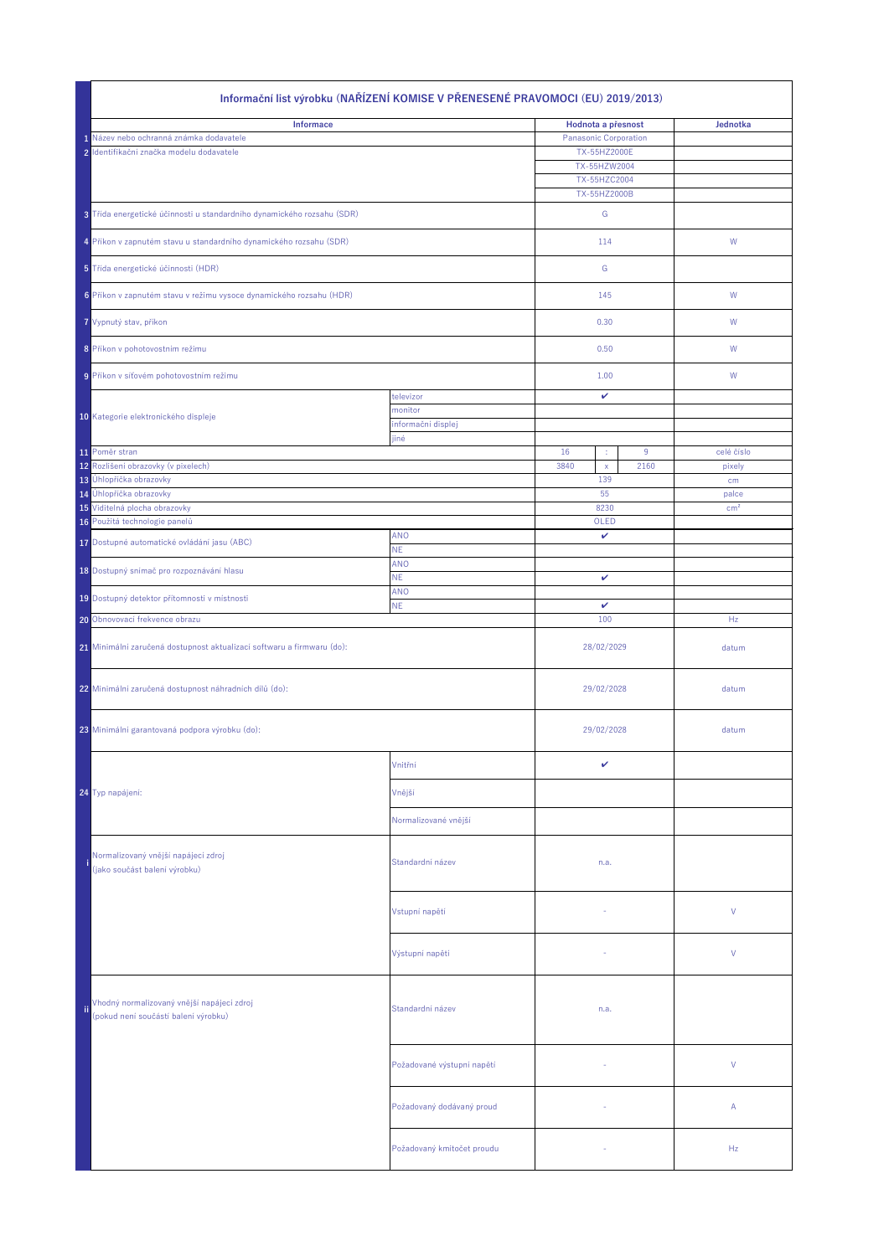| Informační list výrobku (NAŘÍZENÍ KOMISE V PŘENESENÉ PRAVOMOCI (EU) 2019/2013) |                                                                                    |                               |                              |                              |                    |                      |
|--------------------------------------------------------------------------------|------------------------------------------------------------------------------------|-------------------------------|------------------------------|------------------------------|--------------------|----------------------|
|                                                                                | <b>Informace</b>                                                                   |                               |                              |                              | Hodnota a přesnost | Jednotka             |
|                                                                                | Název nebo ochranná známka dodavatele                                              |                               | <b>Panasonic Corporation</b> |                              |                    |                      |
|                                                                                | 2 Identifikační značka modelu dodavatele                                           |                               |                              | TX-55HZ2000E                 |                    |                      |
|                                                                                |                                                                                    |                               |                              | TX-55HZW2004                 |                    |                      |
|                                                                                |                                                                                    |                               |                              | TX-55HZC2004<br>TX-55HZ2000B |                    |                      |
|                                                                                | 3 Třída energetické účinnosti u standardního dynamického rozsahu (SDR)             |                               |                              | G                            |                    |                      |
|                                                                                | 4 Příkon v zapnutém stavu u standardního dynamického rozsahu (SDR)                 |                               |                              | 114                          |                    | W                    |
|                                                                                | 5 Třída energetické účinnosti (HDR)                                                |                               |                              | G                            |                    |                      |
|                                                                                | 6 Příkon v zapnutém stavu v režimu vysoce dynamického rozsahu (HDR)                |                               |                              | 145                          |                    | W                    |
|                                                                                | 7 Vypnutý stav, příkon                                                             |                               |                              | 0.30                         |                    | W                    |
|                                                                                | 8 Příkon v pohotovostním režimu                                                    |                               |                              | 0.50                         |                    | W                    |
|                                                                                |                                                                                    |                               |                              |                              |                    |                      |
|                                                                                | 9 Příkon v síťovém pohotovostním režimu                                            |                               |                              | 1.00                         |                    | W                    |
|                                                                                |                                                                                    | televizor                     |                              | $\checkmark$                 |                    |                      |
|                                                                                | 10 Kategorie elektronického displeje                                               | monitor<br>informační displej |                              |                              |                    |                      |
|                                                                                |                                                                                    | jiné                          |                              |                              |                    |                      |
|                                                                                | 11 Poměr stran<br>12 Rozlišení obrazovky (v pixelech)                              |                               | 16<br>3840                   | ÷                            | 9<br>2160          | celé číslo<br>pixely |
|                                                                                | 13 Úhlopříčka obrazovky                                                            |                               |                              | $\mathsf{X}$<br>139          |                    | cm                   |
|                                                                                | 14 Úhlopříčka obrazovky                                                            |                               |                              | 55                           |                    | palce                |
|                                                                                | 15 Viditelná plocha obrazovky                                                      |                               |                              | 8230                         |                    | cm <sup>2</sup>      |
|                                                                                | 16 Použitá technologie panelů                                                      |                               |                              | OLED                         |                    |                      |
|                                                                                | 17 Dostupné automatické ovládání jasu (ABC)                                        | ANO<br><b>NE</b>              | $\checkmark$                 |                              |                    |                      |
|                                                                                | 18 Dostupný snímač pro rozpoznávání hlasu                                          | <b>ANO</b><br><b>NE</b>       | $\checkmark$                 |                              |                    |                      |
|                                                                                | 19 Dostupný detektor přítomnosti v místnosti                                       | ANO                           |                              |                              |                    |                      |
|                                                                                | 20 Obnovovací frekvence obrazu                                                     | <b>NE</b>                     | $\mathbf v$<br>100           |                              |                    | Hz                   |
|                                                                                | 21 Minimální zaručená dostupnost aktualizací softwaru a firmwaru (do):             |                               | 28/02/2029                   |                              |                    | datum                |
|                                                                                | 22 Minimální zaručená dostupnost náhradních dílů (do):                             |                               | 29/02/2028                   |                              |                    | datum                |
|                                                                                | 23 Minimální garantovaná podpora výrobku (do):                                     |                               |                              | 29/02/2028                   |                    | datum                |
|                                                                                |                                                                                    | Vnitřní                       |                              | $\checkmark$                 |                    |                      |
|                                                                                | 24 Typ napájení:                                                                   | Vnější                        |                              |                              |                    |                      |
|                                                                                |                                                                                    | Normalizované vnější          |                              |                              |                    |                      |
|                                                                                | Normalizovaný vnější napájecí zdroj<br>(jako součást balení výrobku)               | Standardní název              |                              | n.a.                         |                    |                      |
|                                                                                |                                                                                    | Vstupní napětí                |                              |                              |                    | $\vee$               |
|                                                                                |                                                                                    | Výstupní napětí               |                              |                              | V                  |                      |
|                                                                                | Vhodný normalizovaný vnější napájecí zdroj<br>(pokud není součástí balení výrobku) | Standardní název              | n.a.                         |                              |                    |                      |
|                                                                                |                                                                                    | Požadované výstupní napětí    |                              |                              |                    | V                    |
|                                                                                |                                                                                    | Požadovaný dodávaný proud     |                              |                              |                    | $\mathsf{A}$         |
|                                                                                |                                                                                    | Požadovaný kmitočet proudu    |                              |                              |                    | Hz                   |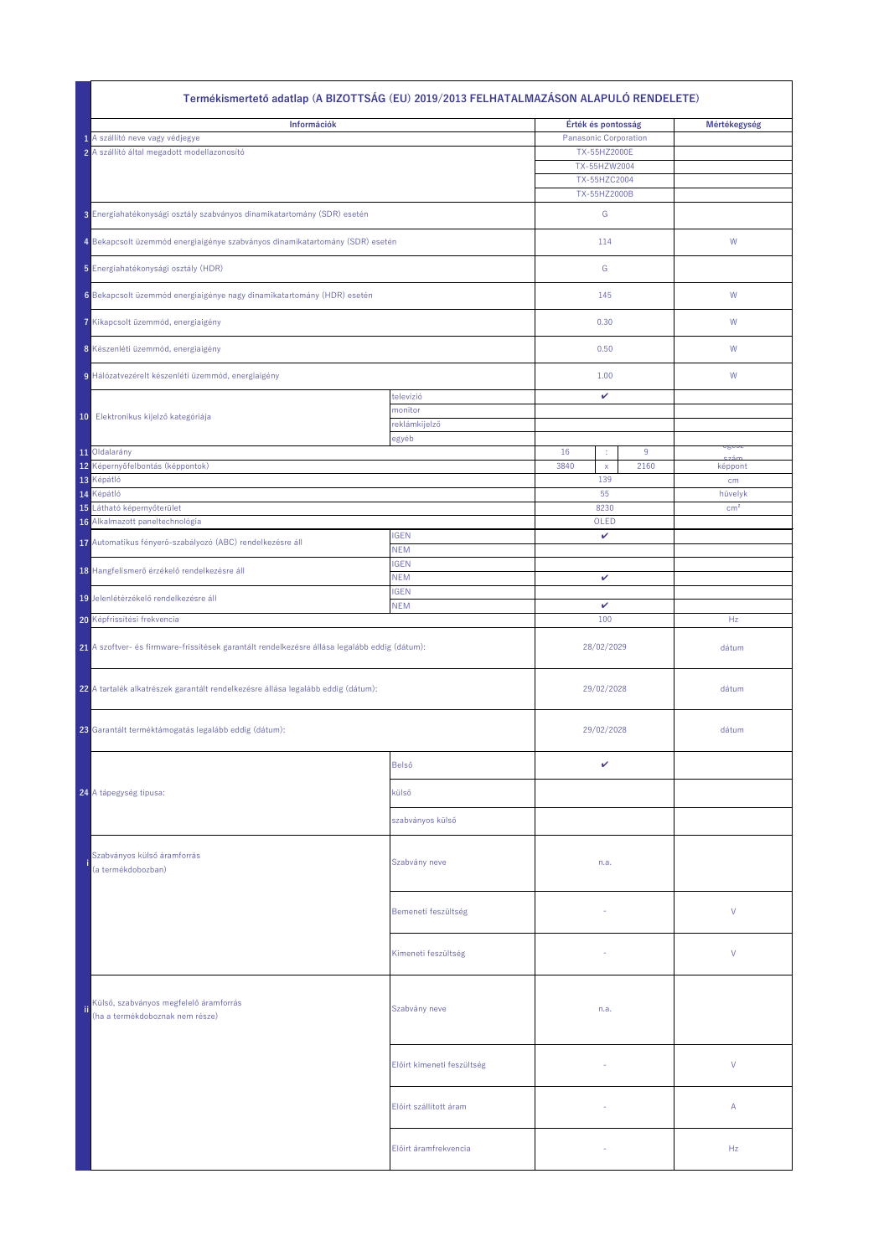|                                                                                               | Termékismertető adatlap (A BIZOTTSÁG (EU) 2019/2013 FELHATALMAZÁSON ALAPULÓ RENDELETE) |                                                |                                                                                                                    |           |                            |  |  |
|-----------------------------------------------------------------------------------------------|----------------------------------------------------------------------------------------|------------------------------------------------|--------------------------------------------------------------------------------------------------------------------|-----------|----------------------------|--|--|
| Információk<br>1 A szállító neve vagy védjegye<br>2 A szállító által megadott modellazonosító |                                                                                        |                                                | Érték és pontosság<br><b>Panasonic Corporation</b><br>TX-55HZ2000E<br>TX-55HZW2004<br>TX-55HZC2004<br>TX-55HZ2000B |           | Mértékegység               |  |  |
|                                                                                               | 3 Energiahatékonysági osztály szabványos dinamikatartomány (SDR) esetén                |                                                | G                                                                                                                  |           |                            |  |  |
|                                                                                               | 4 Bekapcsolt üzemmód energiaigénye szabványos dinamikatartomány (SDR) esetén           |                                                | 114                                                                                                                |           | W                          |  |  |
|                                                                                               | 5 Energiahatékonysági osztály (HDR)                                                    |                                                | G                                                                                                                  |           |                            |  |  |
|                                                                                               | 6 Bekapcsolt üzemmód energiaigénye nagy dinamikatartomány (HDR) esetén                 |                                                | 145                                                                                                                |           | W                          |  |  |
|                                                                                               | 7 Kikapcsolt üzemmód, energiaigény                                                     |                                                | 0.30                                                                                                               |           | W                          |  |  |
|                                                                                               | 8 Készenléti üzemmód, energiaigény                                                     |                                                | 0.50                                                                                                               |           | W                          |  |  |
|                                                                                               | 9 Hálózatvezérelt készenléti üzemmód, energiaigény                                     |                                                | 1.00                                                                                                               |           | W                          |  |  |
|                                                                                               | 10 Elektronikus kijelző kategóriája                                                    | televízió<br>monitor<br>reklámkijelző<br>egyéb | $\checkmark$                                                                                                       |           |                            |  |  |
|                                                                                               | 11 Oldalarány<br>12 Képernyőfelbontás (képpontok)                                      |                                                | 16<br>÷,<br>3840<br>$\mathsf{X}$                                                                                   | 9<br>2160 | cgcoz<br>képpont           |  |  |
|                                                                                               | 13 Képátló                                                                             |                                                | 139                                                                                                                |           | cm                         |  |  |
|                                                                                               | 14 Képátló<br>15 Látható képernyőterület                                               |                                                | 55<br>8230                                                                                                         |           | hüvelyk<br>cm <sup>2</sup> |  |  |
|                                                                                               | 16 Alkalmazott paneltechnológia                                                        |                                                | OLED                                                                                                               |           |                            |  |  |
|                                                                                               | 17 Automatikus fényerő-szabályozó (ABC) rendelkezésre áll                              | <b>IGEN</b><br><b>NEM</b>                      | $\checkmark$                                                                                                       |           |                            |  |  |
|                                                                                               | 18 Hangfelismerő érzékelő rendelkezésre áll                                            | <b>IGEN</b><br><b>NEM</b>                      | $\checkmark$                                                                                                       |           |                            |  |  |
|                                                                                               | 19 Jelenlétérzékelő rendelkezésre áll                                                  | <b>IGEN</b>                                    | $\checkmark$                                                                                                       |           |                            |  |  |
|                                                                                               | <b>20</b> Képfrissítési frekvencia                                                     | <b>NEM</b>                                     | 100                                                                                                                |           | Hz                         |  |  |
| 21 A szoftver- és firmware-frissítések garantált rendelkezésre állása legalább eddig (dátum): |                                                                                        |                                                | 28/02/2029                                                                                                         |           | dátum                      |  |  |
|                                                                                               | 22 A tartalék alkatrészek garantált rendelkezésre állása legalább eddig (dátum):       |                                                | 29/02/2028                                                                                                         |           | dátum                      |  |  |
|                                                                                               | 23 Garantált terméktámogatás legalább eddig (dátum):                                   |                                                | 29/02/2028                                                                                                         |           | dátum                      |  |  |
|                                                                                               |                                                                                        | Belső                                          | $\boldsymbol{\mathcal{U}}$                                                                                         |           |                            |  |  |
|                                                                                               | 24 A tápegység típusa:                                                                 | külső                                          |                                                                                                                    |           |                            |  |  |
|                                                                                               |                                                                                        | szabványos külső                               |                                                                                                                    |           |                            |  |  |
|                                                                                               | Szabványos külső áramforrás<br>(a termékdobozban)                                      | Szabvány neve                                  | n.a.                                                                                                               |           |                            |  |  |
|                                                                                               |                                                                                        | Bemeneti feszültség                            |                                                                                                                    |           | $\vee$                     |  |  |
|                                                                                               |                                                                                        | Kimeneti feszültség                            |                                                                                                                    |           | $\vee$                     |  |  |
| ïi                                                                                            | Külső, szabványos megfelelő áramforrás<br>(ha a termékdoboznak nem része)              | Szabvány neve                                  | n.a.                                                                                                               |           |                            |  |  |
|                                                                                               |                                                                                        | Előírt kimeneti feszültség                     |                                                                                                                    |           | V                          |  |  |
|                                                                                               |                                                                                        | Előírt szállított áram                         |                                                                                                                    |           | $\mathsf{A}$               |  |  |
|                                                                                               |                                                                                        | Előírt áramfrekvencia                          |                                                                                                                    |           | Hz                         |  |  |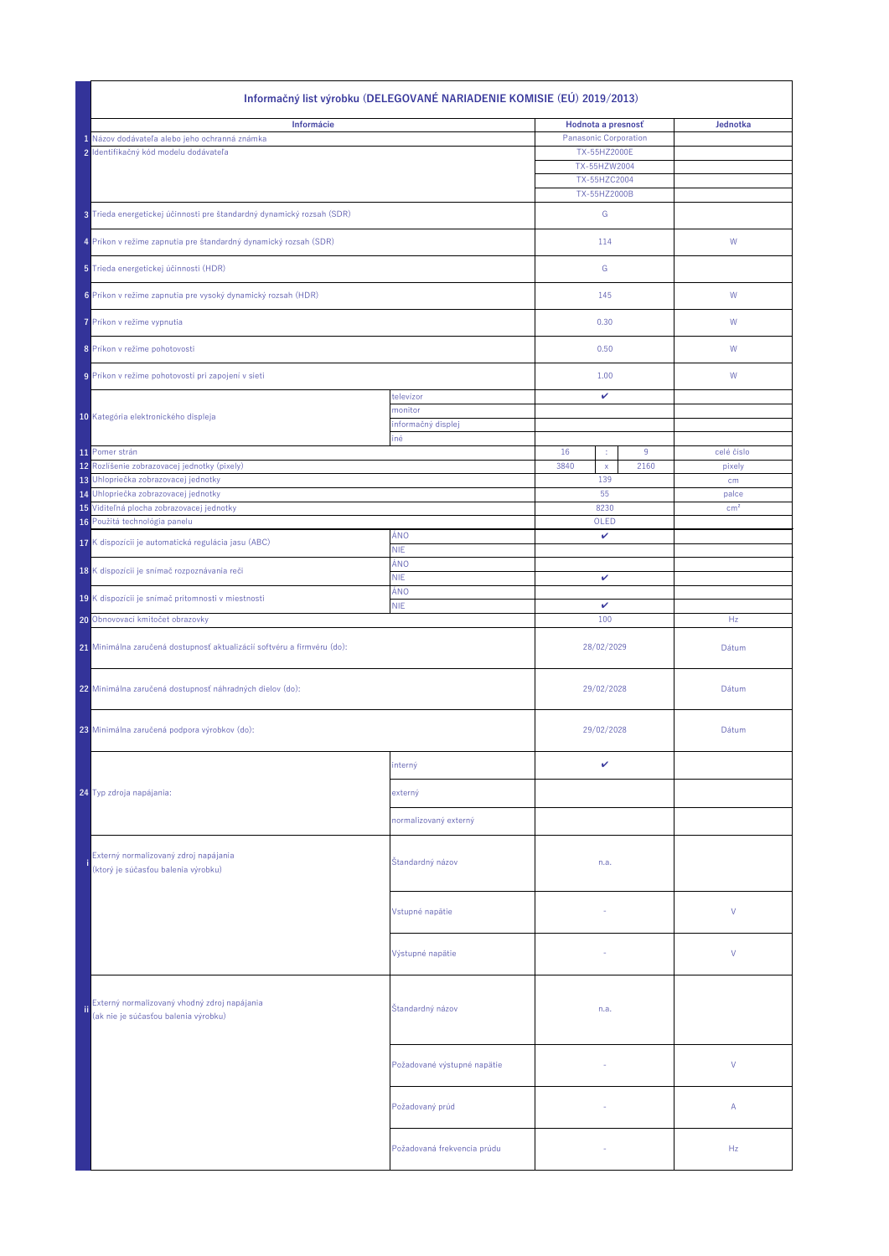| Informačný list výrobku (DELEGOVANÉ NARIADENIE KOMISIE (EÚ) 2019/2013)  |                                                                                      |                               |                              |                                     |       |                 |  |
|-------------------------------------------------------------------------|--------------------------------------------------------------------------------------|-------------------------------|------------------------------|-------------------------------------|-------|-----------------|--|
|                                                                         | Informácie                                                                           |                               | Hodnota a presnosť           |                                     |       | Jednotka        |  |
|                                                                         | 1 Názov dodávateľa alebo jeho ochranná známka                                        |                               | <b>Panasonic Corporation</b> |                                     |       |                 |  |
|                                                                         | 2 Identifikačný kód modelu dodávateľa                                                |                               |                              | TX-55HZ2000E                        |       |                 |  |
|                                                                         |                                                                                      |                               |                              | TX-55HZW2004                        |       |                 |  |
|                                                                         |                                                                                      |                               |                              | <b>TX-55HZC2004</b><br>TX-55HZ2000B |       |                 |  |
|                                                                         | 3 Trieda energetickej účinnosti pre štandardný dynamický rozsah (SDR)                |                               |                              | G                                   |       |                 |  |
|                                                                         | 4 Príkon v režime zapnutia pre štandardný dynamický rozsah (SDR)                     |                               |                              | 114                                 |       | W               |  |
|                                                                         | 5 Trieda energetickej účinnosti (HDR)                                                |                               |                              | G                                   |       |                 |  |
|                                                                         | 6 Príkon v režime zapnutia pre vysoký dynamický rozsah (HDR)                         |                               |                              | 145                                 |       | W               |  |
|                                                                         | 7 Príkon v režime vypnutia                                                           |                               |                              | 0.30                                |       | W               |  |
|                                                                         | 8 Príkon v režime pohotovosti                                                        |                               |                              | 0.50                                |       | W               |  |
|                                                                         | 9 Príkon v režime pohotovosti pri zapojení v sieti                                   |                               |                              | 1.00                                |       | W               |  |
|                                                                         |                                                                                      |                               |                              |                                     |       |                 |  |
|                                                                         |                                                                                      | televízor                     |                              | V                                   |       |                 |  |
|                                                                         | 10 Kategória elektronického displeja                                                 | monitor<br>informačný displej |                              |                                     |       |                 |  |
|                                                                         |                                                                                      | iné                           |                              |                                     |       |                 |  |
|                                                                         | 11 Pomer strán                                                                       |                               | 16                           | ÷                                   | 9     | celé číslo      |  |
|                                                                         | 12 Rozlíšenie zobrazovacej jednotky (pixely)                                         |                               | 3840                         | $\mathsf{X}$                        | 2160  | pixely          |  |
|                                                                         | 13 Uhlopriečka zobrazovacej jednotky<br>14 Uhlopriečka zobrazovacej jednotky         |                               |                              | 139<br>55                           |       | cm<br>palce     |  |
|                                                                         | 15 Viditeľná plocha zobrazovacej jednotky                                            |                               |                              | 8230                                |       | cm <sup>2</sup> |  |
|                                                                         | 16 Použitá technológia panelu                                                        |                               |                              | OLED                                |       |                 |  |
|                                                                         | 17 K dispozícii je automatická regulácia jasu (ABC)                                  | ÁNO                           |                              | $\checkmark$                        |       |                 |  |
|                                                                         |                                                                                      | <b>NIE</b><br>ÁNO             |                              |                                     |       |                 |  |
|                                                                         | 18 K dispozícii je snímač rozpoznávania reči                                         | <b>NIE</b>                    | $\mathbf v$                  |                                     |       |                 |  |
|                                                                         | 19 K dispozícii je snímač prítomnosti v miestnosti                                   | ÁNO<br><b>NIE</b>             | $\checkmark$                 |                                     |       |                 |  |
|                                                                         | 20 Obnovovací kmitočet obrazovky                                                     |                               | 100                          |                                     | Hz    |                 |  |
| 21 Minimálna zaručená dostupnosť aktualizácií softvéru a firmvéru (do): |                                                                                      |                               | 28/02/2029                   |                                     |       | Dátum           |  |
|                                                                         | 22 Minimálna zaručená dostupnosť náhradných dielov (do):                             |                               | 29/02/2028                   |                                     | Dátum |                 |  |
|                                                                         | 23 Minimálna zaručená podpora výrobkov (do):                                         |                               |                              | 29/02/2028                          |       | Dátum           |  |
|                                                                         |                                                                                      | interný                       |                              | V                                   |       |                 |  |
|                                                                         | 24 Typ zdroja napájania:                                                             | externý                       |                              |                                     |       |                 |  |
|                                                                         |                                                                                      | normalizovaný externý         |                              |                                     |       |                 |  |
|                                                                         | Externý normalizovaný zdroj napájania<br>(ktorý je súčasťou balenia výrobku)         | Štandardný názov              |                              | n.a.                                |       |                 |  |
|                                                                         |                                                                                      | Vstupné napätie               |                              |                                     |       | $\vee$          |  |
|                                                                         |                                                                                      | Výstupné napätie              |                              |                                     |       | $\vee$          |  |
| ï                                                                       | Externý normalizovaný vhodný zdroj napájania<br>(ak nie je súčasťou balenia výrobku) | Štandardný názov              | n.a.                         |                                     |       |                 |  |
|                                                                         |                                                                                      | Požadované výstupné napätie   |                              |                                     |       | $\vee$          |  |
|                                                                         |                                                                                      | Požadovaný prúd               |                              | $\overline{\phantom{a}}$            |       | $\mathsf{A}$    |  |
|                                                                         |                                                                                      | Požadovaná frekvencia prúdu   |                              |                                     |       | Hz              |  |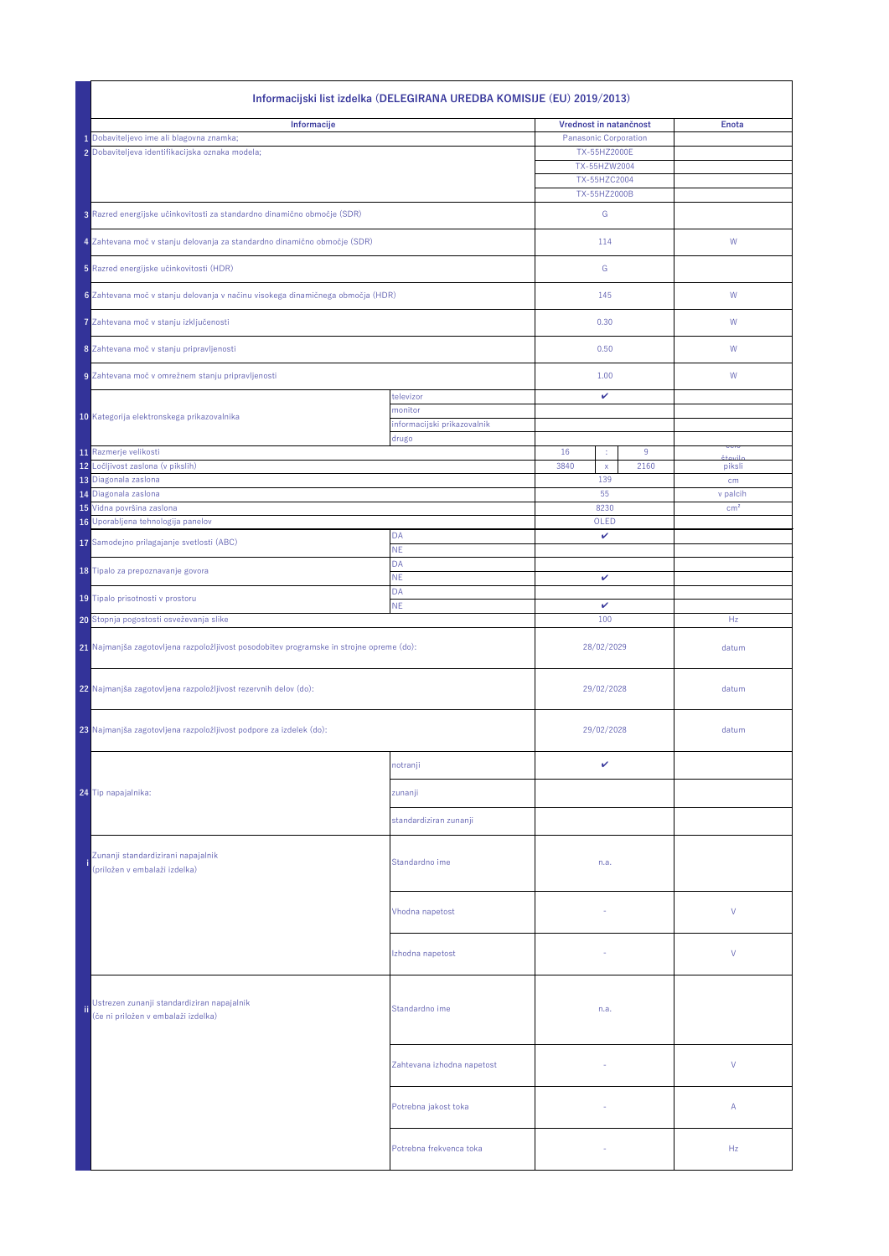|                                                                                                            | Informacijski list izdelka (DELEGIRANA UREDBA KOMISIJE (EU) 2019/2013)                   |                                        |                                                                                                        |      |                                 |  |
|------------------------------------------------------------------------------------------------------------|------------------------------------------------------------------------------------------|----------------------------------------|--------------------------------------------------------------------------------------------------------|------|---------------------------------|--|
| Informacije<br>1 Dobaviteljevo ime ali blagovna znamka;<br>2 Dobaviteljeva identifikacijska oznaka modela; |                                                                                          |                                        | Vrednost in natančnost<br><b>Panasonic Corporation</b><br>TX-55HZ2000E<br>TX-55HZW2004<br>TX-55HZC2004 |      | <b>Enota</b>                    |  |
|                                                                                                            | 3 Razred energijske učinkovitosti za standardno dinamično območje (SDR)                  |                                        | TX-55HZ2000B<br>G                                                                                      |      |                                 |  |
|                                                                                                            | 4 Zahtevana moč v stanju delovanja za standardno dinamično območje (SDR)                 |                                        | 114                                                                                                    |      | W                               |  |
|                                                                                                            | 5 Razred energijske učinkovitosti (HDR)                                                  |                                        | G                                                                                                      |      |                                 |  |
|                                                                                                            | 6 Zahtevana moč v stanju delovanja v načinu visokega dinamičnega območja (HDR)           |                                        | 145                                                                                                    |      | W                               |  |
|                                                                                                            | 7 Zahtevana moč v stanju izključenosti                                                   |                                        | 0.30                                                                                                   |      | W                               |  |
|                                                                                                            | 8 Zahtevana moč v stanju pripravljenosti                                                 |                                        | 0.50                                                                                                   |      | W                               |  |
|                                                                                                            | 9 Zahtevana moč v omrežnem stanju pripravljenosti                                        |                                        | 1.00                                                                                                   |      | W                               |  |
|                                                                                                            |                                                                                          | televizor                              | $\checkmark$                                                                                           |      |                                 |  |
|                                                                                                            | 10 Kategorija elektronskega prikazovalnika                                               | monitor<br>informacijski prikazovalnik |                                                                                                        |      |                                 |  |
|                                                                                                            | 11 Razmerje velikosti                                                                    | drugo                                  | 16<br>÷,                                                                                               | 9    | <u>ceir</u>                     |  |
|                                                                                                            | 12 Ločljivost zaslona (v pikslih)                                                        |                                        | 3840<br>$\mathsf{X}$                                                                                   | 2160 | $\lambda$ + $\sim$ il<br>piksli |  |
|                                                                                                            | 13 Diagonala zaslona<br>14 Diagonala zaslona                                             |                                        | 139<br>55                                                                                              |      | cm<br>v palcih                  |  |
|                                                                                                            | 15 Vidna površina zaslona                                                                |                                        | 8230                                                                                                   |      | cm <sup>2</sup>                 |  |
|                                                                                                            | 16 Uporabljena tehnologija panelov                                                       | <b>DA</b>                              | OLED<br>$\mathbf v$                                                                                    |      |                                 |  |
|                                                                                                            | 17 Samodejno prilagajanje svetlosti (ABC)                                                | <b>NE</b><br><b>DA</b>                 |                                                                                                        |      |                                 |  |
|                                                                                                            | 18 Tipalo za prepoznavanje govora                                                        | <b>NE</b>                              | $\checkmark$                                                                                           |      |                                 |  |
|                                                                                                            | 19 Tipalo prisotnosti v prostoru                                                         | <b>DA</b><br><b>NE</b>                 | $\checkmark$                                                                                           |      |                                 |  |
|                                                                                                            | 20 Stopnja pogostosti osveževanja slike                                                  |                                        | 100                                                                                                    |      | Hz                              |  |
|                                                                                                            | 21 Najmanjša zagotovljena razpoložljivost posodobitev programske in strojne opreme (do): |                                        | 28/02/2029                                                                                             |      | datum                           |  |
|                                                                                                            | 22 Najmanjša zagotovljena razpoložljivost rezervnih delov (do):                          |                                        | 29/02/2028                                                                                             |      | datum                           |  |
|                                                                                                            | 23 Najmanjša zagotovljena razpoložljivost podpore za izdelek (do):                       |                                        | 29/02/2028                                                                                             |      | datum                           |  |
|                                                                                                            |                                                                                          | notranji                               | $\checkmark$                                                                                           |      |                                 |  |
|                                                                                                            | 24 Tip napajalnika:                                                                      | zunanji                                |                                                                                                        |      |                                 |  |
|                                                                                                            |                                                                                          | standardiziran zunanji                 |                                                                                                        |      |                                 |  |
|                                                                                                            | Zunanji standardizirani napajalnik<br>(priložen v embalaži izdelka)                      | Standardno ime                         | n.a.                                                                                                   |      |                                 |  |
|                                                                                                            |                                                                                          | Vhodna napetost                        |                                                                                                        |      | $\vee$                          |  |
|                                                                                                            |                                                                                          | Izhodna napetost                       |                                                                                                        |      | $\vee$                          |  |
| ïi                                                                                                         | Ustrezen zunanji standardiziran napajalnik<br>(če ni priložen v embalaži izdelka)        | Standardno ime                         | n.a.                                                                                                   |      |                                 |  |
|                                                                                                            |                                                                                          | Zahtevana izhodna napetost             | $\sim$                                                                                                 |      | $\vee$                          |  |
|                                                                                                            |                                                                                          | Potrebna jakost toka                   |                                                                                                        |      | $\mathsf{A}$                    |  |
|                                                                                                            |                                                                                          | Potrebna frekvenca toka                |                                                                                                        |      | Hz                              |  |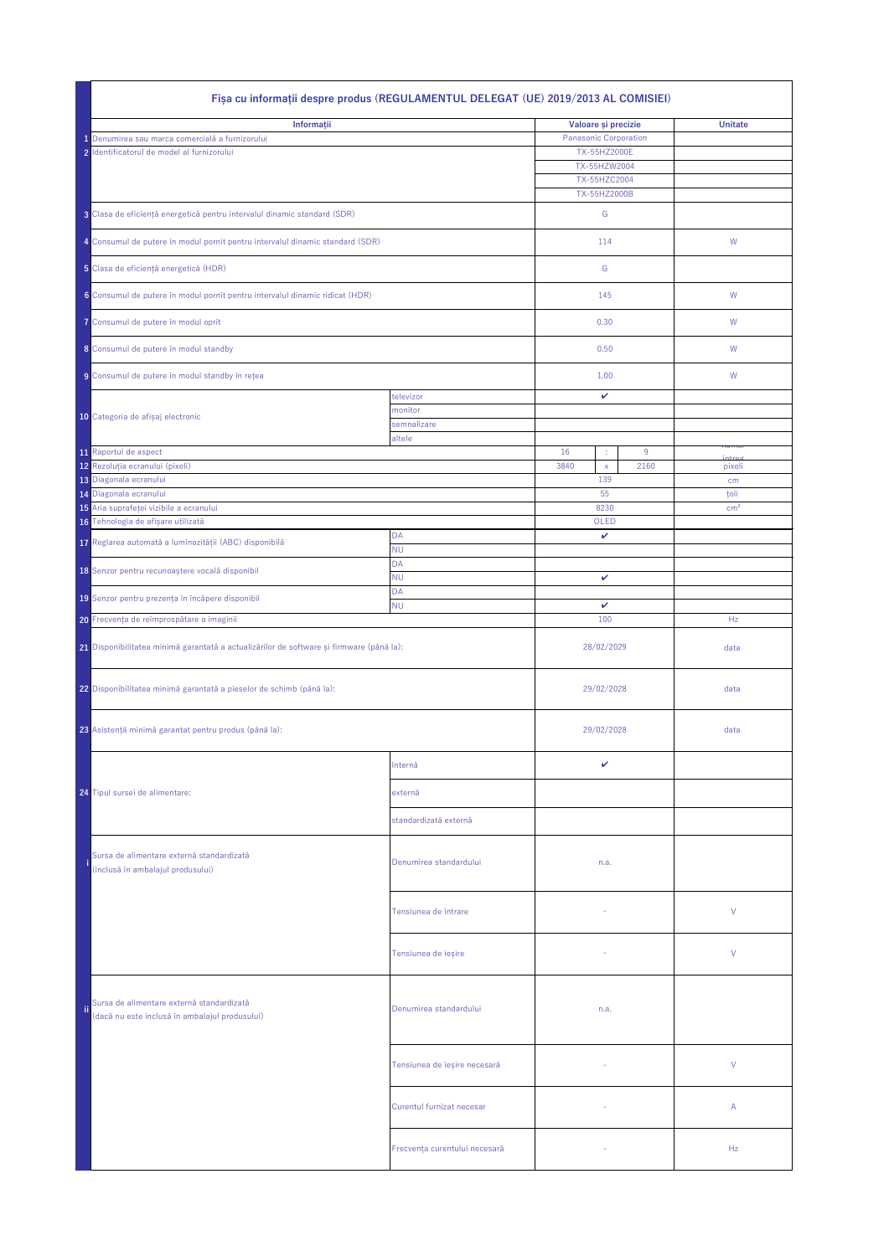|     | Fișa cu informații despre produs (REGULAMENTUL DELEGAT (UE) 2019/2013 AL COMISIEI)          |                               |                              |                   |  |  |
|-----|---------------------------------------------------------------------------------------------|-------------------------------|------------------------------|-------------------|--|--|
|     | Informații                                                                                  | Valoare și precizie           | <b>Unitate</b>               |                   |  |  |
|     | 1 Denumirea sau marca comercială a furnizorului                                             |                               | <b>Panasonic Corporation</b> |                   |  |  |
|     | 2 Identificatorul de model al furnizorului                                                  |                               | TX-55HZ2000E                 |                   |  |  |
|     |                                                                                             |                               | TX-55HZW2004                 |                   |  |  |
|     |                                                                                             |                               | TX-55HZC2004<br>TX-55HZ2000B |                   |  |  |
|     | 3 Clasa de eficiență energetică pentru intervalul dinamic standard (SDR)                    |                               | G                            |                   |  |  |
|     | 4 Consumul de putere în modul pornit pentru intervalul dinamic standard (SDR)               |                               | 114                          | W                 |  |  |
|     | 5 Clasa de eficiență energetică (HDR)                                                       |                               | G                            |                   |  |  |
|     | 6 Consumul de putere în modul pornit pentru intervalul dinamic ridicat (HDR)                |                               | 145                          | W                 |  |  |
|     | 7 Consumul de putere în modul oprit                                                         |                               | 0.30                         | W                 |  |  |
|     | 8 Consumul de putere în modul standby                                                       |                               | 0.50                         | W                 |  |  |
|     | 9 Consumul de putere în modul standby în rețea                                              |                               | 1.00                         | W                 |  |  |
|     |                                                                                             | televizor                     | $\checkmark$                 |                   |  |  |
|     | 10 Categoria de afișaj electronic                                                           | monitor                       |                              |                   |  |  |
|     |                                                                                             | semnalizare<br>altele         |                              |                   |  |  |
|     | 11 Raportul de aspect                                                                       |                               | 16<br>9<br>÷                 | пишо              |  |  |
|     | 12 Rezoluția ecranului (pixeli)                                                             |                               | 2160<br>3840<br>$\mathsf{X}$ | $int =$<br>pixeli |  |  |
|     | 13 Diagonala ecranului                                                                      |                               | 139                          | cm                |  |  |
|     | 14 Diagonala ecranului                                                                      |                               | 55                           | țoli              |  |  |
|     | 15 Aria suprafeței vizibile a ecranului                                                     |                               | 8230                         | cm <sup>2</sup>   |  |  |
|     | 16 Tehnologia de afișare utilizată                                                          | <b>DA</b>                     | OLED<br>$\checkmark$         |                   |  |  |
|     | 17 Reglarea automată a luminozității (ABC) disponibilă                                      | <b>NU</b>                     |                              |                   |  |  |
|     | 18 Senzor pentru recunoaștere vocală disponibil                                             | <b>DA</b>                     |                              |                   |  |  |
|     |                                                                                             | <b>NU</b>                     | $\mathbf{v}$                 |                   |  |  |
|     | 19 Senzor pentru prezența în încăpere disponibil                                            | <b>DA</b>                     | $\checkmark$                 |                   |  |  |
|     | 20 Frecvența de reîmprospătare a imaginii                                                   | <b>NU</b>                     | 100                          | Hz                |  |  |
|     |                                                                                             |                               |                              |                   |  |  |
|     | 21 Disponibilitatea minimă garantată a actualizărilor de software și firmware (până la):    |                               | 28/02/2029                   | data              |  |  |
|     | 22 Disponibilitatea minimă garantată a pieselor de schimb (până la):                        |                               | 29/02/2028                   | data              |  |  |
|     | 23 Asistență minimă garantat pentru produs (până la):                                       |                               | 29/02/2028                   | data              |  |  |
|     |                                                                                             | Internă                       | ✓                            |                   |  |  |
|     | 24 Tipul sursei de alimentare:                                                              | externă                       |                              |                   |  |  |
|     |                                                                                             | standardizată externă         |                              |                   |  |  |
|     | Sursa de alimentare externă standardizată<br>(inclusă în ambalajul produsului)              | Denumirea standardului        | n.a.                         |                   |  |  |
|     |                                                                                             | Tensiunea de intrare          | $\sim$                       | $\vee$            |  |  |
|     |                                                                                             | Tensiunea de ieșire           |                              | $\vee$            |  |  |
| ii. | Sursa de alimentare externă standardizată<br>(dacă nu este inclusă în ambalajul produsului) | Denumirea standardului        | n.a.                         |                   |  |  |
|     |                                                                                             | Tensiunea de ieșire necesară  |                              | $\vee$            |  |  |
|     |                                                                                             | Curentul furnizat necesar     | $\sim$                       | $\mathsf{A}$      |  |  |
|     |                                                                                             | Frecvența curentului necesară |                              | Hz                |  |  |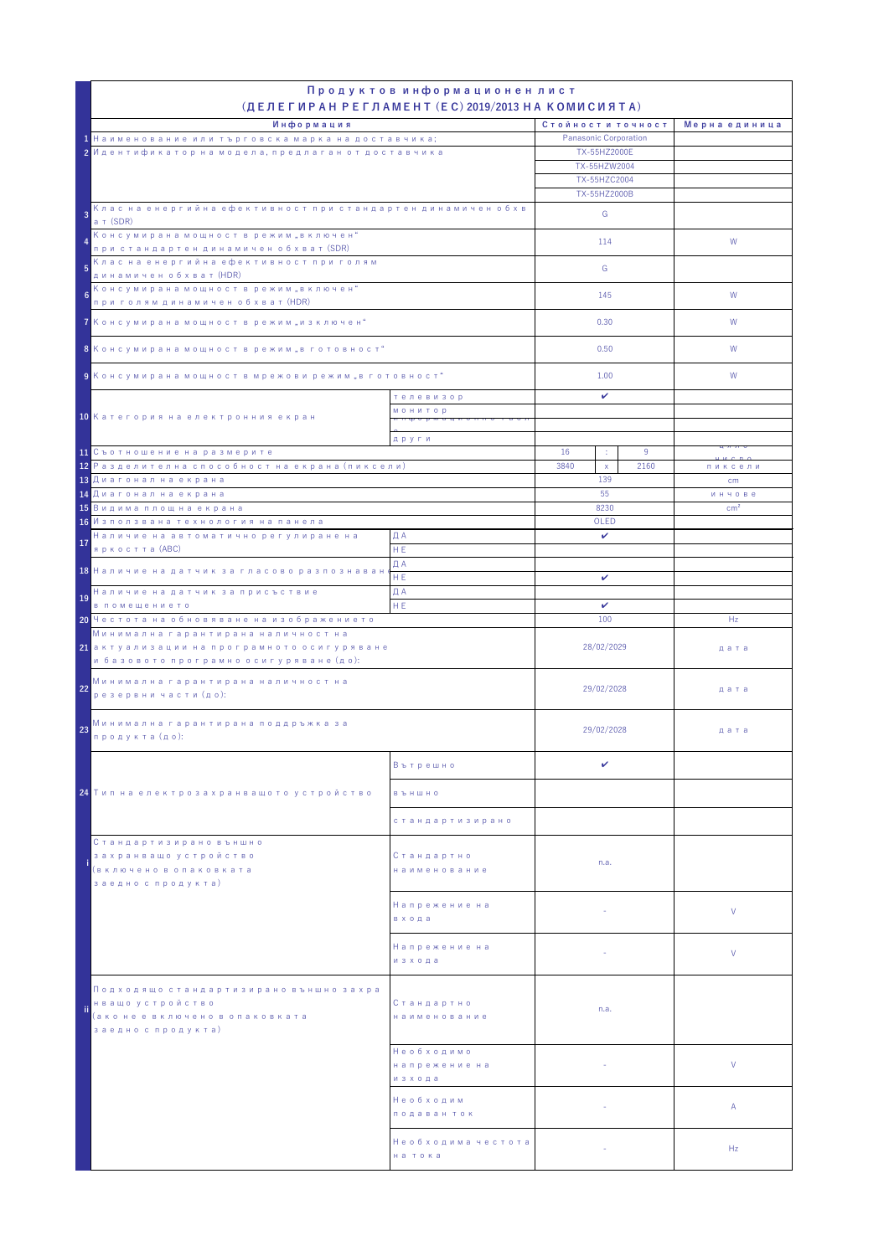| Продуктов информационен лист<br>$(AEJ)$ (ДЕЛЕГИРАН РЕГЛАМЕНТ (EC) 2019/2013 НА КОМИСИЯТА)                                               |                                       |                                                                                                   |                          |               |                                |
|-----------------------------------------------------------------------------------------------------------------------------------------|---------------------------------------|---------------------------------------------------------------------------------------------------|--------------------------|---------------|--------------------------------|
| Информация<br>1 Наименование или търговска марка на доставчика;<br>2 Идентификатор на модела, предлаган от доставчика                   |                                       | Стойности точност<br><b>Panasonic Corporation</b><br>TX-55HZ2000E<br>TX-55HZW2004<br>TX-55HZC2004 |                          | Мерна единица |                                |
| Клас на енергийна ефективност при стандартен динамичен обхв<br>$\overline{3}$                                                           |                                       |                                                                                                   | TX-55HZ2000B             |               |                                |
| ат (SDR)<br>Консумирана мощност в режим "включен"                                                                                       |                                       |                                                                                                   | G                        |               |                                |
| при стандартен динамичен обхват (SDR)                                                                                                   |                                       |                                                                                                   | 114                      |               | W                              |
| Клас на енергийна ефективност при голям<br>$5\phantom{1}$<br>динамичен обхват (HDR)                                                     |                                       |                                                                                                   | G                        |               |                                |
| Консумирана мощност в режим "включен"<br>$6\phantom{1}6$<br>при голям динамичен обхват (HDR)                                            |                                       |                                                                                                   | 145                      |               | W                              |
| 7 Консумирана мощност в режим "изключен"                                                                                                |                                       |                                                                                                   | 0.30                     |               | W                              |
| 8 Консумирана мощност в режим "в готовност"                                                                                             |                                       |                                                                                                   | 0.50                     |               | W                              |
| 9 Консумирана мощност в мрежови режим "в готовност"                                                                                     |                                       |                                                                                                   | 1.00                     |               | W                              |
|                                                                                                                                         | телевизор<br><b>МОНИТОР</b>           |                                                                                                   | $\mathbf{v}$             |               |                                |
| 10 Категория на електронния екран                                                                                                       |                                       |                                                                                                   |                          |               |                                |
| 11 Съотношение на размерите                                                                                                             | други                                 | 16                                                                                                | ÷.                       | 9             | ц л л с                        |
| 12 Разделителна способност на екрана (пиксели)                                                                                          |                                       | 3840                                                                                              | $\mathsf{X}$<br>139      | 2160          | пиксели                        |
| 13 Диагонал на екрана<br>14 Диагонал на екрана                                                                                          |                                       |                                                                                                   | 55                       |               | $\mathsf{cm}$<br><b>ИНЧОВЕ</b> |
| 15 Видима площ на екрана                                                                                                                |                                       |                                                                                                   | 8230                     |               | $\text{cm}^2$                  |
| 16 Използвана технология на панела<br>Наличие на автоматично регулиране на                                                              | ДА                                    |                                                                                                   | OLED<br>$\mathbf{v}$     |               |                                |
| 17<br>яркостта (ABC)                                                                                                                    | HE.                                   |                                                                                                   |                          |               |                                |
| 18 Наличие на датчик за гласово разпознаванс                                                                                            | ДА<br>HE.                             |                                                                                                   |                          |               |                                |
| Наличие на датчик за присъствие<br>19                                                                                                   | ДА                                    | $\checkmark$                                                                                      |                          |               |                                |
| в помещението<br>20 Честота на обновяване на изображението                                                                              | HE.                                   |                                                                                                   | $\mathbf{v}$<br>100      |               | Hz                             |
| Минимална гарантирана наличност на<br><mark>21</mark> актуализации на програмното осигуряване<br>и базовото програмно осигуряване (до): |                                       | 28/02/2029                                                                                        |                          |               | дата                           |
| Минимална гарантирана наличност на<br>22<br>резервни части (до):                                                                        |                                       | 29/02/2028                                                                                        |                          |               | дата                           |
| Минимална гарантирана поддръжка за<br>23<br>продукта (до):                                                                              |                                       | 29/02/2028                                                                                        |                          |               | дата                           |
|                                                                                                                                         | Вътрешно                              |                                                                                                   | $\mathbf v$              |               |                                |
| <mark>24</mark> Тип на електрозахранващото устройство                                                                                   | <b>B b</b> H W H O                    |                                                                                                   |                          |               |                                |
|                                                                                                                                         | стандартизирано                       |                                                                                                   |                          |               |                                |
| Стандартизирано външно<br>захранващо устройство<br>(включено в опаковката<br>заедно с продукта)                                         | Стандартно<br>наименование            |                                                                                                   | n.a.                     |               |                                |
|                                                                                                                                         | Напрежение на<br>в хода               |                                                                                                   | $\sim$ $^{-1}$           |               | $\vee$                         |
|                                                                                                                                         | Напрежение на<br>изхода               |                                                                                                   | $\sim$                   |               | $\vee$                         |
| Подходящо стандартизирано външно захра<br>нващо устройство<br>ïi<br>(ако не е включено в опаковката<br>заедно с продукта)               | Стандартно<br>наименование            |                                                                                                   | n.a.                     |               |                                |
|                                                                                                                                         | Необходимо<br>напрежение на<br>изхода |                                                                                                   |                          |               | $\vee$                         |
|                                                                                                                                         | Необходим<br>подаван ток              |                                                                                                   | <b>Contract Contract</b> |               | $\mathsf{A}$                   |
|                                                                                                                                         | Необходима честота<br>на тока         |                                                                                                   | $\sim$                   |               | Hz                             |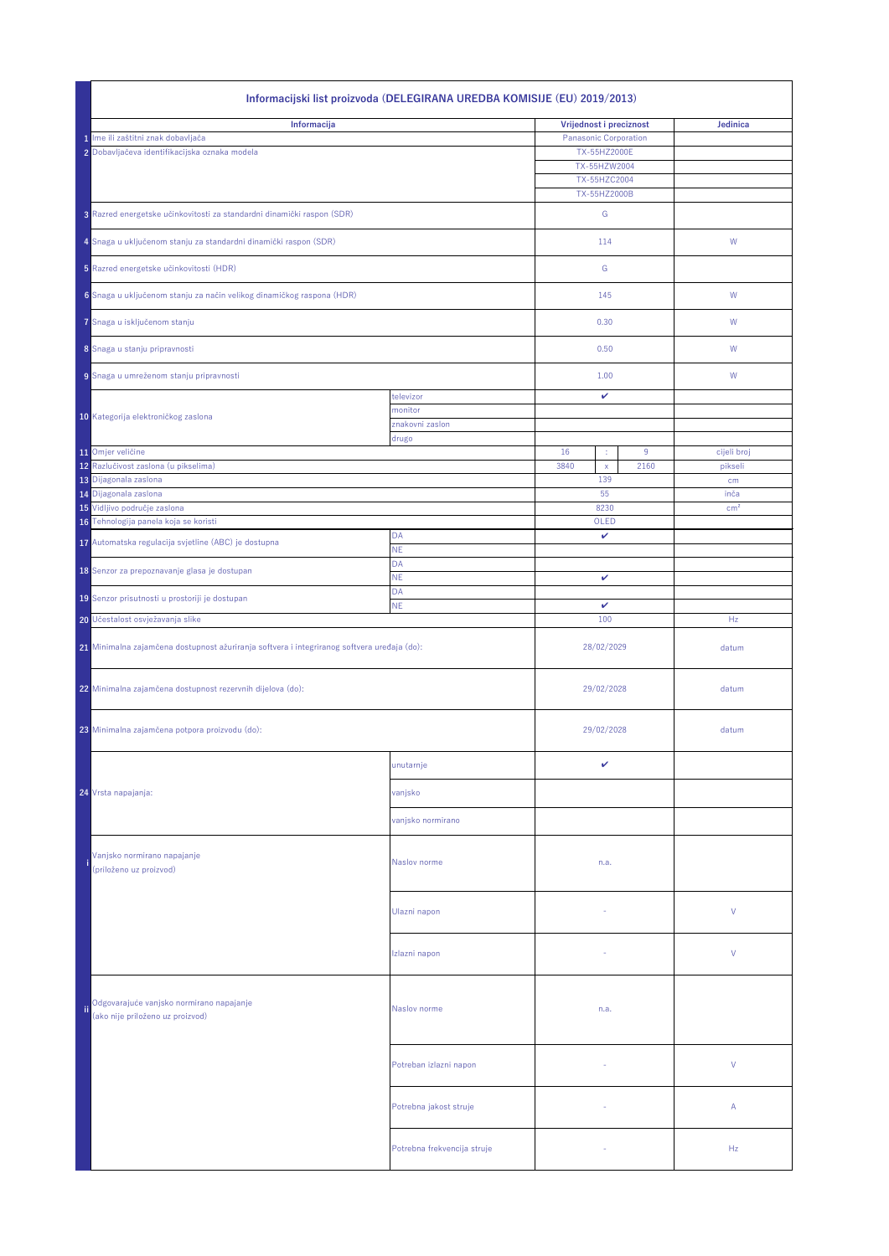|                                                                                             | Informacijski list proizvoda (DELEGIRANA UREDBA KOMISIJE (EU) 2019/2013)     |                             |                              |                         |  |  |
|---------------------------------------------------------------------------------------------|------------------------------------------------------------------------------|-----------------------------|------------------------------|-------------------------|--|--|
| Informacija                                                                                 |                                                                              |                             | Vrijednost i preciznost      | Jedinica                |  |  |
|                                                                                             | 1 Ime ili zaštitni znak dobavljača                                           |                             |                              |                         |  |  |
|                                                                                             | 2 Dobavljačeva identifikacijska oznaka modela                                |                             | TX-55HZ2000E                 |                         |  |  |
|                                                                                             |                                                                              |                             | TX-55HZW2004<br>TX-55HZC2004 |                         |  |  |
|                                                                                             | TX-55HZ2000B                                                                 |                             |                              |                         |  |  |
|                                                                                             | 3 Razred energetske učinkovitosti za standardni dinamički raspon (SDR)       |                             | G                            |                         |  |  |
|                                                                                             | 4 Snaga u uključenom stanju za standardni dinamički raspon (SDR)             |                             | 114                          | W                       |  |  |
|                                                                                             | 5 Razred energetske učinkovitosti (HDR)                                      |                             | G                            |                         |  |  |
|                                                                                             | 6 Snaga u uključenom stanju za način velikog dinamičkog raspona (HDR)        |                             | 145                          | W                       |  |  |
|                                                                                             | 7 Snaga u isključenom stanju                                                 |                             | 0.30                         | W                       |  |  |
|                                                                                             | 8 Snaga u stanju pripravnosti                                                |                             | 0.50                         | W                       |  |  |
|                                                                                             | 9 Snaga u umreženom stanju pripravnosti                                      |                             | 1.00                         | W                       |  |  |
|                                                                                             |                                                                              | televizor                   | $\checkmark$                 |                         |  |  |
|                                                                                             | 10 Kategorija elektroničkog zaslona                                          | monitor<br>znakovni zaslon  |                              |                         |  |  |
|                                                                                             |                                                                              | drugo                       |                              |                         |  |  |
|                                                                                             | 11 Omjer veličine                                                            |                             | 16<br>9<br>÷,                | cijeli broj             |  |  |
|                                                                                             | 12 Razlučivost zaslona (u pikselima)                                         |                             | 2160<br>3840<br>$\mathsf{X}$ | pikseli                 |  |  |
|                                                                                             | 13 Dijagonala zaslona<br>14 Dijagonala zaslona                               |                             | 139<br>55                    | cm                      |  |  |
|                                                                                             | 15 Vidljivo područje zaslona                                                 |                             | 8230                         | inča<br>cm <sup>2</sup> |  |  |
|                                                                                             | 16 Tehnologija panela koja se koristi                                        |                             | OLED                         |                         |  |  |
|                                                                                             | 17 Automatska regulacija svjetline (ABC) je dostupna                         | <b>DA</b>                   | $\checkmark$                 |                         |  |  |
|                                                                                             |                                                                              | <b>NE</b>                   |                              |                         |  |  |
|                                                                                             | 18 Senzor za prepoznavanje glasa je dostupan                                 | <b>DA</b><br><b>NE</b>      | $\mathbf v$                  |                         |  |  |
|                                                                                             |                                                                              | <b>DA</b>                   |                              |                         |  |  |
|                                                                                             | 19 Senzor prisutnosti u prostoriji je dostupan                               | <b>NE</b>                   | $\checkmark$                 |                         |  |  |
|                                                                                             | 20 Učestalost osvježavanja slike                                             |                             | 100                          | Hz                      |  |  |
| 21 Minimalna zajamčena dostupnost ažuriranja softvera i integriranog softvera uređaja (do): |                                                                              |                             | 28/02/2029                   | datum                   |  |  |
|                                                                                             | 22 Minimalna zajamčena dostupnost rezervnih dijelova (do):                   |                             | 29/02/2028                   | datum                   |  |  |
|                                                                                             | 23 Minimalna zajamčena potpora proizvodu (do):                               |                             | 29/02/2028                   | datum                   |  |  |
|                                                                                             |                                                                              | unutarnje                   | $\checkmark$                 |                         |  |  |
|                                                                                             | 24 Vrsta napajanja:                                                          | vanjsko                     |                              |                         |  |  |
|                                                                                             |                                                                              | vanjsko normirano           |                              |                         |  |  |
|                                                                                             | Vanjsko normirano napajanje<br>(priloženo uz proizvod)                       | Naslov norme                | n.a.                         |                         |  |  |
|                                                                                             |                                                                              | Ulazni napon                |                              | $\vee$                  |  |  |
|                                                                                             |                                                                              | Izlazni napon               |                              | $\vee$                  |  |  |
| ii.                                                                                         | Odgovarajuće vanjsko normirano napajanje<br>(ako nije priloženo uz proizvod) | Naslov norme                | n.a.                         |                         |  |  |
|                                                                                             |                                                                              | Potreban izlazni napon      | $\sim$                       | $\vee$                  |  |  |
|                                                                                             |                                                                              | Potrebna jakost struje      |                              | $\mathsf{A}$            |  |  |
|                                                                                             |                                                                              | Potrebna frekvencija struje |                              | Hz                      |  |  |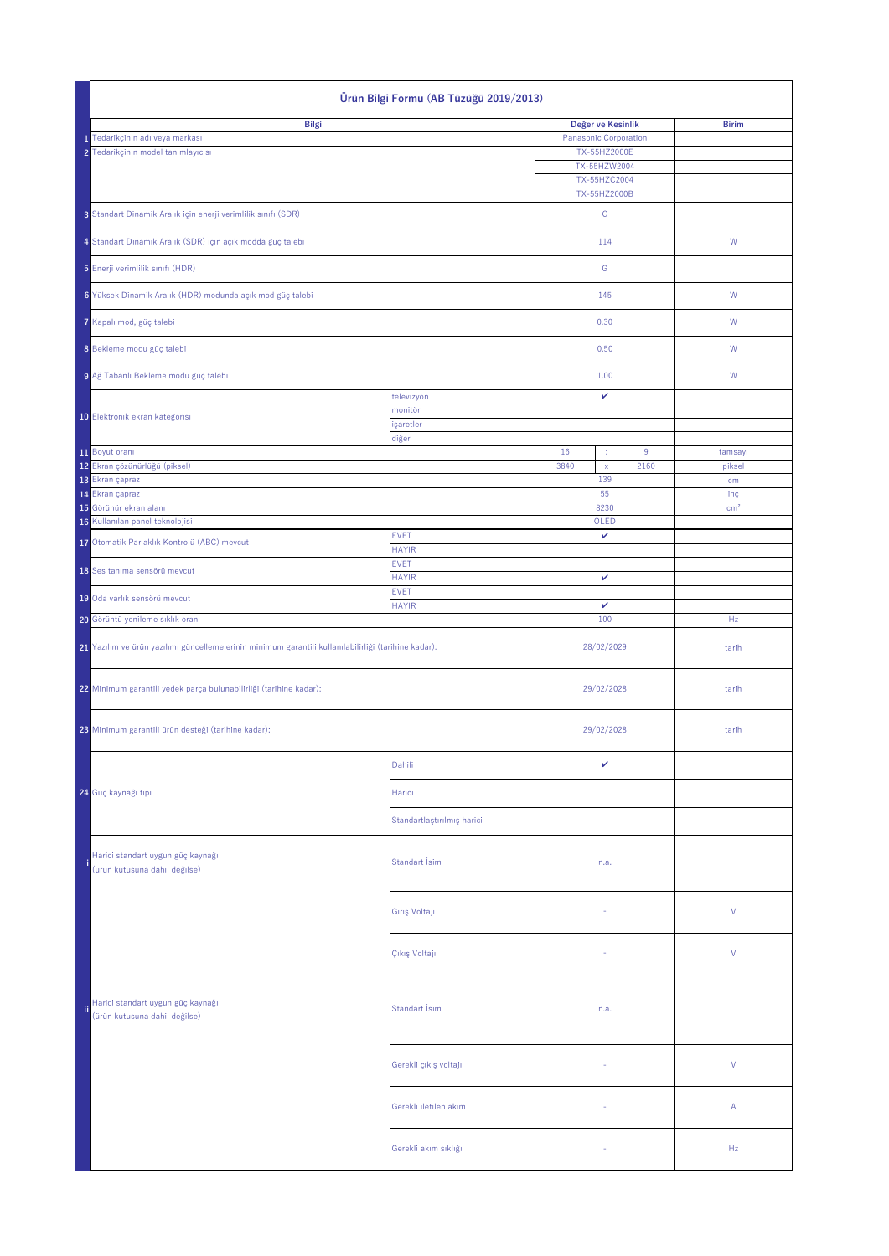|                                                                                                      | Ürün Bilgi Formu (AB Tüzüğü 2019/2013)                                |                             |                              |                                              |      |                 |  |
|------------------------------------------------------------------------------------------------------|-----------------------------------------------------------------------|-----------------------------|------------------------------|----------------------------------------------|------|-----------------|--|
|                                                                                                      | <b>Bilgi</b>                                                          |                             |                              | Değer ve Kesinlik                            |      | <b>Birim</b>    |  |
|                                                                                                      | 1 Tedarikçinin adı veya markası<br>2 Tedarikçinin model tanımlayıcısı |                             | <b>Panasonic Corporation</b> | TX-55HZ2000E<br>TX-55HZW2004<br>TX-55HZC2004 |      |                 |  |
|                                                                                                      | 3 Standart Dinamik Aralık için enerji verimlilik sınıfı (SDR)         |                             | TX-55HZ2000B<br>G            |                                              |      |                 |  |
|                                                                                                      | 4 Standart Dinamik Aralık (SDR) için açık modda güç talebi            |                             |                              | 114                                          |      | W               |  |
|                                                                                                      | 5 Enerji verimlilik sınıfı (HDR)                                      |                             |                              | G                                            |      |                 |  |
|                                                                                                      | 6 Yüksek Dinamik Aralık (HDR) modunda açık mod güç talebi             |                             |                              | 145                                          |      | W               |  |
|                                                                                                      | 7 Kapalı mod, güç talebi                                              |                             |                              | 0.30                                         |      | W               |  |
|                                                                                                      | 8 Bekleme modu güç talebi                                             |                             |                              | 0.50                                         |      | W               |  |
|                                                                                                      | 9 Ağ Tabanlı Bekleme modu güç talebi                                  |                             |                              | 1.00                                         |      | W               |  |
|                                                                                                      |                                                                       | televizyon                  |                              | V                                            |      |                 |  |
|                                                                                                      | 10 Elektronik ekran kategorisi                                        | monitör                     |                              |                                              |      |                 |  |
|                                                                                                      |                                                                       | işaretler<br>diğer          |                              |                                              |      |                 |  |
|                                                                                                      | 11 Boyut oranı                                                        |                             | 16                           | ÷                                            | 9    | tamsayı         |  |
|                                                                                                      | 12 Ekran çözünürlüğü (piksel)                                         |                             | 3840                         | $\mathsf{X}$                                 | 2160 | piksel          |  |
|                                                                                                      | 13 Ekran çapraz                                                       |                             |                              | 139                                          |      | cm              |  |
|                                                                                                      | 14 Ekran çapraz                                                       |                             |                              | 55                                           |      | inç             |  |
|                                                                                                      | 15 Görünür ekran alanı<br>16 Kullanılan panel teknolojisi             |                             |                              | 8230<br>OLED                                 |      | cm <sup>2</sup> |  |
|                                                                                                      |                                                                       | <b>EVET</b>                 |                              | $\checkmark$                                 |      |                 |  |
|                                                                                                      | 17 Otomatik Parlaklık Kontrolü (ABC) mevcut                           | <b>HAYIR</b><br><b>EVET</b> |                              |                                              |      |                 |  |
|                                                                                                      | 18 Ses tanıma sensörü mevcut                                          | <b>HAYIR</b>                | $\checkmark$                 |                                              |      |                 |  |
|                                                                                                      | 19 Oda varlık sensörü mevcut                                          | <b>EVET</b><br><b>HAYIR</b> | $\mathbf{v}$                 |                                              |      |                 |  |
|                                                                                                      | 20 Görüntü yenileme sıklık oranı                                      |                             | 100                          |                                              |      | Hz              |  |
| 21 Yazılım ve ürün yazılımı güncellemelerinin minimum garantili kullanılabilirliği (tarihine kadar): |                                                                       |                             | 28/02/2029                   |                                              |      | tarih           |  |
|                                                                                                      | 22 Minimum garantili yedek parça bulunabilirliği (tarihine kadar):    |                             | 29/02/2028                   |                                              |      | tarih           |  |
|                                                                                                      | 23 Minimum garantili ürün desteği (tarihine kadar):                   |                             | 29/02/2028                   |                                              |      | tarih           |  |
|                                                                                                      |                                                                       | Dahili                      |                              | V                                            |      |                 |  |
|                                                                                                      | 24 Güç kaynağı tipi                                                   | Harici                      |                              |                                              |      |                 |  |
|                                                                                                      |                                                                       | Standartlaştırılmış harici  |                              |                                              |      |                 |  |
|                                                                                                      | Harici standart uygun güç kaynağı<br>(ürün kutusuna dahil değilse)    | Standart İsim               |                              | n.a.                                         |      |                 |  |
|                                                                                                      |                                                                       | Giriş Voltajı               |                              | $\overline{\phantom{a}}$                     |      | $\mathsf{V}$    |  |
|                                                                                                      |                                                                       | Çıkış Voltajı               |                              |                                              |      | $\vee$          |  |
| ii.                                                                                                  | Harici standart uygun güç kaynağı<br>(ürün kutusuna dahil değilse)    | Standart İsim               | n.a.                         |                                              |      |                 |  |
|                                                                                                      |                                                                       | Gerekli çıkış voltajı       |                              | $\sim$                                       |      | V               |  |
|                                                                                                      |                                                                       | Gerekli iletilen akım       |                              | $\sim$                                       |      | $\mathsf{A}$    |  |
|                                                                                                      |                                                                       | Gerekli akım sıklığı        |                              | $\sim$                                       |      | Hz              |  |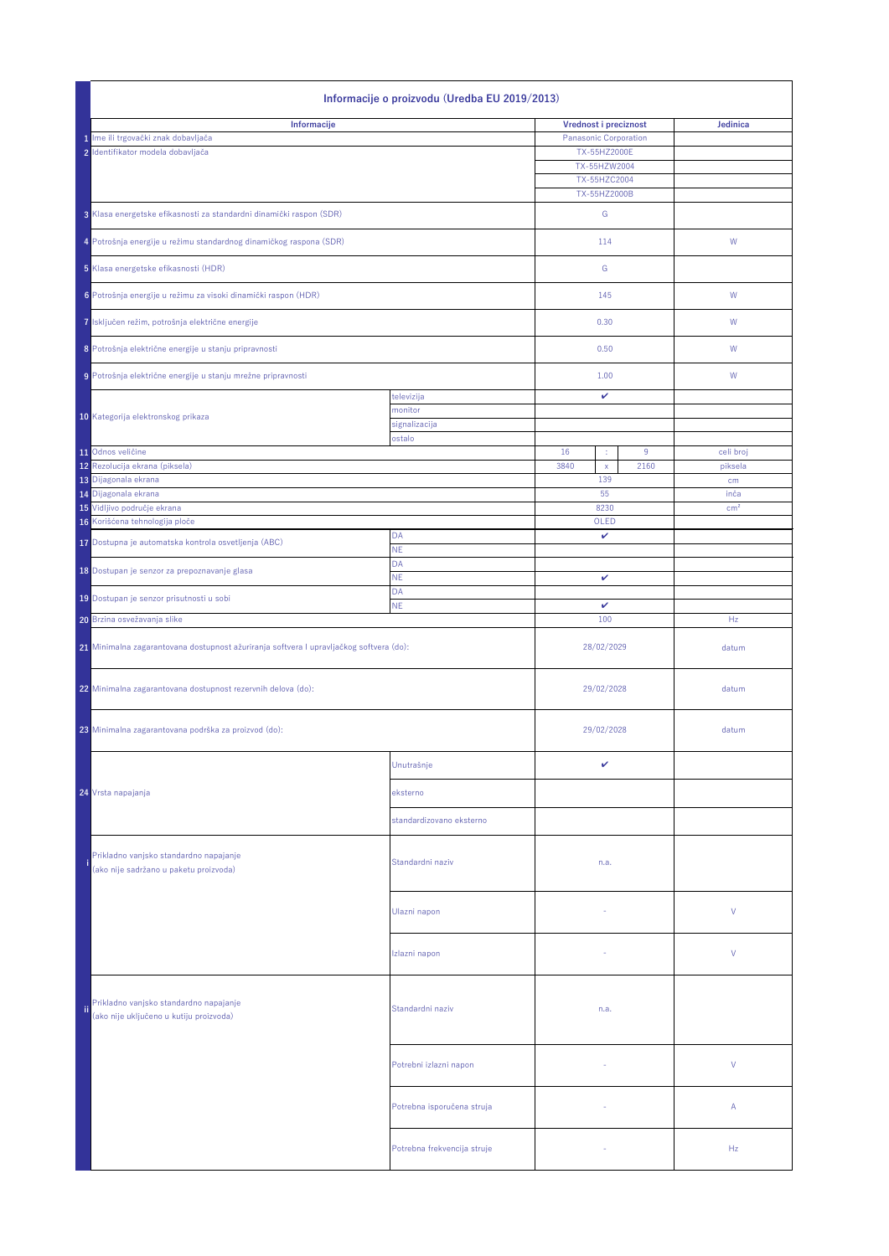|                                     | Informacije o proizvodu (Uredba EU 2019/2013)                                                         |                             |                                     |                 |  |  |  |
|-------------------------------------|-------------------------------------------------------------------------------------------------------|-----------------------------|-------------------------------------|-----------------|--|--|--|
| Informacije                         |                                                                                                       |                             | Vrednost i preciznost               | <b>Jedinica</b> |  |  |  |
| 1 Ime ili trgovački znak dobavljača |                                                                                                       |                             | <b>Panasonic Corporation</b>        |                 |  |  |  |
|                                     | 2 Identifikator modela dobavljača                                                                     |                             | TX-55HZ2000E                        |                 |  |  |  |
|                                     |                                                                                                       |                             | TX-55HZW2004                        |                 |  |  |  |
|                                     |                                                                                                       |                             | TX-55HZC2004<br>TX-55HZ2000B        |                 |  |  |  |
|                                     |                                                                                                       |                             |                                     |                 |  |  |  |
|                                     | 3 Klasa energetske efikasnosti za standardni dinamički raspon (SDR)                                   |                             | G                                   |                 |  |  |  |
|                                     | 4 Potrošnja energije u režimu standardnog dinamičkog raspona (SDR)                                    |                             | 114                                 | W               |  |  |  |
|                                     |                                                                                                       |                             |                                     |                 |  |  |  |
|                                     | 5 Klasa energetske efikasnosti (HDR)                                                                  |                             | G                                   |                 |  |  |  |
|                                     | 6 Potrošnja energije u režimu za visoki dinamički raspon (HDR)                                        |                             | 145                                 | W               |  |  |  |
|                                     |                                                                                                       |                             |                                     |                 |  |  |  |
|                                     | 7 Isključen režim, potrošnja električne energije                                                      |                             | 0.30                                | W               |  |  |  |
|                                     |                                                                                                       |                             |                                     |                 |  |  |  |
|                                     | 8 Potrošnja električne energije u stanju pripravnosti                                                 |                             | 0.50                                | W               |  |  |  |
|                                     | 9 Potrošnja električne energije u stanju mrežne pripravnosti                                          |                             | 1.00                                | W               |  |  |  |
|                                     |                                                                                                       | televizija                  | $\checkmark$                        |                 |  |  |  |
|                                     |                                                                                                       | monitor                     |                                     |                 |  |  |  |
|                                     | 10 Kategorija elektronskog prikaza                                                                    | signalizacija               |                                     |                 |  |  |  |
|                                     |                                                                                                       | ostalo                      |                                     |                 |  |  |  |
|                                     | 11 Odnos veličine                                                                                     |                             | 16<br>9<br>÷                        | celi broj       |  |  |  |
|                                     | 12 Rezolucija ekrana (piksela)                                                                        |                             | 3840<br>2160<br>$\mathsf{X}$<br>139 | piksela         |  |  |  |
|                                     | 13 Dijagonala ekrana<br>14 Dijagonala ekrana                                                          |                             | 55                                  | cm<br>inča      |  |  |  |
|                                     | 15 Vidljivo područje ekrana                                                                           |                             | 8230                                | cm <sup>2</sup> |  |  |  |
|                                     | 16 Korišćena tehnologija ploče                                                                        |                             | OLED                                |                 |  |  |  |
|                                     | 17 Dostupna je automatska kontrola osvetljenja (ABC)                                                  | DA                          | $\checkmark$                        |                 |  |  |  |
|                                     |                                                                                                       | <b>NE</b>                   |                                     |                 |  |  |  |
|                                     | 18 Dostupan je senzor za prepoznavanje glasa                                                          | <b>DA</b><br><b>NE</b>      | $\checkmark$                        |                 |  |  |  |
|                                     |                                                                                                       | <b>DA</b>                   |                                     |                 |  |  |  |
|                                     | 19 Dostupan je senzor prisutnosti u sobi                                                              | <b>NE</b>                   | $\mathbf v$                         |                 |  |  |  |
|                                     | 20 Brzina osvežavanja slike                                                                           |                             | 100                                 | Hz              |  |  |  |
|                                     |                                                                                                       |                             |                                     |                 |  |  |  |
|                                     | 21 Minimalna zagarantovana dostupnost ažuriranja softvera I upravljačkog softvera (do):               |                             | 28/02/2029                          | datum           |  |  |  |
|                                     |                                                                                                       |                             |                                     |                 |  |  |  |
|                                     | 22 Minimalna zagarantovana dostupnost rezervnih delova (do):                                          |                             | 29/02/2028                          | datum           |  |  |  |
|                                     |                                                                                                       |                             |                                     |                 |  |  |  |
|                                     |                                                                                                       |                             | 29/02/2028                          |                 |  |  |  |
|                                     | 23 Minimalna zagarantovana podrška za proizvod (do):                                                  |                             |                                     | datum           |  |  |  |
|                                     |                                                                                                       |                             |                                     |                 |  |  |  |
|                                     |                                                                                                       | Unutrašnje                  | $\checkmark$                        |                 |  |  |  |
|                                     | 24 Vrsta napajanja                                                                                    | eksterno                    |                                     |                 |  |  |  |
|                                     |                                                                                                       |                             |                                     |                 |  |  |  |
|                                     |                                                                                                       | standardizovano eksterno    |                                     |                 |  |  |  |
|                                     |                                                                                                       |                             |                                     |                 |  |  |  |
|                                     | Prikladno vanjsko standardno napajanje                                                                | Standardni naziv            | n.a.                                |                 |  |  |  |
|                                     | (ako nije sadržano u paketu proizvoda)                                                                |                             |                                     |                 |  |  |  |
|                                     |                                                                                                       |                             |                                     |                 |  |  |  |
|                                     |                                                                                                       | Ulazni napon                | $\sim$                              | $\vee$          |  |  |  |
|                                     |                                                                                                       |                             |                                     |                 |  |  |  |
|                                     |                                                                                                       |                             |                                     |                 |  |  |  |
|                                     |                                                                                                       | Izlazni napon               |                                     | $\vee$          |  |  |  |
|                                     |                                                                                                       |                             |                                     |                 |  |  |  |
|                                     |                                                                                                       |                             |                                     |                 |  |  |  |
| fii.                                | Prikladno vanjsko standardno napajanje<br>Standardni naziv<br>(ako nije uključeno u kutiju proizvoda) |                             | n.a.                                |                 |  |  |  |
|                                     |                                                                                                       |                             |                                     |                 |  |  |  |
|                                     |                                                                                                       |                             |                                     |                 |  |  |  |
|                                     |                                                                                                       | Potrebni izlazni napon      | $\sim$                              | $\vee$          |  |  |  |
|                                     |                                                                                                       |                             |                                     |                 |  |  |  |
|                                     |                                                                                                       |                             |                                     |                 |  |  |  |
|                                     |                                                                                                       | Potrebna isporučena struja  | $\sim$                              | $\mathsf{A}$    |  |  |  |
|                                     |                                                                                                       |                             |                                     |                 |  |  |  |
|                                     |                                                                                                       | Potrebna frekvencija struje |                                     | Hz              |  |  |  |
|                                     |                                                                                                       |                             |                                     |                 |  |  |  |